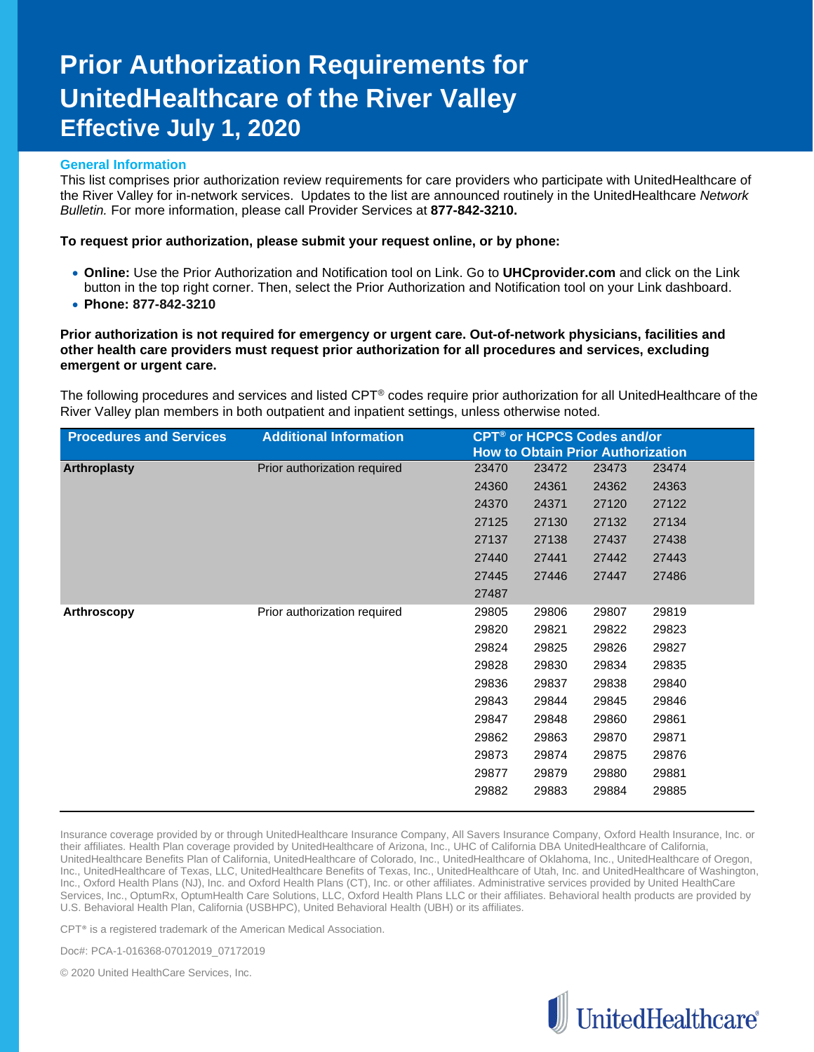## **Prior Authorization Requirements for UnitedHealthcare of the River Valley Effective July 1, 2020**

## **General Information**

This list comprises prior authorization review requirements for care providers who participate with UnitedHealthcare of the River Valley for in-network services. Updates to the list are announced routinely in the UnitedHealthcare *Network Bulletin.* For more information, please call Provider Services at **877-842-3210.**

## **To request prior authorization, please submit your request online, or by phone:**

- **Online:** Use the Prior Authorization and Notification tool on Link. Go to **UHCprovider.com** and click on the Link button in the top right corner. Then, select the Prior Authorization and Notification tool on your Link dashboard.
- **Phone: 877-842-3210**

**Prior authorization is not required for emergency or urgent care. Out-of-network physicians, facilities and other health care providers must request prior authorization for all procedures and services, excluding emergent or urgent care.**

The following procedures and services and listed CPT® codes require prior authorization for all UnitedHealthcare of the River Valley plan members in both outpatient and inpatient settings, unless otherwise noted.

| <b>Procedures and Services</b> | <b>Additional Information</b> |       | <b>CPT<sup>®</sup> or HCPCS Codes and/or</b> |                                          |       |  |
|--------------------------------|-------------------------------|-------|----------------------------------------------|------------------------------------------|-------|--|
|                                |                               |       |                                              | <b>How to Obtain Prior Authorization</b> |       |  |
| Arthroplasty                   | Prior authorization required  | 23470 | 23472                                        | 23473                                    | 23474 |  |
|                                |                               | 24360 | 24361                                        | 24362                                    | 24363 |  |
|                                |                               | 24370 | 24371                                        | 27120                                    | 27122 |  |
|                                |                               | 27125 | 27130                                        | 27132                                    | 27134 |  |
|                                |                               | 27137 | 27138                                        | 27437                                    | 27438 |  |
|                                |                               | 27440 | 27441                                        | 27442                                    | 27443 |  |
|                                |                               | 27445 | 27446                                        | 27447                                    | 27486 |  |
|                                |                               | 27487 |                                              |                                          |       |  |
| Arthroscopy                    | Prior authorization required  | 29805 | 29806                                        | 29807                                    | 29819 |  |
|                                |                               | 29820 | 29821                                        | 29822                                    | 29823 |  |
|                                |                               | 29824 | 29825                                        | 29826                                    | 29827 |  |
|                                |                               | 29828 | 29830                                        | 29834                                    | 29835 |  |
|                                |                               | 29836 | 29837                                        | 29838                                    | 29840 |  |
|                                |                               | 29843 | 29844                                        | 29845                                    | 29846 |  |
|                                |                               | 29847 | 29848                                        | 29860                                    | 29861 |  |
|                                |                               | 29862 | 29863                                        | 29870                                    | 29871 |  |
|                                |                               | 29873 | 29874                                        | 29875                                    | 29876 |  |
|                                |                               | 29877 | 29879                                        | 29880                                    | 29881 |  |
|                                |                               | 29882 | 29883                                        | 29884                                    | 29885 |  |

Insurance coverage provided by or through UnitedHealthcare Insurance Company, All Savers Insurance Company, Oxford Health Insurance, Inc. or their affiliates. Health Plan coverage provided by UnitedHealthcare of Arizona, Inc., UHC of California DBA UnitedHealthcare of California, UnitedHealthcare Benefits Plan of California, UnitedHealthcare of Colorado, Inc., UnitedHealthcare of Oklahoma, Inc., UnitedHealthcare of Oregon, Inc., UnitedHealthcare of Texas, LLC, UnitedHealthcare Benefits of Texas, Inc., UnitedHealthcare of Utah, Inc. and UnitedHealthcare of Washington, Inc., Oxford Health Plans (NJ), Inc. and Oxford Health Plans (CT), Inc. or other affiliates. Administrative services provided by United HealthCare Services, Inc., OptumRx, OptumHealth Care Solutions, LLC, Oxford Health Plans LLC or their affiliates. Behavioral health products are provided by U.S. Behavioral Health Plan, California (USBHPC), United Behavioral Health (UBH) or its affiliates.

CPT® is a registered trademark of the American Medical Association.

Doc#: PCA-1-016368-07012019\_07172019

© 2020 United HealthCare Services, Inc.

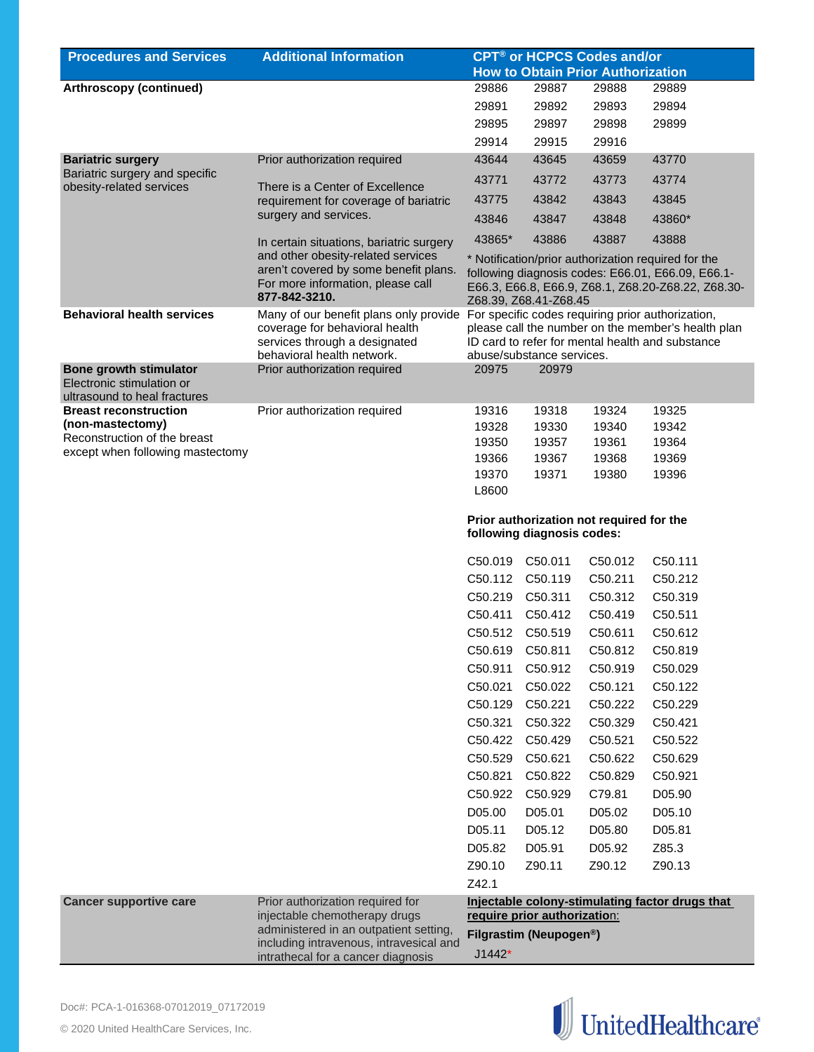| <b>Procedures and Services</b>                             | <b>Additional Information</b>                                                                                                                                               | <b>CPT<sup>®</sup> or HCPCS Codes and/or</b> |                                     |                                          |                                                                                                                                                                |
|------------------------------------------------------------|-----------------------------------------------------------------------------------------------------------------------------------------------------------------------------|----------------------------------------------|-------------------------------------|------------------------------------------|----------------------------------------------------------------------------------------------------------------------------------------------------------------|
|                                                            |                                                                                                                                                                             |                                              |                                     | <b>How to Obtain Prior Authorization</b> |                                                                                                                                                                |
| Arthroscopy (continued)                                    |                                                                                                                                                                             | 29886                                        | 29887                               | 29888                                    | 29889                                                                                                                                                          |
|                                                            |                                                                                                                                                                             | 29891                                        | 29892                               | 29893                                    | 29894                                                                                                                                                          |
|                                                            |                                                                                                                                                                             | 29895                                        | 29897                               | 29898                                    | 29899                                                                                                                                                          |
|                                                            |                                                                                                                                                                             | 29914                                        | 29915                               | 29916                                    |                                                                                                                                                                |
| <b>Bariatric surgery</b>                                   | Prior authorization required                                                                                                                                                | 43644                                        | 43645                               | 43659                                    | 43770                                                                                                                                                          |
| Bariatric surgery and specific<br>obesity-related services | There is a Center of Excellence                                                                                                                                             | 43771                                        | 43772                               | 43773                                    | 43774                                                                                                                                                          |
|                                                            | requirement for coverage of bariatric                                                                                                                                       | 43775                                        | 43842                               | 43843                                    | 43845                                                                                                                                                          |
|                                                            | surgery and services.                                                                                                                                                       | 43846                                        | 43847                               | 43848                                    | 43860*                                                                                                                                                         |
|                                                            | In certain situations, bariatric surgery                                                                                                                                    | 43865*                                       | 43886                               | 43887                                    | 43888                                                                                                                                                          |
| <b>Behavioral health services</b>                          | and other obesity-related services<br>aren't covered by some benefit plans.<br>For more information, please call<br>877-842-3210.<br>Many of our benefit plans only provide |                                              | Z68.39, Z68.41-Z68.45               |                                          | * Notification/prior authorization required for the<br>following diagnosis codes: E66.01, E66.09, E66.1-<br>E66.3, E66.8, E66.9, Z68.1, Z68.20-Z68.22, Z68.30- |
|                                                            | coverage for behavioral health<br>services through a designated                                                                                                             |                                              |                                     |                                          | For specific codes requiring prior authorization,<br>please call the number on the member's health plan<br>ID card to refer for mental health and substance    |
| <b>Bone growth stimulator</b>                              | behavioral health network.<br>Prior authorization required                                                                                                                  | 20975                                        | abuse/substance services.<br>20979  |                                          |                                                                                                                                                                |
| Electronic stimulation or<br>ultrasound to heal fractures  |                                                                                                                                                                             |                                              |                                     |                                          |                                                                                                                                                                |
| <b>Breast reconstruction</b>                               | Prior authorization required                                                                                                                                                | 19316                                        | 19318                               | 19324                                    | 19325                                                                                                                                                          |
| (non-mastectomy)                                           |                                                                                                                                                                             | 19328                                        | 19330                               | 19340                                    | 19342                                                                                                                                                          |
| Reconstruction of the breast                               |                                                                                                                                                                             | 19350                                        | 19357                               | 19361                                    | 19364                                                                                                                                                          |
| except when following mastectomy                           |                                                                                                                                                                             | 19366                                        | 19367                               | 19368                                    | 19369                                                                                                                                                          |
|                                                            |                                                                                                                                                                             | 19370<br>L8600                               | 19371                               | 19380                                    | 19396                                                                                                                                                          |
|                                                            |                                                                                                                                                                             |                                              | following diagnosis codes:          | Prior authorization not required for the |                                                                                                                                                                |
|                                                            |                                                                                                                                                                             | C50.019                                      | C50.011                             | C50.012                                  | C50.111                                                                                                                                                        |
|                                                            |                                                                                                                                                                             |                                              | C50.112 C50.119                     | C50.211                                  | C50.212                                                                                                                                                        |
|                                                            |                                                                                                                                                                             | C50.219 C50.311                              |                                     | C50.312                                  | C50.319                                                                                                                                                        |
|                                                            |                                                                                                                                                                             | C50.411                                      | C50.412                             | C50.419                                  | C50.511                                                                                                                                                        |
|                                                            |                                                                                                                                                                             |                                              | C50.512 C50.519                     | C50.611                                  | C50.612                                                                                                                                                        |
|                                                            |                                                                                                                                                                             | C50.619                                      | C50.811                             | C50.812                                  | C50.819                                                                                                                                                        |
|                                                            |                                                                                                                                                                             | C50.911                                      | C50.912                             | C50.919                                  | C50.029                                                                                                                                                        |
|                                                            |                                                                                                                                                                             | C50.021                                      | C50.022                             | C50.121                                  | C50.122                                                                                                                                                        |
|                                                            |                                                                                                                                                                             | C50.129                                      | C50.221                             | C50.222                                  | C50.229                                                                                                                                                        |
|                                                            |                                                                                                                                                                             | C50.321                                      | C50.322                             | C50.329                                  | C50.421                                                                                                                                                        |
|                                                            |                                                                                                                                                                             | C50.422                                      | C50.429                             | C50.521                                  | C50.522                                                                                                                                                        |
|                                                            |                                                                                                                                                                             | C50.529                                      | C50.621                             | C50.622                                  | C50.629                                                                                                                                                        |
|                                                            |                                                                                                                                                                             | C50.821                                      | C50.822                             | C50.829                                  | C50.921                                                                                                                                                        |
|                                                            |                                                                                                                                                                             | C50.922                                      | C50.929                             | C79.81                                   | D05.90                                                                                                                                                         |
|                                                            |                                                                                                                                                                             | D05.00                                       | D05.01                              | D05.02                                   | D05.10                                                                                                                                                         |
|                                                            |                                                                                                                                                                             | D05.11                                       | D05.12                              | D05.80                                   | D05.81                                                                                                                                                         |
|                                                            |                                                                                                                                                                             | D05.82                                       | D05.91                              | D05.92                                   | Z85.3                                                                                                                                                          |
|                                                            |                                                                                                                                                                             |                                              |                                     |                                          |                                                                                                                                                                |
|                                                            |                                                                                                                                                                             | Z90.10                                       | Z90.11                              | Z90.12                                   | Z90.13                                                                                                                                                         |
|                                                            |                                                                                                                                                                             | Z42.1                                        |                                     |                                          |                                                                                                                                                                |
| <b>Cancer supportive care</b>                              | Prior authorization required for<br>injectable chemotherapy drugs                                                                                                           |                                              | require prior authorization:        |                                          | Injectable colony-stimulating factor drugs that                                                                                                                |
|                                                            | administered in an outpatient setting,                                                                                                                                      |                                              | Filgrastim (Neupogen <sup>®</sup> ) |                                          |                                                                                                                                                                |
|                                                            | including intravenous, intravesical and                                                                                                                                     |                                              |                                     |                                          |                                                                                                                                                                |
|                                                            | intrathecal for a cancer diagnosis                                                                                                                                          | $J1442*$                                     |                                     |                                          |                                                                                                                                                                |

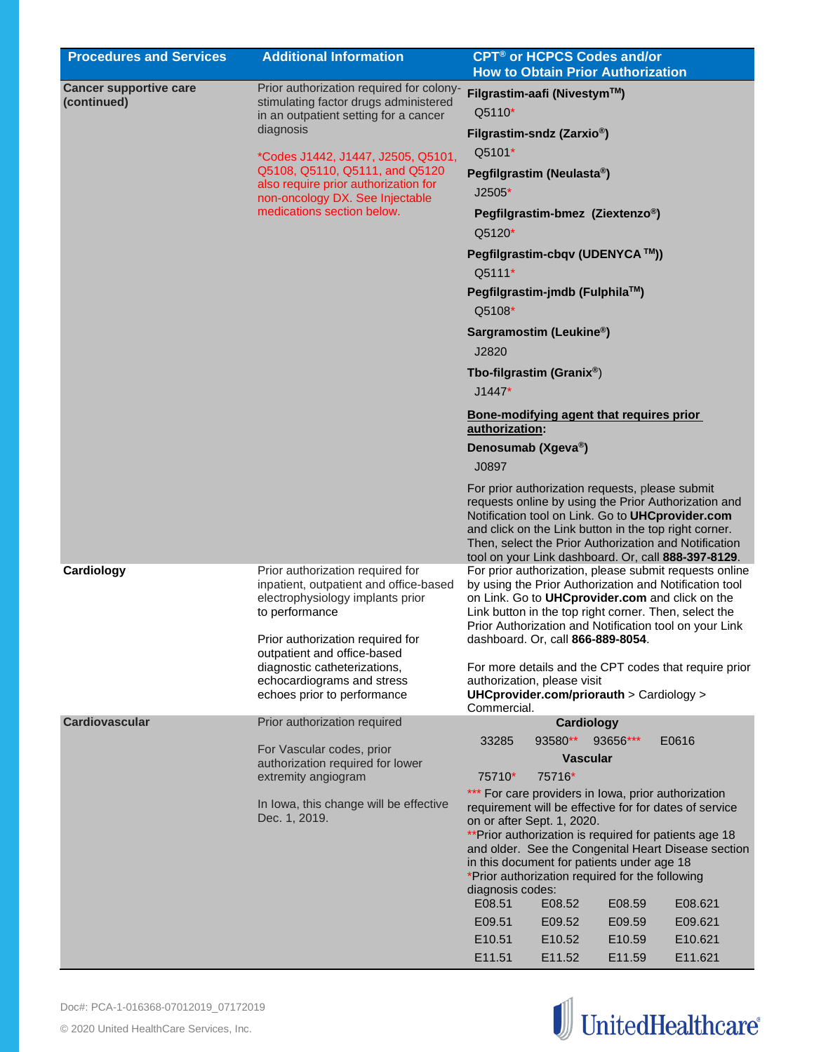| <b>Procedures and Services</b> | <b>Additional Information</b>                                                                                                    | <b>CPT<sup>®</sup> or HCPCS Codes and/or</b><br><b>How to Obtain Prior Authorization</b>                                                                                                                                                                                                                                             |
|--------------------------------|----------------------------------------------------------------------------------------------------------------------------------|--------------------------------------------------------------------------------------------------------------------------------------------------------------------------------------------------------------------------------------------------------------------------------------------------------------------------------------|
| <b>Cancer supportive care</b>  | Prior authorization required for colony-                                                                                         | Filgrastim-aafi (Nivestym™)                                                                                                                                                                                                                                                                                                          |
| (continued)                    | stimulating factor drugs administered<br>in an outpatient setting for a cancer                                                   | Q5110*                                                                                                                                                                                                                                                                                                                               |
|                                | diagnosis                                                                                                                        | Filgrastim-sndz (Zarxio <sup>®</sup> )                                                                                                                                                                                                                                                                                               |
|                                | *Codes J1442, J1447, J2505, Q5101,                                                                                               | Q5101*                                                                                                                                                                                                                                                                                                                               |
|                                | Q5108, Q5110, Q5111, and Q5120                                                                                                   | Pegfilgrastim (Neulasta®)                                                                                                                                                                                                                                                                                                            |
|                                | also require prior authorization for<br>non-oncology DX. See Injectable<br>medications section below.                            | $J2505*$                                                                                                                                                                                                                                                                                                                             |
|                                |                                                                                                                                  | Pegfilgrastim-bmez (Ziextenzo®)<br>Q5120*                                                                                                                                                                                                                                                                                            |
|                                |                                                                                                                                  | Pegfilgrastim-cbqv (UDENYCA ™))                                                                                                                                                                                                                                                                                                      |
|                                |                                                                                                                                  | Q5111*                                                                                                                                                                                                                                                                                                                               |
|                                |                                                                                                                                  | Pegfilgrastim-jmdb (Fulphila™)                                                                                                                                                                                                                                                                                                       |
|                                |                                                                                                                                  | Q5108*                                                                                                                                                                                                                                                                                                                               |
|                                |                                                                                                                                  | Sargramostim (Leukine <sup>®</sup> )<br>J2820                                                                                                                                                                                                                                                                                        |
|                                |                                                                                                                                  | Tbo-filgrastim (Granix®)                                                                                                                                                                                                                                                                                                             |
|                                |                                                                                                                                  | $J1447*$                                                                                                                                                                                                                                                                                                                             |
|                                |                                                                                                                                  | Bone-modifying agent that requires prior<br>authorization:                                                                                                                                                                                                                                                                           |
|                                |                                                                                                                                  | Denosumab (Xgeva <sup>®</sup> )                                                                                                                                                                                                                                                                                                      |
|                                |                                                                                                                                  | J0897                                                                                                                                                                                                                                                                                                                                |
|                                |                                                                                                                                  | For prior authorization requests, please submit<br>requests online by using the Prior Authorization and<br>Notification tool on Link. Go to UHCprovider.com<br>and click on the Link button in the top right corner.<br>Then, select the Prior Authorization and Notification<br>tool on your Link dashboard. Or, call 888-397-8129. |
| Cardiology                     | Prior authorization required for<br>inpatient, outpatient and office-based<br>electrophysiology implants prior<br>to performance | For prior authorization, please submit requests online<br>by using the Prior Authorization and Notification tool<br>on Link. Go to UHCprovider.com and click on the<br>Link button in the top right corner. Then, select the<br>Prior Authorization and Notification tool on your Link                                               |
|                                | Prior authorization required for<br>outpatient and office-based                                                                  | dashboard. Or, call 866-889-8054.                                                                                                                                                                                                                                                                                                    |
|                                | diagnostic catheterizations,<br>echocardiograms and stress<br>echoes prior to performance                                        | For more details and the CPT codes that require prior<br>authorization, please visit<br>UHCprovider.com/priorauth > Cardiology ><br>Commercial.                                                                                                                                                                                      |
| <b>Cardiovascular</b>          | Prior authorization required                                                                                                     | Cardiology                                                                                                                                                                                                                                                                                                                           |
|                                | For Vascular codes, prior                                                                                                        | 93580**<br>33285<br>93656***<br>E0616                                                                                                                                                                                                                                                                                                |
|                                | authorization required for lower<br>extremity angiogram                                                                          | <b>Vascular</b><br>75716*<br>75710*                                                                                                                                                                                                                                                                                                  |
|                                |                                                                                                                                  | For care providers in lowa, prior authorization<br>$***$                                                                                                                                                                                                                                                                             |
|                                | In Iowa, this change will be effective<br>Dec. 1, 2019.                                                                          | requirement will be effective for for dates of service                                                                                                                                                                                                                                                                               |
|                                |                                                                                                                                  | on or after Sept. 1, 2020.<br>** Prior authorization is required for patients age 18                                                                                                                                                                                                                                                 |
|                                |                                                                                                                                  | and older. See the Congenital Heart Disease section<br>in this document for patients under age 18<br>*Prior authorization required for the following                                                                                                                                                                                 |
|                                |                                                                                                                                  | diagnosis codes:<br>E08.51<br>E08.52<br>E08.59<br>E08.621                                                                                                                                                                                                                                                                            |
|                                |                                                                                                                                  | E09.51<br>E09.59<br>E09.621<br>E09.52                                                                                                                                                                                                                                                                                                |
|                                |                                                                                                                                  | E10.51<br>E10.621<br>E10.52<br>E10.59                                                                                                                                                                                                                                                                                                |
|                                |                                                                                                                                  | E11.51<br>E11.52<br>E11.59<br>E11.621                                                                                                                                                                                                                                                                                                |

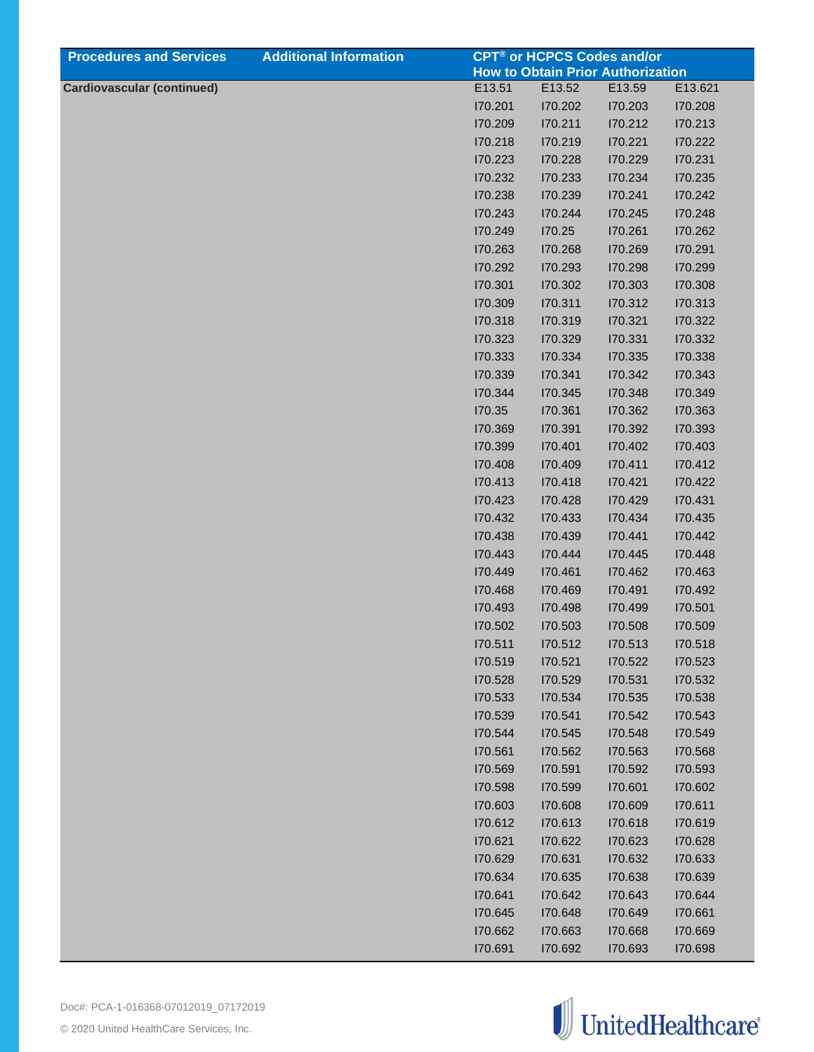| <b>Procedures and Services</b>    | <b>Additional Information</b> |         |         | <b>CPT<sup>®</sup> or HCPCS Codes and/or</b> |         |
|-----------------------------------|-------------------------------|---------|---------|----------------------------------------------|---------|
|                                   |                               |         |         | <b>How to Obtain Prior Authorization</b>     |         |
| <b>Cardiovascular (continued)</b> |                               | E13.51  | E13.52  | E13.59                                       | E13.621 |
|                                   |                               | 170.201 | 170.202 | 170.203                                      | 170.208 |
|                                   |                               | 170.209 | 170.211 | 170.212                                      | 170.213 |
|                                   |                               | 170.218 | 170.219 | 170.221                                      | 170.222 |
|                                   |                               | 170.223 | 170.228 | 170.229                                      | 170.231 |
|                                   |                               | 170.232 | 170.233 | 170.234                                      | 170.235 |
|                                   |                               | 170.238 | 170.239 | 170.241                                      | 170.242 |
|                                   |                               | 170.243 | 170.244 | 170.245                                      | 170.248 |
|                                   |                               | 170.249 | 170.25  | 170.261                                      | 170.262 |
|                                   |                               | 170.263 | 170.268 | 170.269                                      | 170.291 |
|                                   |                               | 170.292 | 170.293 | 170.298                                      | 170.299 |
|                                   |                               | 170.301 | 170.302 | 170.303                                      | 170.308 |
|                                   |                               | 170.309 | 170.311 | 170.312                                      | 170.313 |
|                                   |                               | 170.318 | 170.319 | 170.321                                      | 170.322 |
|                                   |                               | 170.323 | 170.329 | 170.331                                      | 170.332 |
|                                   |                               | 170.333 | 170.334 | 170.335                                      | 170.338 |
|                                   |                               | 170.339 | 170.341 | 170.342                                      | 170.343 |
|                                   |                               | 170.344 | 170.345 | 170.348                                      | 170.349 |
|                                   |                               | 170.35  | 170.361 | 170.362                                      | 170.363 |
|                                   |                               | 170.369 | 170.391 | 170.392                                      | 170.393 |
|                                   |                               | 170.399 | 170.401 | 170.402                                      | 170.403 |
|                                   |                               | 170.408 | 170.409 | 170.411                                      | 170.412 |
|                                   |                               | 170.413 | 170.418 | 170.421                                      | 170.422 |
|                                   |                               | 170.423 | 170.428 | 170.429                                      | 170.431 |
|                                   |                               | 170.432 | 170.433 | 170.434                                      | 170.435 |
|                                   |                               | 170.438 | 170.439 | 170.441                                      | 170.442 |
|                                   |                               | 170.443 | 170.444 | 170.445                                      | 170.448 |
|                                   |                               | 170.449 | 170.461 | 170.462                                      | 170.463 |
|                                   |                               | 170.468 | 170.469 | 170.491                                      | 170.492 |
|                                   |                               | 170.493 | 170.498 | 170.499                                      | 170.501 |
|                                   |                               | 170.502 | 170.503 | I70.508                                      | I70.509 |
|                                   |                               | 170.511 | 170.512 | 170.513                                      | 170.518 |
|                                   |                               | 170.519 | 170.521 | 170.522                                      | 170.523 |
|                                   |                               | 170.528 | 170.529 | 170.531                                      | 170.532 |
|                                   |                               | 170.533 | 170.534 | I70.535                                      | 170.538 |
|                                   |                               | 170.539 | 170.541 | 170.542                                      | 170.543 |
|                                   |                               | 170.544 | 170.545 | 170.548                                      | 170.549 |
|                                   |                               | 170.561 | 170.562 | 170.563                                      | 170.568 |
|                                   |                               | I70.569 | 170.591 | 170.592                                      | 170.593 |
|                                   |                               | I70.598 | 170.599 | 170.601                                      | 170.602 |
|                                   |                               | 170.603 | 170.608 | 170.609                                      | 170.611 |
|                                   |                               | 170.612 | 170.613 | 170.618                                      | 170.619 |
|                                   |                               | 170.621 | 170.622 | 170.623                                      | 170.628 |
|                                   |                               | 170.629 | 170.631 | 170.632                                      | 170.633 |
|                                   |                               | 170.634 | 170.635 | 170.638                                      | 170.639 |
|                                   |                               | 170.641 | 170.642 | 170.643                                      | 170.644 |
|                                   |                               | 170.645 | 170.648 | 170.649                                      | 170.661 |
|                                   |                               | 170.662 | 170.663 | 170.668                                      | 170.669 |
|                                   |                               | 170.691 | 170.692 | 170.693                                      | 170.698 |

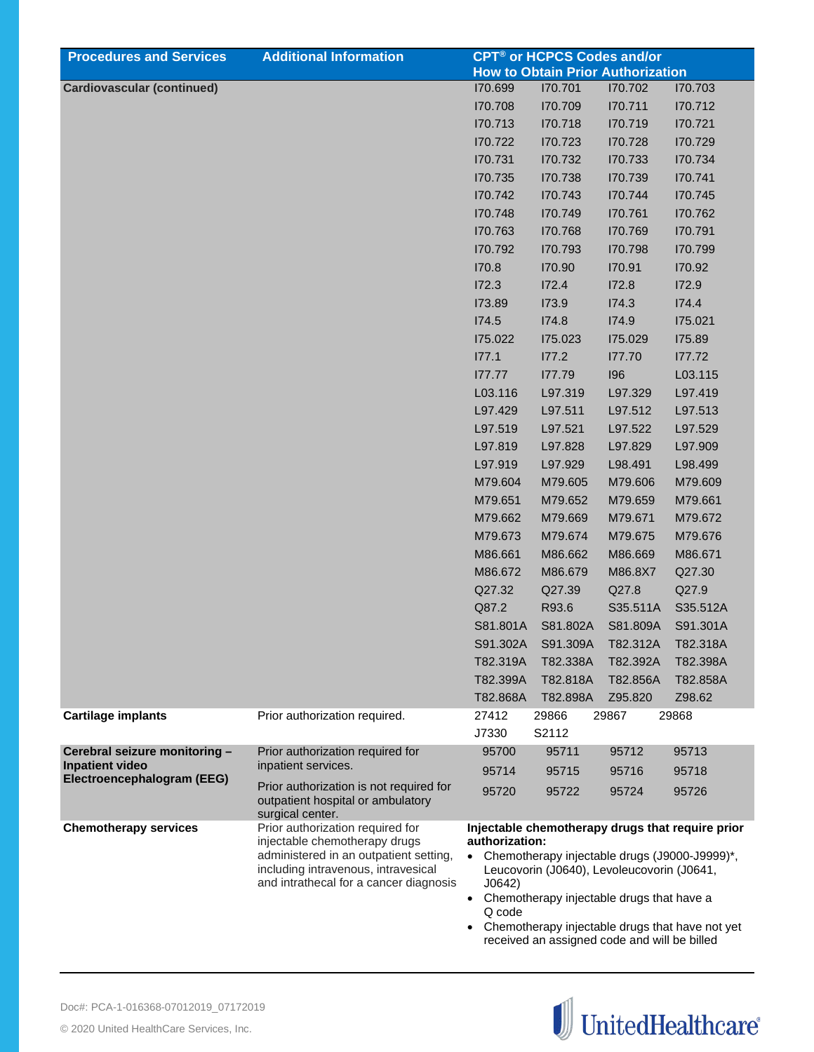| <b>Procedures and Services</b>                       | <b>Additional Information</b>                                                                                                                                                                | <b>CPT<sup>®</sup> or HCPCS Codes and/or</b>                                                                                                                                                                                                                                                                                                |                                          |          |          |  |
|------------------------------------------------------|----------------------------------------------------------------------------------------------------------------------------------------------------------------------------------------------|---------------------------------------------------------------------------------------------------------------------------------------------------------------------------------------------------------------------------------------------------------------------------------------------------------------------------------------------|------------------------------------------|----------|----------|--|
|                                                      |                                                                                                                                                                                              |                                                                                                                                                                                                                                                                                                                                             | <b>How to Obtain Prior Authorization</b> |          |          |  |
| <b>Cardiovascular (continued)</b>                    |                                                                                                                                                                                              | 170.699                                                                                                                                                                                                                                                                                                                                     | 170.701                                  | 170.702  | 170.703  |  |
|                                                      |                                                                                                                                                                                              | 170.708                                                                                                                                                                                                                                                                                                                                     | 170.709                                  | 170.711  | 170.712  |  |
|                                                      |                                                                                                                                                                                              | 170.713                                                                                                                                                                                                                                                                                                                                     | 170.718                                  | 170.719  | 170.721  |  |
|                                                      |                                                                                                                                                                                              | 170.722                                                                                                                                                                                                                                                                                                                                     | 170.723                                  | 170.728  | 170.729  |  |
|                                                      |                                                                                                                                                                                              | 170.731                                                                                                                                                                                                                                                                                                                                     | 170.732                                  | 170.733  | 170.734  |  |
|                                                      |                                                                                                                                                                                              | 170.735                                                                                                                                                                                                                                                                                                                                     | 170.738                                  | 170.739  | 170.741  |  |
|                                                      |                                                                                                                                                                                              | 170.742                                                                                                                                                                                                                                                                                                                                     | 170.743                                  | 170.744  | 170.745  |  |
|                                                      |                                                                                                                                                                                              | 170.748                                                                                                                                                                                                                                                                                                                                     | 170.749                                  | 170.761  | 170.762  |  |
|                                                      |                                                                                                                                                                                              | 170.763                                                                                                                                                                                                                                                                                                                                     | 170.768                                  | 170.769  | 170.791  |  |
|                                                      |                                                                                                                                                                                              | 170.792                                                                                                                                                                                                                                                                                                                                     | 170.793                                  | 170.798  | 170.799  |  |
|                                                      |                                                                                                                                                                                              | 170.8                                                                                                                                                                                                                                                                                                                                       | 170.90                                   | 170.91   | 170.92   |  |
|                                                      |                                                                                                                                                                                              | I72.3                                                                                                                                                                                                                                                                                                                                       | 172.4                                    | 172.8    | 172.9    |  |
|                                                      |                                                                                                                                                                                              | 173.89                                                                                                                                                                                                                                                                                                                                      | 173.9                                    | I74.3    | 174.4    |  |
|                                                      |                                                                                                                                                                                              | 174.5                                                                                                                                                                                                                                                                                                                                       | 174.8                                    | 174.9    | 175.021  |  |
|                                                      |                                                                                                                                                                                              | 175.022                                                                                                                                                                                                                                                                                                                                     | 175.023                                  | 175.029  | 175.89   |  |
|                                                      |                                                                                                                                                                                              | 177.1                                                                                                                                                                                                                                                                                                                                       | 177.2                                    | 177.70   | 177.72   |  |
|                                                      |                                                                                                                                                                                              | 177.77                                                                                                                                                                                                                                                                                                                                      | 177.79                                   | 196      | L03.115  |  |
|                                                      |                                                                                                                                                                                              | L03.116                                                                                                                                                                                                                                                                                                                                     | L97.319                                  | L97.329  | L97.419  |  |
|                                                      |                                                                                                                                                                                              | L97.429                                                                                                                                                                                                                                                                                                                                     | L97.511                                  | L97.512  | L97.513  |  |
|                                                      |                                                                                                                                                                                              | L97.519                                                                                                                                                                                                                                                                                                                                     | L97.521                                  | L97.522  | L97.529  |  |
|                                                      |                                                                                                                                                                                              | L97.819                                                                                                                                                                                                                                                                                                                                     | L97.828                                  | L97.829  | L97.909  |  |
|                                                      |                                                                                                                                                                                              | L97.919                                                                                                                                                                                                                                                                                                                                     | L97.929                                  | L98.491  | L98.499  |  |
|                                                      |                                                                                                                                                                                              | M79.604                                                                                                                                                                                                                                                                                                                                     | M79.605                                  | M79.606  | M79.609  |  |
|                                                      |                                                                                                                                                                                              | M79.651                                                                                                                                                                                                                                                                                                                                     | M79.652                                  | M79.659  | M79.661  |  |
|                                                      |                                                                                                                                                                                              | M79.662                                                                                                                                                                                                                                                                                                                                     | M79.669                                  | M79.671  | M79.672  |  |
|                                                      |                                                                                                                                                                                              | M79.673                                                                                                                                                                                                                                                                                                                                     | M79.674                                  | M79.675  | M79.676  |  |
|                                                      |                                                                                                                                                                                              | M86.661                                                                                                                                                                                                                                                                                                                                     | M86.662                                  | M86.669  | M86.671  |  |
|                                                      |                                                                                                                                                                                              | M86.672                                                                                                                                                                                                                                                                                                                                     | M86.679                                  | M86.8X7  | Q27.30   |  |
|                                                      |                                                                                                                                                                                              | Q27.32                                                                                                                                                                                                                                                                                                                                      | Q27.39                                   | Q27.8    | Q27.9    |  |
|                                                      |                                                                                                                                                                                              | Q87.2                                                                                                                                                                                                                                                                                                                                       | R93.6                                    | S35.511A | S35.512A |  |
|                                                      |                                                                                                                                                                                              | S81.801A                                                                                                                                                                                                                                                                                                                                    | S81.802A                                 | S81.809A | S91.301A |  |
|                                                      |                                                                                                                                                                                              | S91.302A                                                                                                                                                                                                                                                                                                                                    | S91.309A                                 | T82.312A | T82.318A |  |
|                                                      |                                                                                                                                                                                              | T82.319A                                                                                                                                                                                                                                                                                                                                    | T82.338A                                 | T82.392A | T82.398A |  |
|                                                      |                                                                                                                                                                                              | T82.399A                                                                                                                                                                                                                                                                                                                                    | T82.818A                                 | T82.856A | T82.858A |  |
|                                                      |                                                                                                                                                                                              | T82.868A                                                                                                                                                                                                                                                                                                                                    | T82.898A                                 | Z95.820  | Z98.62   |  |
| <b>Cartilage implants</b>                            | Prior authorization required.                                                                                                                                                                | 27412<br>J7330                                                                                                                                                                                                                                                                                                                              | 29866<br>S2112                           | 29867    | 29868    |  |
| Cerebral seizure monitoring -                        | Prior authorization required for                                                                                                                                                             | 95700                                                                                                                                                                                                                                                                                                                                       | 95711                                    | 95712    | 95713    |  |
| <b>Inpatient video</b><br>Electroencephalogram (EEG) | inpatient services.                                                                                                                                                                          | 95714                                                                                                                                                                                                                                                                                                                                       | 95715                                    | 95716    | 95718    |  |
|                                                      | Prior authorization is not required for<br>outpatient hospital or ambulatory<br>surgical center.                                                                                             | 95720                                                                                                                                                                                                                                                                                                                                       | 95722                                    | 95724    | 95726    |  |
| <b>Chemotherapy services</b>                         | Prior authorization required for<br>injectable chemotherapy drugs<br>administered in an outpatient setting,<br>including intravenous, intravesical<br>and intrathecal for a cancer diagnosis | Injectable chemotherapy drugs that require prior<br>authorization:<br>• Chemotherapy injectable drugs (J9000-J9999)*,<br>Leucovorin (J0640), Levoleucovorin (J0641,<br>J0642)<br>• Chemotherapy injectable drugs that have a<br>Q code<br>• Chemotherapy injectable drugs that have not yet<br>received an assigned code and will be billed |                                          |          |          |  |

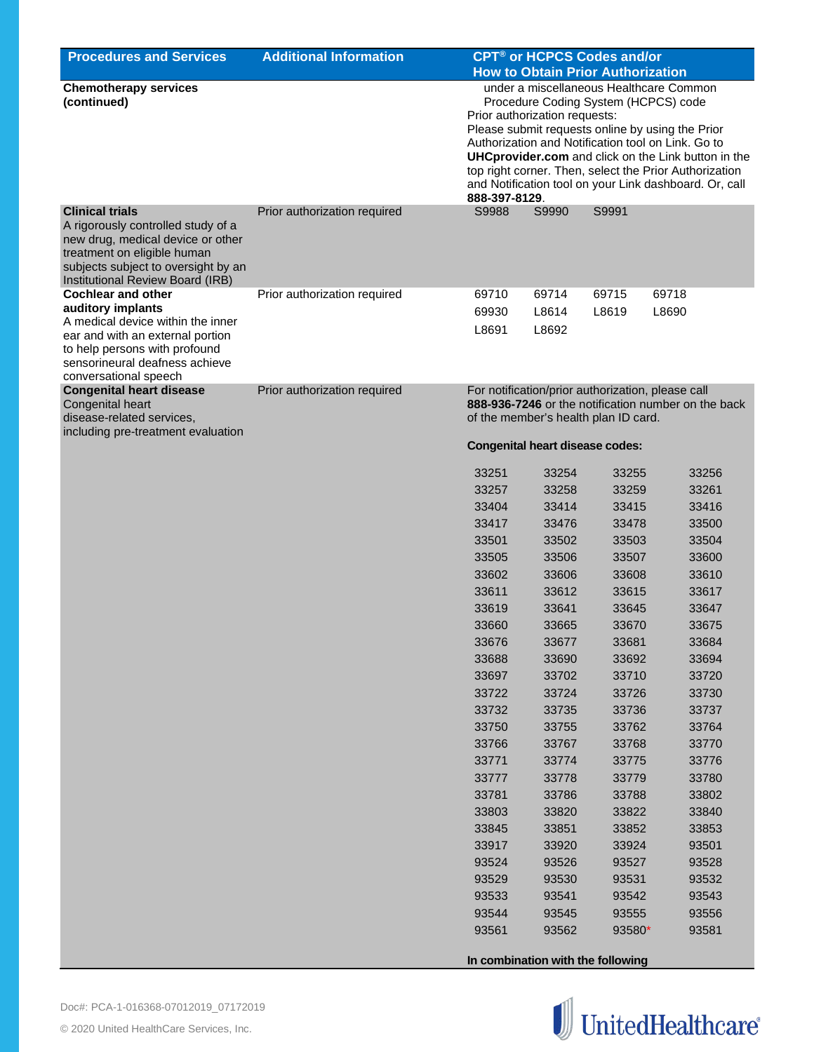| <b>Procedures and Services</b>                                                                                                                                                                              | <b>Additional Information</b> | CPT <sup>®</sup> or HCPCS Codes and/or<br><b>How to Obtain Prior Authorization</b>                                                                                                                                                                                                                                                                                                                                            |       |                                                                                           |                                                     |  |
|-------------------------------------------------------------------------------------------------------------------------------------------------------------------------------------------------------------|-------------------------------|-------------------------------------------------------------------------------------------------------------------------------------------------------------------------------------------------------------------------------------------------------------------------------------------------------------------------------------------------------------------------------------------------------------------------------|-------|-------------------------------------------------------------------------------------------|-----------------------------------------------------|--|
| <b>Chemotherapy services</b><br>(continued)                                                                                                                                                                 |                               | under a miscellaneous Healthcare Common<br>Procedure Coding System (HCPCS) code<br>Prior authorization requests:<br>Please submit requests online by using the Prior<br>Authorization and Notification tool on Link. Go to<br><b>UHCprovider.com</b> and click on the Link button in the<br>top right corner. Then, select the Prior Authorization<br>and Notification tool on your Link dashboard. Or, call<br>888-397-8129. |       |                                                                                           |                                                     |  |
| <b>Clinical trials</b><br>A rigorously controlled study of a<br>new drug, medical device or other<br>treatment on eligible human<br>subjects subject to oversight by an<br>Institutional Review Board (IRB) | Prior authorization required  | S9988                                                                                                                                                                                                                                                                                                                                                                                                                         | S9990 | S9991                                                                                     |                                                     |  |
| <b>Cochlear and other</b>                                                                                                                                                                                   | Prior authorization required  | 69710                                                                                                                                                                                                                                                                                                                                                                                                                         | 69714 | 69715                                                                                     | 69718                                               |  |
| auditory implants                                                                                                                                                                                           |                               | 69930                                                                                                                                                                                                                                                                                                                                                                                                                         | L8614 | L8619                                                                                     | L8690                                               |  |
| A medical device within the inner<br>ear and with an external portion<br>to help persons with profound<br>sensorineural deafness achieve<br>conversational speech                                           |                               | L8691                                                                                                                                                                                                                                                                                                                                                                                                                         | L8692 |                                                                                           |                                                     |  |
| <b>Congenital heart disease</b><br>Congenital heart<br>disease-related services,                                                                                                                            | Prior authorization required  |                                                                                                                                                                                                                                                                                                                                                                                                                               |       | For notification/prior authorization, please call<br>of the member's health plan ID card. | 888-936-7246 or the notification number on the back |  |
| including pre-treatment evaluation                                                                                                                                                                          |                               | <b>Congenital heart disease codes:</b>                                                                                                                                                                                                                                                                                                                                                                                        |       |                                                                                           |                                                     |  |
|                                                                                                                                                                                                             |                               | 33251                                                                                                                                                                                                                                                                                                                                                                                                                         | 33254 | 33255                                                                                     | 33256                                               |  |
|                                                                                                                                                                                                             |                               | 33257                                                                                                                                                                                                                                                                                                                                                                                                                         | 33258 | 33259                                                                                     | 33261                                               |  |
|                                                                                                                                                                                                             |                               | 33404                                                                                                                                                                                                                                                                                                                                                                                                                         | 33414 | 33415                                                                                     | 33416                                               |  |
|                                                                                                                                                                                                             |                               | 33417                                                                                                                                                                                                                                                                                                                                                                                                                         | 33476 | 33478                                                                                     | 33500                                               |  |
|                                                                                                                                                                                                             |                               | 33501                                                                                                                                                                                                                                                                                                                                                                                                                         | 33502 | 33503                                                                                     | 33504                                               |  |
|                                                                                                                                                                                                             |                               | 33505                                                                                                                                                                                                                                                                                                                                                                                                                         | 33506 | 33507                                                                                     | 33600                                               |  |
|                                                                                                                                                                                                             |                               | 33602                                                                                                                                                                                                                                                                                                                                                                                                                         | 33606 | 33608                                                                                     | 33610                                               |  |
|                                                                                                                                                                                                             |                               | 33611                                                                                                                                                                                                                                                                                                                                                                                                                         | 33612 | 33615                                                                                     | 33617                                               |  |
|                                                                                                                                                                                                             |                               | 33619                                                                                                                                                                                                                                                                                                                                                                                                                         | 33641 | 33645                                                                                     | 33647                                               |  |
|                                                                                                                                                                                                             |                               | 33660                                                                                                                                                                                                                                                                                                                                                                                                                         | 33665 | 33670                                                                                     | 33675                                               |  |
|                                                                                                                                                                                                             |                               | 33676                                                                                                                                                                                                                                                                                                                                                                                                                         | 33677 | 33681                                                                                     | 33684                                               |  |
|                                                                                                                                                                                                             |                               | 33688                                                                                                                                                                                                                                                                                                                                                                                                                         | 33690 | 33692                                                                                     | 33694                                               |  |
|                                                                                                                                                                                                             |                               | 33697                                                                                                                                                                                                                                                                                                                                                                                                                         | 33702 | 33710                                                                                     | 33720                                               |  |
|                                                                                                                                                                                                             |                               | 33722                                                                                                                                                                                                                                                                                                                                                                                                                         | 33724 | 33726                                                                                     | 33730                                               |  |
|                                                                                                                                                                                                             |                               | 33732                                                                                                                                                                                                                                                                                                                                                                                                                         | 33735 | 33736                                                                                     | 33737                                               |  |
|                                                                                                                                                                                                             |                               | 33750                                                                                                                                                                                                                                                                                                                                                                                                                         | 33755 | 33762                                                                                     | 33764                                               |  |
|                                                                                                                                                                                                             |                               | 33766                                                                                                                                                                                                                                                                                                                                                                                                                         | 33767 | 33768                                                                                     | 33770                                               |  |
|                                                                                                                                                                                                             |                               | 33771                                                                                                                                                                                                                                                                                                                                                                                                                         | 33774 | 33775                                                                                     | 33776                                               |  |
|                                                                                                                                                                                                             |                               | 33777                                                                                                                                                                                                                                                                                                                                                                                                                         | 33778 | 33779                                                                                     | 33780                                               |  |
|                                                                                                                                                                                                             |                               | 33781                                                                                                                                                                                                                                                                                                                                                                                                                         | 33786 | 33788                                                                                     | 33802                                               |  |
|                                                                                                                                                                                                             |                               | 33803                                                                                                                                                                                                                                                                                                                                                                                                                         | 33820 | 33822                                                                                     | 33840                                               |  |
|                                                                                                                                                                                                             |                               | 33845                                                                                                                                                                                                                                                                                                                                                                                                                         | 33851 | 33852                                                                                     | 33853                                               |  |
|                                                                                                                                                                                                             |                               | 33917                                                                                                                                                                                                                                                                                                                                                                                                                         | 33920 | 33924                                                                                     | 93501                                               |  |
|                                                                                                                                                                                                             |                               | 93524                                                                                                                                                                                                                                                                                                                                                                                                                         | 93526 | 93527                                                                                     | 93528                                               |  |
|                                                                                                                                                                                                             |                               | 93529                                                                                                                                                                                                                                                                                                                                                                                                                         | 93530 | 93531                                                                                     | 93532                                               |  |
|                                                                                                                                                                                                             |                               | 93533                                                                                                                                                                                                                                                                                                                                                                                                                         | 93541 | 93542                                                                                     | 93543                                               |  |
|                                                                                                                                                                                                             |                               | 93544                                                                                                                                                                                                                                                                                                                                                                                                                         | 93545 | 93555                                                                                     | 93556                                               |  |
|                                                                                                                                                                                                             |                               | 93561                                                                                                                                                                                                                                                                                                                                                                                                                         | 93562 | 93580*                                                                                    | 93581                                               |  |

**In combination with the following** 

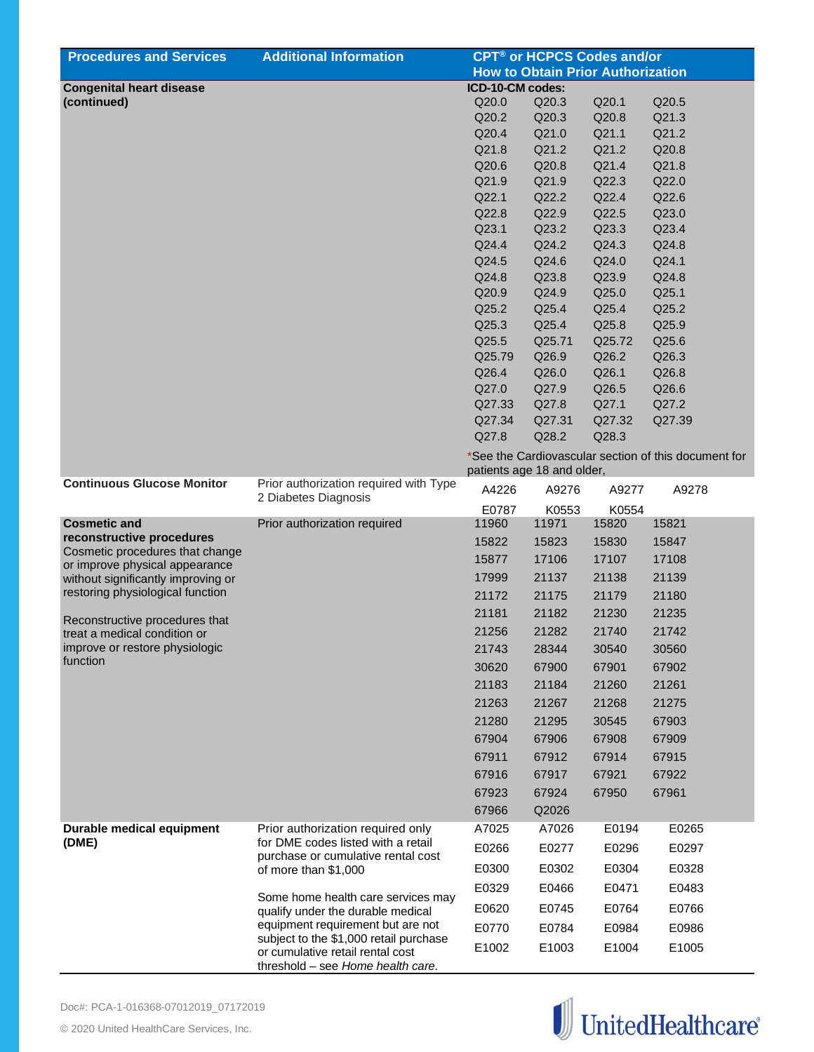| <b>Procedures and Services</b>     | <b>Additional Information</b>                                            | <b>CPT<sup>®</sup> or HCPCS Codes and/or</b> |                                          |        |                                                      |
|------------------------------------|--------------------------------------------------------------------------|----------------------------------------------|------------------------------------------|--------|------------------------------------------------------|
|                                    |                                                                          |                                              | <b>How to Obtain Prior Authorization</b> |        |                                                      |
| <b>Congenital heart disease</b>    |                                                                          | ICD-10-CM codes:                             |                                          |        |                                                      |
| (continued)                        |                                                                          | Q20.0                                        | Q20.3                                    | Q20.1  | Q20.5                                                |
|                                    |                                                                          | Q20.2                                        | Q20.3                                    | Q20.8  | Q21.3                                                |
|                                    |                                                                          | Q20.4                                        | Q21.0                                    | Q21.1  | Q21.2                                                |
|                                    |                                                                          | Q21.8                                        | Q21.2                                    | Q21.2  | Q20.8                                                |
|                                    |                                                                          | Q20.6                                        | Q20.8                                    | Q21.4  | Q21.8                                                |
|                                    |                                                                          | Q21.9                                        | Q21.9                                    | Q22.3  | Q22.0                                                |
|                                    |                                                                          | Q22.1                                        | Q22.2                                    | Q22.4  | Q22.6                                                |
|                                    |                                                                          | Q22.8                                        | Q22.9                                    | Q22.5  | Q23.0                                                |
|                                    |                                                                          | Q23.1                                        | Q23.2                                    | Q23.3  | Q23.4                                                |
|                                    |                                                                          | Q24.4                                        | Q24.2                                    | Q24.3  | Q24.8                                                |
|                                    |                                                                          | Q24.5                                        | Q24.6                                    | Q24.0  | Q24.1                                                |
|                                    |                                                                          | Q24.8                                        | Q23.8                                    | Q23.9  | Q24.8                                                |
|                                    |                                                                          | Q20.9                                        | Q24.9                                    | Q25.0  | Q25.1                                                |
|                                    |                                                                          | Q25.2                                        | Q25.4                                    | Q25.4  | Q25.2                                                |
|                                    |                                                                          | Q25.3                                        | Q25.4                                    | Q25.8  | Q25.9                                                |
|                                    |                                                                          | Q25.5                                        | Q25.71                                   | Q25.72 | Q25.6                                                |
|                                    |                                                                          | Q25.79                                       | Q26.9                                    | Q26.2  | Q26.3                                                |
|                                    |                                                                          | Q26.4                                        | Q26.0                                    | Q26.1  | Q26.8                                                |
|                                    |                                                                          | Q27.0                                        | Q27.9                                    | Q26.5  | Q26.6                                                |
|                                    |                                                                          | Q27.33                                       | Q27.8                                    | Q27.1  | Q27.2                                                |
|                                    |                                                                          | Q27.34                                       | Q27.31                                   | Q27.32 | Q27.39                                               |
|                                    |                                                                          | Q27.8                                        | Q28.2                                    | Q28.3  |                                                      |
|                                    |                                                                          |                                              | patients age 18 and older,               |        | *See the Cardiovascular section of this document for |
| <b>Continuous Glucose Monitor</b>  | Prior authorization required with Type                                   | A4226                                        | A9276                                    | A9277  | A9278                                                |
|                                    | 2 Diabetes Diagnosis                                                     | E0787                                        | K0553                                    | K0554  |                                                      |
| <b>Cosmetic and</b>                | Prior authorization required                                             | 11960                                        | 11971                                    | 15820  | 15821                                                |
| reconstructive procedures          |                                                                          | 15822                                        | 15823                                    | 15830  | 15847                                                |
| Cosmetic procedures that change    |                                                                          | 15877                                        | 17106                                    | 17107  | 17108                                                |
| or improve physical appearance     |                                                                          |                                              |                                          |        |                                                      |
| without significantly improving or |                                                                          | 17999                                        | 21137                                    | 21138  | 21139                                                |
| restoring physiological function   |                                                                          | 21172                                        | 21175                                    | 21179  | 21180                                                |
| Reconstructive procedures that     |                                                                          | 21181                                        | 21182                                    | 21230  | 21235                                                |
| treat a medical condition or       |                                                                          | 21256                                        | 21282                                    | 21740  | 21742                                                |
| improve or restore physiologic     |                                                                          | 21743                                        | 28344                                    | 30540  | 30560                                                |
| function                           |                                                                          | 30620                                        | 67900                                    | 67901  | 67902                                                |
|                                    |                                                                          | 21183                                        | 21184                                    | 21260  | 21261                                                |
|                                    |                                                                          | 21263                                        | 21267                                    | 21268  | 21275                                                |
|                                    |                                                                          |                                              |                                          |        |                                                      |
|                                    |                                                                          | 21280                                        | 21295                                    | 30545  | 67903                                                |
|                                    |                                                                          | 67904                                        | 67906                                    | 67908  | 67909                                                |
|                                    |                                                                          | 67911                                        | 67912                                    | 67914  | 67915                                                |
|                                    |                                                                          | 67916                                        | 67917                                    | 67921  | 67922                                                |
|                                    |                                                                          | 67923                                        | 67924                                    | 67950  | 67961                                                |
|                                    |                                                                          | 67966                                        | Q2026                                    |        |                                                      |
| Durable medical equipment          | Prior authorization required only                                        | A7025                                        | A7026                                    | E0194  | E0265                                                |
| (DME)                              | for DME codes listed with a retail<br>purchase or cumulative rental cost | E0266                                        | E0277                                    | E0296  | E0297                                                |
|                                    | of more than \$1,000                                                     | E0300                                        | E0302                                    | E0304  | E0328                                                |
|                                    |                                                                          | E0329                                        | E0466                                    | E0471  | E0483                                                |
|                                    | Some home health care services may<br>qualify under the durable medical  | E0620                                        | E0745                                    | E0764  | E0766                                                |
|                                    | equipment requirement but are not                                        | E0770                                        | E0784                                    | E0984  | E0986                                                |
|                                    | subject to the \$1,000 retail purchase                                   | E1002                                        | E1003                                    | E1004  | E1005                                                |
|                                    | or cumulative retail rental cost<br>threshold - see Home health care.    |                                              |                                          |        |                                                      |

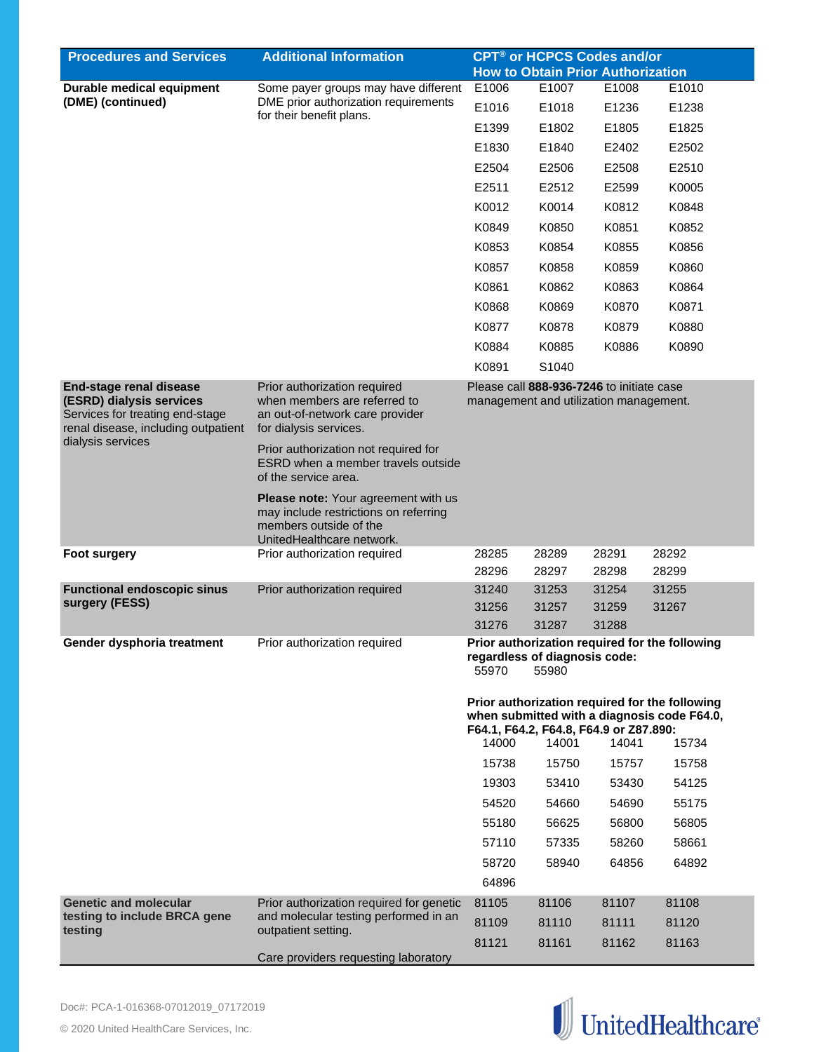| <b>Procedures and Services</b>                                                                                                | <b>Additional Information</b>                                                                                                       | <b>CPT<sup>®</sup> or HCPCS Codes and/or</b>                                                                                                                                |                                                                                     |       |                                                |  |
|-------------------------------------------------------------------------------------------------------------------------------|-------------------------------------------------------------------------------------------------------------------------------------|-----------------------------------------------------------------------------------------------------------------------------------------------------------------------------|-------------------------------------------------------------------------------------|-------|------------------------------------------------|--|
|                                                                                                                               |                                                                                                                                     |                                                                                                                                                                             | <b>How to Obtain Prior Authorization</b>                                            |       |                                                |  |
| Durable medical equipment                                                                                                     | Some payer groups may have different                                                                                                | E1006                                                                                                                                                                       | E1007                                                                               | E1008 | E1010                                          |  |
| (DME) (continued)                                                                                                             | DME prior authorization requirements<br>for their benefit plans.                                                                    | E1016                                                                                                                                                                       | E1018                                                                               | E1236 | E1238                                          |  |
|                                                                                                                               |                                                                                                                                     | E1399                                                                                                                                                                       | E1802                                                                               | E1805 | E1825                                          |  |
|                                                                                                                               |                                                                                                                                     | E1830                                                                                                                                                                       | E1840                                                                               | E2402 | E2502                                          |  |
|                                                                                                                               |                                                                                                                                     | E2504                                                                                                                                                                       | E2506                                                                               | E2508 | E2510                                          |  |
|                                                                                                                               |                                                                                                                                     | E2511                                                                                                                                                                       | E2512                                                                               | E2599 | K0005                                          |  |
|                                                                                                                               |                                                                                                                                     | K0012                                                                                                                                                                       | K0014                                                                               | K0812 | K0848                                          |  |
|                                                                                                                               |                                                                                                                                     | K0849                                                                                                                                                                       | K0850                                                                               | K0851 | K0852                                          |  |
|                                                                                                                               |                                                                                                                                     | K0853                                                                                                                                                                       | K0854                                                                               | K0855 | K0856                                          |  |
|                                                                                                                               |                                                                                                                                     | K0857                                                                                                                                                                       | K0858                                                                               | K0859 | K0860                                          |  |
|                                                                                                                               |                                                                                                                                     | K0861                                                                                                                                                                       | K0862                                                                               | K0863 | K0864                                          |  |
|                                                                                                                               |                                                                                                                                     | K0868                                                                                                                                                                       | K0869                                                                               | K0870 | K0871                                          |  |
|                                                                                                                               |                                                                                                                                     | K0877                                                                                                                                                                       | K0878                                                                               | K0879 | K0880                                          |  |
|                                                                                                                               |                                                                                                                                     |                                                                                                                                                                             |                                                                                     |       |                                                |  |
|                                                                                                                               |                                                                                                                                     | K0884                                                                                                                                                                       | K0885                                                                               | K0886 | K0890                                          |  |
|                                                                                                                               |                                                                                                                                     | K0891                                                                                                                                                                       | S1040                                                                               |       |                                                |  |
| End-stage renal disease<br>(ESRD) dialysis services<br>Services for treating end-stage<br>renal disease, including outpatient | Prior authorization required<br>when members are referred to<br>an out-of-network care provider<br>for dialysis services.           |                                                                                                                                                                             | Please call 888-936-7246 to initiate case<br>management and utilization management. |       |                                                |  |
| dialysis services                                                                                                             | Prior authorization not required for<br>ESRD when a member travels outside<br>of the service area.                                  |                                                                                                                                                                             |                                                                                     |       |                                                |  |
|                                                                                                                               | Please note: Your agreement with us<br>may include restrictions on referring<br>members outside of the<br>UnitedHealthcare network. |                                                                                                                                                                             |                                                                                     |       |                                                |  |
| <b>Foot surgery</b>                                                                                                           | Prior authorization required                                                                                                        | 28285                                                                                                                                                                       | 28289                                                                               | 28291 | 28292                                          |  |
|                                                                                                                               |                                                                                                                                     | 28296                                                                                                                                                                       | 28297                                                                               | 28298 | 28299                                          |  |
| <b>Functional endoscopic sinus</b>                                                                                            | Prior authorization required                                                                                                        | 31240                                                                                                                                                                       | 31253                                                                               | 31254 | 31255                                          |  |
| surgery (FESS)                                                                                                                |                                                                                                                                     | 31256                                                                                                                                                                       | 31257                                                                               | 31259 | 31267                                          |  |
|                                                                                                                               |                                                                                                                                     | 31276                                                                                                                                                                       | 31287                                                                               | 31288 |                                                |  |
| Gender dysphoria treatment                                                                                                    | Prior authorization required                                                                                                        | 55970                                                                                                                                                                       | regardless of diagnosis code:<br>55980                                              |       | Prior authorization required for the following |  |
|                                                                                                                               |                                                                                                                                     | Prior authorization required for the following<br>when submitted with a diagnosis code F64.0,<br>F64.1, F64.2, F64.8, F64.9 or Z87.890:<br>14000<br>14001<br>14041<br>15734 |                                                                                     |       |                                                |  |
|                                                                                                                               |                                                                                                                                     | 15738                                                                                                                                                                       | 15750                                                                               | 15757 | 15758                                          |  |
|                                                                                                                               |                                                                                                                                     | 19303                                                                                                                                                                       | 53410                                                                               | 53430 | 54125                                          |  |
|                                                                                                                               |                                                                                                                                     | 54520                                                                                                                                                                       | 54660                                                                               | 54690 | 55175                                          |  |
|                                                                                                                               |                                                                                                                                     | 55180                                                                                                                                                                       | 56625                                                                               | 56800 | 56805                                          |  |
|                                                                                                                               |                                                                                                                                     | 57110                                                                                                                                                                       | 57335                                                                               | 58260 | 58661                                          |  |
|                                                                                                                               |                                                                                                                                     | 58720                                                                                                                                                                       | 58940                                                                               | 64856 | 64892                                          |  |
|                                                                                                                               |                                                                                                                                     | 64896                                                                                                                                                                       |                                                                                     |       |                                                |  |
| <b>Genetic and molecular</b>                                                                                                  | Prior authorization required for genetic                                                                                            | 81105                                                                                                                                                                       | 81106                                                                               | 81107 | 81108                                          |  |
| testing to include BRCA gene                                                                                                  | and molecular testing performed in an                                                                                               | 81109                                                                                                                                                                       | 81110                                                                               | 81111 | 81120                                          |  |
| testing                                                                                                                       | outpatient setting.                                                                                                                 | 81121                                                                                                                                                                       | 81161                                                                               | 81162 | 81163                                          |  |
|                                                                                                                               | Care providers requesting laboratory                                                                                                |                                                                                                                                                                             |                                                                                     |       |                                                |  |

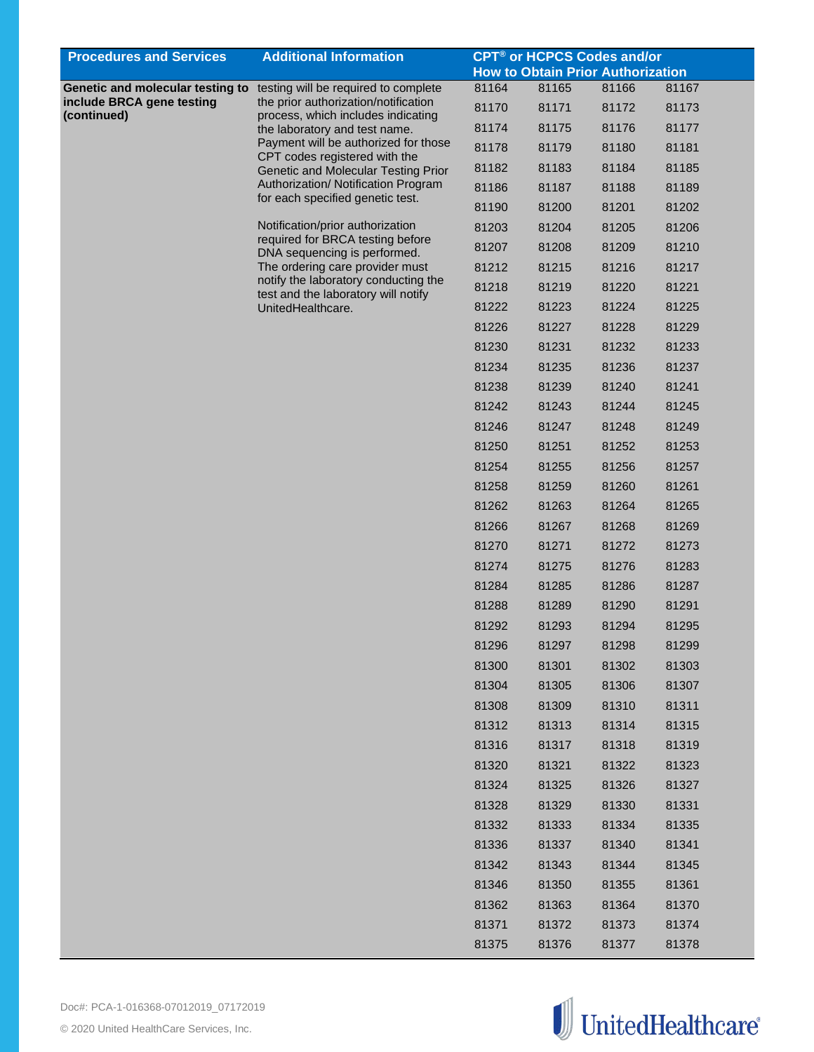| <b>How to Obtain Prior Authorization</b><br>Genetic and molecular testing to testing will be required to complete<br>81164<br>81165<br>81166<br>81167<br>include BRCA gene testing<br>the prior authorization/notification<br>81171<br>81170<br>81172<br>81173<br>process, which includes indicating<br>81175<br>81176<br>81177<br>81174<br>the laboratory and test name.<br>Payment will be authorized for those<br>81178<br>81179<br>81180<br>81181<br>CPT codes registered with the<br>81184<br>81185<br>81182<br>81183<br>Genetic and Molecular Testing Prior<br>Authorization/ Notification Program<br>81187<br>81186<br>81188<br>81189<br>for each specified genetic test.<br>81200<br>81201<br>81202<br>81190<br>Notification/prior authorization<br>81203<br>81204<br>81205<br>81206<br>required for BRCA testing before<br>81208<br>81209<br>81210<br>81207<br>DNA sequencing is performed.<br>The ordering care provider must<br>81212<br>81215<br>81216<br>81217<br>notify the laboratory conducting the<br>81218<br>81219<br>81220<br>81221<br>test and the laboratory will notify<br>81222<br>81223<br>81224<br>81225<br>UnitedHealthcare.<br>81226<br>81227<br>81228<br>81229<br>81230<br>81231<br>81232<br>81233<br>81234<br>81235<br>81236<br>81237<br>81238<br>81239<br>81240<br>81241<br>81242<br>81243<br>81244<br>81245<br>81246<br>81247<br>81248<br>81249<br>81250<br>81251<br>81252<br>81253<br>81254<br>81255<br>81256<br>81257<br>81258<br>81259<br>81260<br>81261<br>81262<br>81263<br>81264<br>81265<br>81266<br>81267<br>81268<br>81269<br>81270<br>81271<br>81272<br>81273<br>81276<br>81274<br>81275<br>81283<br>81284<br>81285<br>81286<br>81287<br>81290<br>81291<br>81288<br>81289<br>81292<br>81294<br>81295<br>81293<br>81296<br>81297<br>81298<br>81299<br>81300<br>81301<br>81302<br>81303<br>81304<br>81305<br>81306<br>81307<br>81308<br>81309<br>81310<br>81311<br>81312<br>81313<br>81314<br>81315<br>81316<br>81317<br>81318<br>81319<br>81320<br>81321<br>81322<br>81323<br>81324<br>81325<br>81326<br>81327<br>81328<br>81329<br>81330<br>81331<br>81332<br>81333<br>81334<br>81335<br>81336<br>81337<br>81340<br>81341<br>81342<br>81343<br>81344<br>81345<br>81346<br>81350<br>81355<br>81361<br>81362<br>81363<br>81364<br>81370<br>81371<br>81372<br>81373<br>81374 | <b>Procedures and Services</b> | <b>Additional Information</b> | <b>CPT<sup>®</sup> or HCPCS Codes and/or</b> |       |       |       |  |
|---------------------------------------------------------------------------------------------------------------------------------------------------------------------------------------------------------------------------------------------------------------------------------------------------------------------------------------------------------------------------------------------------------------------------------------------------------------------------------------------------------------------------------------------------------------------------------------------------------------------------------------------------------------------------------------------------------------------------------------------------------------------------------------------------------------------------------------------------------------------------------------------------------------------------------------------------------------------------------------------------------------------------------------------------------------------------------------------------------------------------------------------------------------------------------------------------------------------------------------------------------------------------------------------------------------------------------------------------------------------------------------------------------------------------------------------------------------------------------------------------------------------------------------------------------------------------------------------------------------------------------------------------------------------------------------------------------------------------------------------------------------------------------------------------------------------------------------------------------------------------------------------------------------------------------------------------------------------------------------------------------------------------------------------------------------------------------------------------------------------------------------------------------------------------------------------------------------------------------------------------------------------------------------------------------------------|--------------------------------|-------------------------------|----------------------------------------------|-------|-------|-------|--|
|                                                                                                                                                                                                                                                                                                                                                                                                                                                                                                                                                                                                                                                                                                                                                                                                                                                                                                                                                                                                                                                                                                                                                                                                                                                                                                                                                                                                                                                                                                                                                                                                                                                                                                                                                                                                                                                                                                                                                                                                                                                                                                                                                                                                                                                                                                                     |                                |                               |                                              |       |       |       |  |
|                                                                                                                                                                                                                                                                                                                                                                                                                                                                                                                                                                                                                                                                                                                                                                                                                                                                                                                                                                                                                                                                                                                                                                                                                                                                                                                                                                                                                                                                                                                                                                                                                                                                                                                                                                                                                                                                                                                                                                                                                                                                                                                                                                                                                                                                                                                     |                                |                               |                                              |       |       |       |  |
|                                                                                                                                                                                                                                                                                                                                                                                                                                                                                                                                                                                                                                                                                                                                                                                                                                                                                                                                                                                                                                                                                                                                                                                                                                                                                                                                                                                                                                                                                                                                                                                                                                                                                                                                                                                                                                                                                                                                                                                                                                                                                                                                                                                                                                                                                                                     | (continued)                    |                               |                                              |       |       |       |  |
|                                                                                                                                                                                                                                                                                                                                                                                                                                                                                                                                                                                                                                                                                                                                                                                                                                                                                                                                                                                                                                                                                                                                                                                                                                                                                                                                                                                                                                                                                                                                                                                                                                                                                                                                                                                                                                                                                                                                                                                                                                                                                                                                                                                                                                                                                                                     |                                |                               |                                              |       |       |       |  |
|                                                                                                                                                                                                                                                                                                                                                                                                                                                                                                                                                                                                                                                                                                                                                                                                                                                                                                                                                                                                                                                                                                                                                                                                                                                                                                                                                                                                                                                                                                                                                                                                                                                                                                                                                                                                                                                                                                                                                                                                                                                                                                                                                                                                                                                                                                                     |                                |                               |                                              |       |       |       |  |
|                                                                                                                                                                                                                                                                                                                                                                                                                                                                                                                                                                                                                                                                                                                                                                                                                                                                                                                                                                                                                                                                                                                                                                                                                                                                                                                                                                                                                                                                                                                                                                                                                                                                                                                                                                                                                                                                                                                                                                                                                                                                                                                                                                                                                                                                                                                     |                                |                               |                                              |       |       |       |  |
|                                                                                                                                                                                                                                                                                                                                                                                                                                                                                                                                                                                                                                                                                                                                                                                                                                                                                                                                                                                                                                                                                                                                                                                                                                                                                                                                                                                                                                                                                                                                                                                                                                                                                                                                                                                                                                                                                                                                                                                                                                                                                                                                                                                                                                                                                                                     |                                |                               |                                              |       |       |       |  |
|                                                                                                                                                                                                                                                                                                                                                                                                                                                                                                                                                                                                                                                                                                                                                                                                                                                                                                                                                                                                                                                                                                                                                                                                                                                                                                                                                                                                                                                                                                                                                                                                                                                                                                                                                                                                                                                                                                                                                                                                                                                                                                                                                                                                                                                                                                                     |                                |                               |                                              |       |       |       |  |
|                                                                                                                                                                                                                                                                                                                                                                                                                                                                                                                                                                                                                                                                                                                                                                                                                                                                                                                                                                                                                                                                                                                                                                                                                                                                                                                                                                                                                                                                                                                                                                                                                                                                                                                                                                                                                                                                                                                                                                                                                                                                                                                                                                                                                                                                                                                     |                                |                               |                                              |       |       |       |  |
|                                                                                                                                                                                                                                                                                                                                                                                                                                                                                                                                                                                                                                                                                                                                                                                                                                                                                                                                                                                                                                                                                                                                                                                                                                                                                                                                                                                                                                                                                                                                                                                                                                                                                                                                                                                                                                                                                                                                                                                                                                                                                                                                                                                                                                                                                                                     |                                |                               |                                              |       |       |       |  |
|                                                                                                                                                                                                                                                                                                                                                                                                                                                                                                                                                                                                                                                                                                                                                                                                                                                                                                                                                                                                                                                                                                                                                                                                                                                                                                                                                                                                                                                                                                                                                                                                                                                                                                                                                                                                                                                                                                                                                                                                                                                                                                                                                                                                                                                                                                                     |                                |                               |                                              |       |       |       |  |
|                                                                                                                                                                                                                                                                                                                                                                                                                                                                                                                                                                                                                                                                                                                                                                                                                                                                                                                                                                                                                                                                                                                                                                                                                                                                                                                                                                                                                                                                                                                                                                                                                                                                                                                                                                                                                                                                                                                                                                                                                                                                                                                                                                                                                                                                                                                     |                                |                               |                                              |       |       |       |  |
|                                                                                                                                                                                                                                                                                                                                                                                                                                                                                                                                                                                                                                                                                                                                                                                                                                                                                                                                                                                                                                                                                                                                                                                                                                                                                                                                                                                                                                                                                                                                                                                                                                                                                                                                                                                                                                                                                                                                                                                                                                                                                                                                                                                                                                                                                                                     |                                |                               |                                              |       |       |       |  |
|                                                                                                                                                                                                                                                                                                                                                                                                                                                                                                                                                                                                                                                                                                                                                                                                                                                                                                                                                                                                                                                                                                                                                                                                                                                                                                                                                                                                                                                                                                                                                                                                                                                                                                                                                                                                                                                                                                                                                                                                                                                                                                                                                                                                                                                                                                                     |                                |                               |                                              |       |       |       |  |
|                                                                                                                                                                                                                                                                                                                                                                                                                                                                                                                                                                                                                                                                                                                                                                                                                                                                                                                                                                                                                                                                                                                                                                                                                                                                                                                                                                                                                                                                                                                                                                                                                                                                                                                                                                                                                                                                                                                                                                                                                                                                                                                                                                                                                                                                                                                     |                                |                               |                                              |       |       |       |  |
|                                                                                                                                                                                                                                                                                                                                                                                                                                                                                                                                                                                                                                                                                                                                                                                                                                                                                                                                                                                                                                                                                                                                                                                                                                                                                                                                                                                                                                                                                                                                                                                                                                                                                                                                                                                                                                                                                                                                                                                                                                                                                                                                                                                                                                                                                                                     |                                |                               |                                              |       |       |       |  |
|                                                                                                                                                                                                                                                                                                                                                                                                                                                                                                                                                                                                                                                                                                                                                                                                                                                                                                                                                                                                                                                                                                                                                                                                                                                                                                                                                                                                                                                                                                                                                                                                                                                                                                                                                                                                                                                                                                                                                                                                                                                                                                                                                                                                                                                                                                                     |                                |                               |                                              |       |       |       |  |
|                                                                                                                                                                                                                                                                                                                                                                                                                                                                                                                                                                                                                                                                                                                                                                                                                                                                                                                                                                                                                                                                                                                                                                                                                                                                                                                                                                                                                                                                                                                                                                                                                                                                                                                                                                                                                                                                                                                                                                                                                                                                                                                                                                                                                                                                                                                     |                                |                               |                                              |       |       |       |  |
|                                                                                                                                                                                                                                                                                                                                                                                                                                                                                                                                                                                                                                                                                                                                                                                                                                                                                                                                                                                                                                                                                                                                                                                                                                                                                                                                                                                                                                                                                                                                                                                                                                                                                                                                                                                                                                                                                                                                                                                                                                                                                                                                                                                                                                                                                                                     |                                |                               |                                              |       |       |       |  |
|                                                                                                                                                                                                                                                                                                                                                                                                                                                                                                                                                                                                                                                                                                                                                                                                                                                                                                                                                                                                                                                                                                                                                                                                                                                                                                                                                                                                                                                                                                                                                                                                                                                                                                                                                                                                                                                                                                                                                                                                                                                                                                                                                                                                                                                                                                                     |                                |                               |                                              |       |       |       |  |
|                                                                                                                                                                                                                                                                                                                                                                                                                                                                                                                                                                                                                                                                                                                                                                                                                                                                                                                                                                                                                                                                                                                                                                                                                                                                                                                                                                                                                                                                                                                                                                                                                                                                                                                                                                                                                                                                                                                                                                                                                                                                                                                                                                                                                                                                                                                     |                                |                               |                                              |       |       |       |  |
|                                                                                                                                                                                                                                                                                                                                                                                                                                                                                                                                                                                                                                                                                                                                                                                                                                                                                                                                                                                                                                                                                                                                                                                                                                                                                                                                                                                                                                                                                                                                                                                                                                                                                                                                                                                                                                                                                                                                                                                                                                                                                                                                                                                                                                                                                                                     |                                |                               |                                              |       |       |       |  |
|                                                                                                                                                                                                                                                                                                                                                                                                                                                                                                                                                                                                                                                                                                                                                                                                                                                                                                                                                                                                                                                                                                                                                                                                                                                                                                                                                                                                                                                                                                                                                                                                                                                                                                                                                                                                                                                                                                                                                                                                                                                                                                                                                                                                                                                                                                                     |                                |                               |                                              |       |       |       |  |
|                                                                                                                                                                                                                                                                                                                                                                                                                                                                                                                                                                                                                                                                                                                                                                                                                                                                                                                                                                                                                                                                                                                                                                                                                                                                                                                                                                                                                                                                                                                                                                                                                                                                                                                                                                                                                                                                                                                                                                                                                                                                                                                                                                                                                                                                                                                     |                                |                               |                                              |       |       |       |  |
|                                                                                                                                                                                                                                                                                                                                                                                                                                                                                                                                                                                                                                                                                                                                                                                                                                                                                                                                                                                                                                                                                                                                                                                                                                                                                                                                                                                                                                                                                                                                                                                                                                                                                                                                                                                                                                                                                                                                                                                                                                                                                                                                                                                                                                                                                                                     |                                |                               |                                              |       |       |       |  |
|                                                                                                                                                                                                                                                                                                                                                                                                                                                                                                                                                                                                                                                                                                                                                                                                                                                                                                                                                                                                                                                                                                                                                                                                                                                                                                                                                                                                                                                                                                                                                                                                                                                                                                                                                                                                                                                                                                                                                                                                                                                                                                                                                                                                                                                                                                                     |                                |                               |                                              |       |       |       |  |
|                                                                                                                                                                                                                                                                                                                                                                                                                                                                                                                                                                                                                                                                                                                                                                                                                                                                                                                                                                                                                                                                                                                                                                                                                                                                                                                                                                                                                                                                                                                                                                                                                                                                                                                                                                                                                                                                                                                                                                                                                                                                                                                                                                                                                                                                                                                     |                                |                               |                                              |       |       |       |  |
|                                                                                                                                                                                                                                                                                                                                                                                                                                                                                                                                                                                                                                                                                                                                                                                                                                                                                                                                                                                                                                                                                                                                                                                                                                                                                                                                                                                                                                                                                                                                                                                                                                                                                                                                                                                                                                                                                                                                                                                                                                                                                                                                                                                                                                                                                                                     |                                |                               |                                              |       |       |       |  |
|                                                                                                                                                                                                                                                                                                                                                                                                                                                                                                                                                                                                                                                                                                                                                                                                                                                                                                                                                                                                                                                                                                                                                                                                                                                                                                                                                                                                                                                                                                                                                                                                                                                                                                                                                                                                                                                                                                                                                                                                                                                                                                                                                                                                                                                                                                                     |                                |                               |                                              |       |       |       |  |
|                                                                                                                                                                                                                                                                                                                                                                                                                                                                                                                                                                                                                                                                                                                                                                                                                                                                                                                                                                                                                                                                                                                                                                                                                                                                                                                                                                                                                                                                                                                                                                                                                                                                                                                                                                                                                                                                                                                                                                                                                                                                                                                                                                                                                                                                                                                     |                                |                               |                                              |       |       |       |  |
|                                                                                                                                                                                                                                                                                                                                                                                                                                                                                                                                                                                                                                                                                                                                                                                                                                                                                                                                                                                                                                                                                                                                                                                                                                                                                                                                                                                                                                                                                                                                                                                                                                                                                                                                                                                                                                                                                                                                                                                                                                                                                                                                                                                                                                                                                                                     |                                |                               |                                              |       |       |       |  |
|                                                                                                                                                                                                                                                                                                                                                                                                                                                                                                                                                                                                                                                                                                                                                                                                                                                                                                                                                                                                                                                                                                                                                                                                                                                                                                                                                                                                                                                                                                                                                                                                                                                                                                                                                                                                                                                                                                                                                                                                                                                                                                                                                                                                                                                                                                                     |                                |                               |                                              |       |       |       |  |
|                                                                                                                                                                                                                                                                                                                                                                                                                                                                                                                                                                                                                                                                                                                                                                                                                                                                                                                                                                                                                                                                                                                                                                                                                                                                                                                                                                                                                                                                                                                                                                                                                                                                                                                                                                                                                                                                                                                                                                                                                                                                                                                                                                                                                                                                                                                     |                                |                               |                                              |       |       |       |  |
|                                                                                                                                                                                                                                                                                                                                                                                                                                                                                                                                                                                                                                                                                                                                                                                                                                                                                                                                                                                                                                                                                                                                                                                                                                                                                                                                                                                                                                                                                                                                                                                                                                                                                                                                                                                                                                                                                                                                                                                                                                                                                                                                                                                                                                                                                                                     |                                |                               |                                              |       |       |       |  |
|                                                                                                                                                                                                                                                                                                                                                                                                                                                                                                                                                                                                                                                                                                                                                                                                                                                                                                                                                                                                                                                                                                                                                                                                                                                                                                                                                                                                                                                                                                                                                                                                                                                                                                                                                                                                                                                                                                                                                                                                                                                                                                                                                                                                                                                                                                                     |                                |                               |                                              |       |       |       |  |
|                                                                                                                                                                                                                                                                                                                                                                                                                                                                                                                                                                                                                                                                                                                                                                                                                                                                                                                                                                                                                                                                                                                                                                                                                                                                                                                                                                                                                                                                                                                                                                                                                                                                                                                                                                                                                                                                                                                                                                                                                                                                                                                                                                                                                                                                                                                     |                                |                               |                                              |       |       |       |  |
|                                                                                                                                                                                                                                                                                                                                                                                                                                                                                                                                                                                                                                                                                                                                                                                                                                                                                                                                                                                                                                                                                                                                                                                                                                                                                                                                                                                                                                                                                                                                                                                                                                                                                                                                                                                                                                                                                                                                                                                                                                                                                                                                                                                                                                                                                                                     |                                |                               |                                              |       |       |       |  |
|                                                                                                                                                                                                                                                                                                                                                                                                                                                                                                                                                                                                                                                                                                                                                                                                                                                                                                                                                                                                                                                                                                                                                                                                                                                                                                                                                                                                                                                                                                                                                                                                                                                                                                                                                                                                                                                                                                                                                                                                                                                                                                                                                                                                                                                                                                                     |                                |                               |                                              |       |       |       |  |
|                                                                                                                                                                                                                                                                                                                                                                                                                                                                                                                                                                                                                                                                                                                                                                                                                                                                                                                                                                                                                                                                                                                                                                                                                                                                                                                                                                                                                                                                                                                                                                                                                                                                                                                                                                                                                                                                                                                                                                                                                                                                                                                                                                                                                                                                                                                     |                                |                               |                                              |       |       |       |  |
|                                                                                                                                                                                                                                                                                                                                                                                                                                                                                                                                                                                                                                                                                                                                                                                                                                                                                                                                                                                                                                                                                                                                                                                                                                                                                                                                                                                                                                                                                                                                                                                                                                                                                                                                                                                                                                                                                                                                                                                                                                                                                                                                                                                                                                                                                                                     |                                |                               |                                              |       |       |       |  |
|                                                                                                                                                                                                                                                                                                                                                                                                                                                                                                                                                                                                                                                                                                                                                                                                                                                                                                                                                                                                                                                                                                                                                                                                                                                                                                                                                                                                                                                                                                                                                                                                                                                                                                                                                                                                                                                                                                                                                                                                                                                                                                                                                                                                                                                                                                                     |                                |                               |                                              |       |       |       |  |
|                                                                                                                                                                                                                                                                                                                                                                                                                                                                                                                                                                                                                                                                                                                                                                                                                                                                                                                                                                                                                                                                                                                                                                                                                                                                                                                                                                                                                                                                                                                                                                                                                                                                                                                                                                                                                                                                                                                                                                                                                                                                                                                                                                                                                                                                                                                     |                                |                               |                                              |       |       |       |  |
|                                                                                                                                                                                                                                                                                                                                                                                                                                                                                                                                                                                                                                                                                                                                                                                                                                                                                                                                                                                                                                                                                                                                                                                                                                                                                                                                                                                                                                                                                                                                                                                                                                                                                                                                                                                                                                                                                                                                                                                                                                                                                                                                                                                                                                                                                                                     |                                |                               |                                              |       |       |       |  |
|                                                                                                                                                                                                                                                                                                                                                                                                                                                                                                                                                                                                                                                                                                                                                                                                                                                                                                                                                                                                                                                                                                                                                                                                                                                                                                                                                                                                                                                                                                                                                                                                                                                                                                                                                                                                                                                                                                                                                                                                                                                                                                                                                                                                                                                                                                                     |                                |                               |                                              |       |       |       |  |
|                                                                                                                                                                                                                                                                                                                                                                                                                                                                                                                                                                                                                                                                                                                                                                                                                                                                                                                                                                                                                                                                                                                                                                                                                                                                                                                                                                                                                                                                                                                                                                                                                                                                                                                                                                                                                                                                                                                                                                                                                                                                                                                                                                                                                                                                                                                     |                                |                               | 81375                                        | 81376 | 81377 | 81378 |  |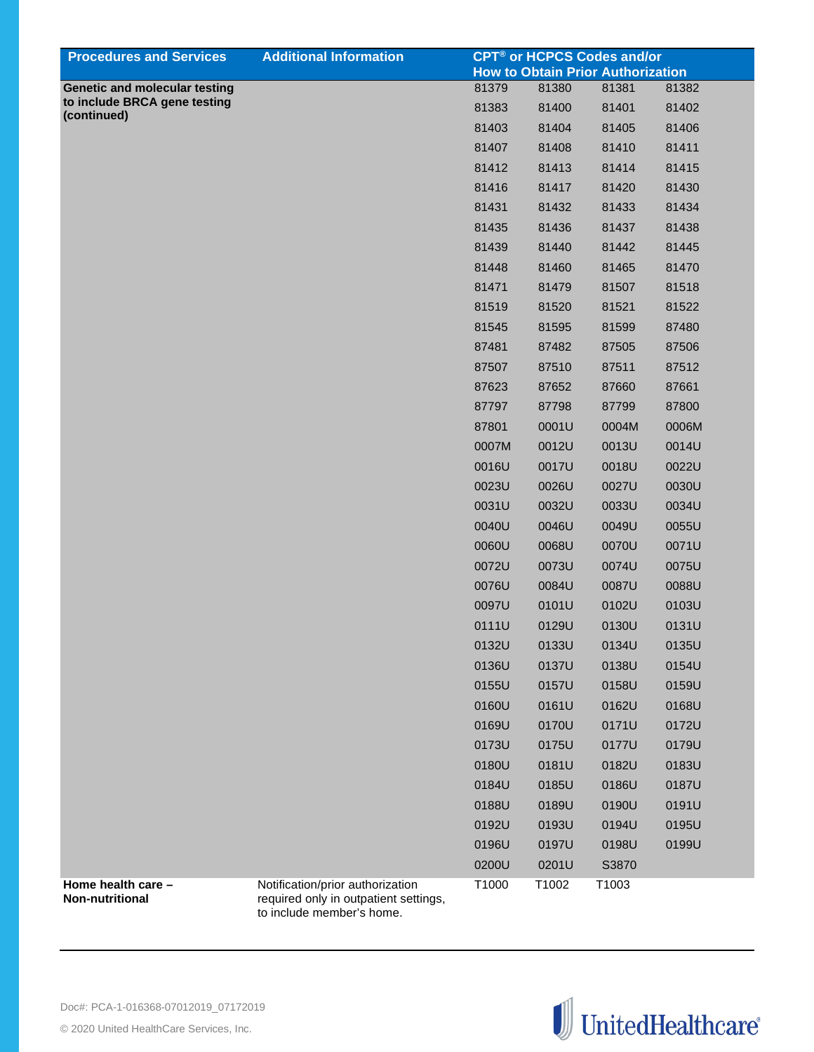| <b>Procedures and Services</b>                                       | <b>Additional Information</b>                                                                          |       |       | <b>CPT<sup>®</sup> or HCPCS Codes and/or</b> |       |
|----------------------------------------------------------------------|--------------------------------------------------------------------------------------------------------|-------|-------|----------------------------------------------|-------|
|                                                                      |                                                                                                        |       |       | <b>How to Obtain Prior Authorization</b>     |       |
| <b>Genetic and molecular testing</b><br>to include BRCA gene testing |                                                                                                        | 81379 | 81380 | 81381                                        | 81382 |
| (continued)                                                          |                                                                                                        | 81383 | 81400 | 81401                                        | 81402 |
|                                                                      |                                                                                                        | 81403 | 81404 | 81405                                        | 81406 |
|                                                                      |                                                                                                        | 81407 | 81408 | 81410                                        | 81411 |
|                                                                      |                                                                                                        | 81412 | 81413 | 81414                                        | 81415 |
|                                                                      |                                                                                                        | 81416 | 81417 | 81420                                        | 81430 |
|                                                                      |                                                                                                        | 81431 | 81432 | 81433                                        | 81434 |
|                                                                      |                                                                                                        | 81435 | 81436 | 81437                                        | 81438 |
|                                                                      |                                                                                                        | 81439 | 81440 | 81442                                        | 81445 |
|                                                                      |                                                                                                        | 81448 | 81460 | 81465                                        | 81470 |
|                                                                      |                                                                                                        | 81471 | 81479 | 81507                                        | 81518 |
|                                                                      |                                                                                                        | 81519 | 81520 | 81521                                        | 81522 |
|                                                                      |                                                                                                        | 81545 | 81595 | 81599                                        | 87480 |
|                                                                      |                                                                                                        | 87481 | 87482 | 87505                                        | 87506 |
|                                                                      |                                                                                                        | 87507 | 87510 | 87511                                        | 87512 |
|                                                                      |                                                                                                        | 87623 | 87652 | 87660                                        | 87661 |
|                                                                      |                                                                                                        | 87797 | 87798 | 87799                                        | 87800 |
|                                                                      |                                                                                                        | 87801 | 0001U | 0004M                                        | 0006M |
|                                                                      |                                                                                                        | 0007M | 0012U | 0013U                                        | 0014U |
|                                                                      |                                                                                                        | 0016U | 0017U | 0018U                                        | 0022U |
|                                                                      |                                                                                                        | 0023U | 0026U | 0027U                                        | 0030U |
|                                                                      |                                                                                                        | 0031U | 0032U | 0033U                                        | 0034U |
|                                                                      |                                                                                                        | 0040U | 0046U | 0049U                                        | 0055U |
|                                                                      |                                                                                                        | 0060U | 0068U | 0070U                                        | 0071U |
|                                                                      |                                                                                                        | 0072U | 0073U | 0074U                                        | 0075U |
|                                                                      |                                                                                                        | 0076U | 0084U | 0087U                                        | 0088U |
|                                                                      |                                                                                                        | 0097U | 0101U | 0102U                                        | 0103U |
|                                                                      |                                                                                                        | 0111U | 0129U | 0130U                                        | 0131U |
|                                                                      |                                                                                                        | 0132U | 0133U | 0134U                                        | 0135U |
|                                                                      |                                                                                                        | 0136U | 0137U | 0138U                                        | 0154U |
|                                                                      |                                                                                                        | 0155U | 0157U | 0158U                                        | 0159U |
|                                                                      |                                                                                                        | 0160U | 0161U | 0162U                                        | 0168U |
|                                                                      |                                                                                                        | 0169U | 0170U | 0171U                                        | 0172U |
|                                                                      |                                                                                                        | 0173U | 0175U | 0177U                                        | 0179U |
|                                                                      |                                                                                                        | 0180U | 0181U | 0182U                                        | 0183U |
|                                                                      |                                                                                                        | 0184U | 0185U | 0186U                                        | 0187U |
|                                                                      |                                                                                                        | 0188U | 0189U | 0190U                                        | 0191U |
|                                                                      |                                                                                                        | 0192U | 0193U | 0194U                                        | 0195U |
|                                                                      |                                                                                                        | 0196U | 0197U | 0198U                                        | 0199U |
|                                                                      |                                                                                                        | 0200U | 0201U | S3870                                        |       |
| Home health care -<br>Non-nutritional                                | Notification/prior authorization<br>required only in outpatient settings,<br>to include member's home. | T1000 | T1002 | T1003                                        |       |

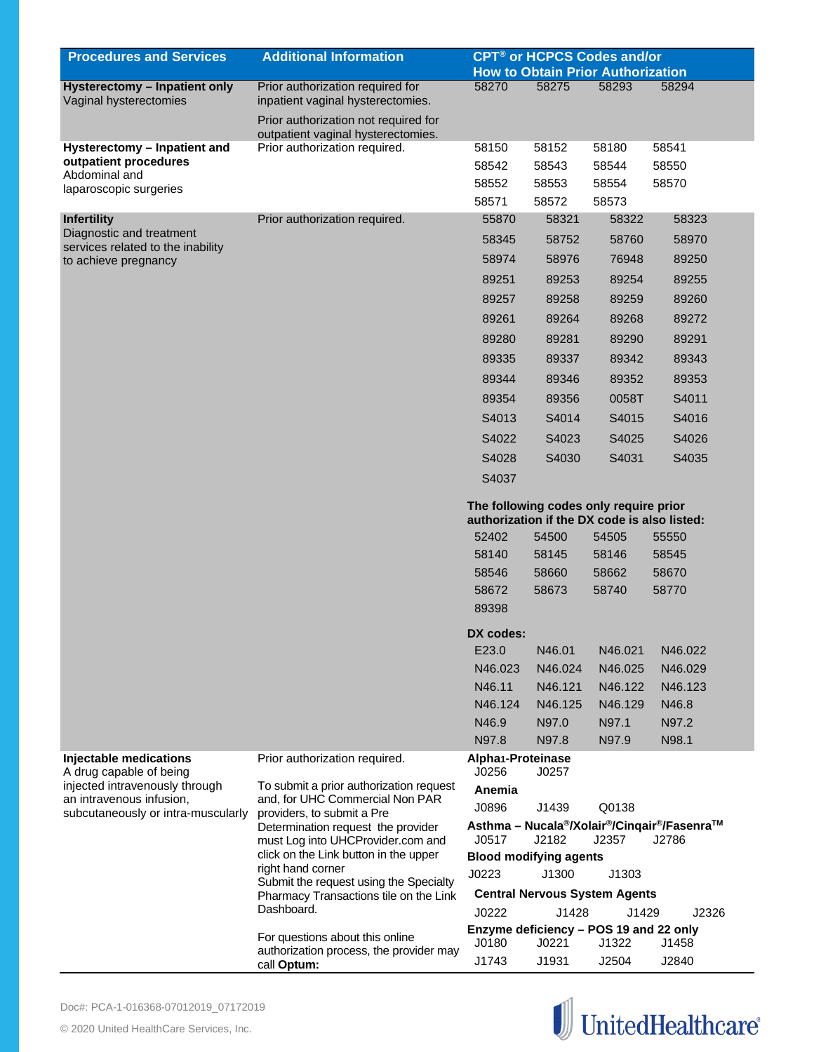| <b>Procedures and Services</b>                                | <b>Additional Information</b>                                              | CPT <sup>®</sup> or HCPCS Codes and/or                                                 |         |                                          |                                                                                            |
|---------------------------------------------------------------|----------------------------------------------------------------------------|----------------------------------------------------------------------------------------|---------|------------------------------------------|--------------------------------------------------------------------------------------------|
|                                                               |                                                                            |                                                                                        |         | <b>How to Obtain Prior Authorization</b> |                                                                                            |
| Hysterectomy - Inpatient only<br>Vaginal hysterectomies       | Prior authorization required for<br>inpatient vaginal hysterectomies.      | 58270                                                                                  | 58275   | 58293                                    | 58294                                                                                      |
|                                                               | Prior authorization not required for<br>outpatient vaginal hysterectomies. |                                                                                        |         |                                          |                                                                                            |
| Hysterectomy - Inpatient and                                  | Prior authorization required.                                              | 58150                                                                                  | 58152   | 58180                                    | 58541                                                                                      |
| outpatient procedures<br>Abdominal and                        |                                                                            | 58542                                                                                  | 58543   | 58544                                    | 58550                                                                                      |
| laparoscopic surgeries                                        |                                                                            | 58552                                                                                  | 58553   | 58554                                    | 58570                                                                                      |
|                                                               |                                                                            | 58571                                                                                  | 58572   | 58573                                    |                                                                                            |
| Infertility                                                   | Prior authorization required.                                              | 55870                                                                                  | 58321   | 58322                                    | 58323                                                                                      |
| Diagnostic and treatment<br>services related to the inability |                                                                            | 58345                                                                                  | 58752   | 58760                                    | 58970                                                                                      |
| to achieve pregnancy                                          |                                                                            | 58974                                                                                  | 58976   | 76948                                    | 89250                                                                                      |
|                                                               |                                                                            | 89251                                                                                  | 89253   | 89254                                    | 89255                                                                                      |
|                                                               |                                                                            | 89257                                                                                  | 89258   | 89259                                    | 89260                                                                                      |
|                                                               |                                                                            | 89261                                                                                  | 89264   | 89268                                    | 89272                                                                                      |
|                                                               |                                                                            | 89280                                                                                  | 89281   | 89290                                    | 89291                                                                                      |
|                                                               |                                                                            | 89335                                                                                  | 89337   | 89342                                    | 89343                                                                                      |
|                                                               |                                                                            | 89344                                                                                  | 89346   | 89352                                    | 89353                                                                                      |
|                                                               |                                                                            | 89354                                                                                  | 89356   | 0058T                                    | S4011                                                                                      |
|                                                               |                                                                            | S4013                                                                                  | S4014   | S4015                                    | S4016                                                                                      |
|                                                               |                                                                            | S4022                                                                                  | S4023   | S4025                                    |                                                                                            |
|                                                               |                                                                            |                                                                                        |         |                                          | S4026                                                                                      |
|                                                               |                                                                            | S4028                                                                                  | S4030   | S4031                                    | S4035                                                                                      |
|                                                               |                                                                            | S4037                                                                                  |         |                                          |                                                                                            |
|                                                               |                                                                            | The following codes only require prior<br>authorization if the DX code is also listed: |         |                                          |                                                                                            |
|                                                               |                                                                            | 52402                                                                                  | 54500   | 54505                                    | 55550                                                                                      |
|                                                               |                                                                            | 58140                                                                                  | 58145   | 58146                                    | 58545                                                                                      |
|                                                               |                                                                            | 58546                                                                                  | 58660   | 58662                                    | 58670                                                                                      |
|                                                               |                                                                            | 58672                                                                                  | 58673   | 58740                                    | 58770                                                                                      |
|                                                               |                                                                            | 89398                                                                                  |         |                                          |                                                                                            |
|                                                               |                                                                            |                                                                                        |         |                                          |                                                                                            |
|                                                               |                                                                            | DX codes:                                                                              |         |                                          |                                                                                            |
|                                                               |                                                                            | E23.0                                                                                  | N46.01  | N46.021                                  | N46.022                                                                                    |
|                                                               |                                                                            | N46.023                                                                                | N46.024 | N46.025                                  | N46.029                                                                                    |
|                                                               |                                                                            | N46.11                                                                                 | N46.121 | N46.122                                  | N46.123                                                                                    |
|                                                               |                                                                            | N46.124                                                                                | N46.125 | N46.129                                  | N46.8                                                                                      |
|                                                               |                                                                            | N46.9                                                                                  | N97.0   | N97.1                                    | N97.2                                                                                      |
| Injectable medications                                        |                                                                            | N97.8                                                                                  | N97.8   | N97.9                                    | N98.1                                                                                      |
| A drug capable of being                                       | Prior authorization required.                                              | Alpha1-Proteinase<br>J0256                                                             | J0257   |                                          |                                                                                            |
| injected intravenously through<br>an intravenous infusion,    | To submit a prior authorization request<br>and, for UHC Commercial Non PAR | Anemia                                                                                 |         |                                          |                                                                                            |
| subcutaneously or intra-muscularly                            | providers, to submit a Pre                                                 | J0896                                                                                  | J1439   | Q0138                                    |                                                                                            |
|                                                               | Determination request the provider<br>must Log into UHCProvider.com and    | J0517                                                                                  | J2182   | J2357                                    | Asthma - Nucala <sup>®</sup> /Xolair <sup>®</sup> /Cinqair <sup>®</sup> /Fasenra™<br>J2786 |
|                                                               | click on the Link button in the upper                                      | <b>Blood modifying agents</b>                                                          |         |                                          |                                                                                            |
|                                                               | right hand corner<br>Submit the request using the Specialty                | J0223                                                                                  | J1300   | J1303                                    |                                                                                            |
|                                                               | Pharmacy Transactions tile on the Link                                     |                                                                                        |         | <b>Central Nervous System Agents</b>     |                                                                                            |
|                                                               | Dashboard.                                                                 | J0222                                                                                  | J1428   | J1429                                    | J2326                                                                                      |
|                                                               | For questions about this online                                            | Enzyme deficiency - POS 19 and 22 only                                                 |         |                                          |                                                                                            |
|                                                               | authorization process, the provider may                                    | J0180                                                                                  | J0221   | J1322                                    | J1458                                                                                      |
|                                                               | call Optum:                                                                | J1743                                                                                  | J1931   | J2504                                    | J2840                                                                                      |

![](_page_10_Picture_2.jpeg)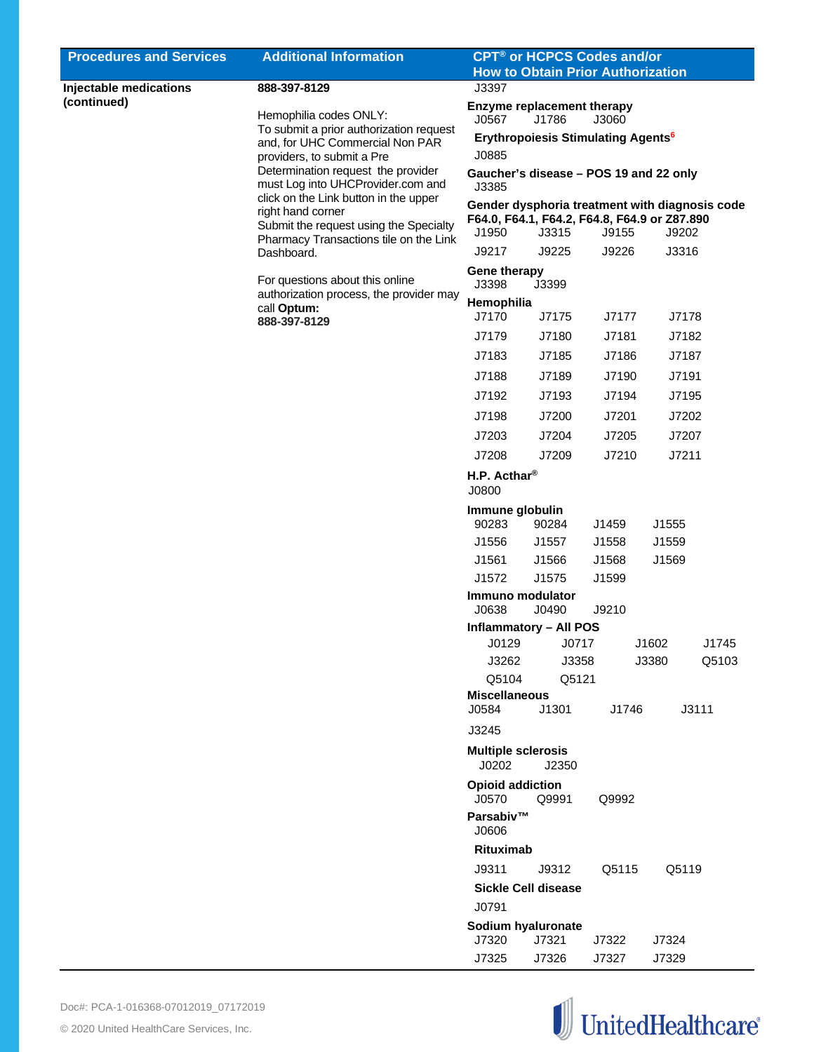| <b>Procedures and Services</b>        | <b>Additional Information</b>                                              | <b>CPT<sup>®</sup> or HCPCS Codes and/or</b><br><b>How to Obtain Prior Authorization</b> |       |       |       |       |
|---------------------------------------|----------------------------------------------------------------------------|------------------------------------------------------------------------------------------|-------|-------|-------|-------|
|                                       |                                                                            |                                                                                          |       |       |       |       |
| Injectable medications<br>(continued) | 888-397-8129                                                               | J3397                                                                                    |       |       |       |       |
|                                       | Hemophilia codes ONLY:                                                     | <b>Enzyme replacement therapy</b><br>J0567                                               | J1786 | J3060 |       |       |
|                                       | To submit a prior authorization request                                    | <b>Erythropoiesis Stimulating Agents<sup>6</sup></b>                                     |       |       |       |       |
|                                       | and, for UHC Commercial Non PAR                                            | J0885                                                                                    |       |       |       |       |
|                                       | providers, to submit a Pre<br>Determination request the provider           | Gaucher's disease - POS 19 and 22 only                                                   |       |       |       |       |
|                                       | must Log into UHCProvider.com and                                          | J3385                                                                                    |       |       |       |       |
|                                       | click on the Link button in the upper                                      | Gender dysphoria treatment with diagnosis code                                           |       |       |       |       |
|                                       | right hand corner<br>Submit the request using the Specialty                | F64.0, F64.1, F64.2, F64.8, F64.9 or Z87.890                                             |       |       |       |       |
|                                       | Pharmacy Transactions tile on the Link                                     | J1950                                                                                    | J3315 | J9155 | J9202 |       |
|                                       | Dashboard.                                                                 | J9217                                                                                    | J9225 | J9226 | J3316 |       |
|                                       |                                                                            | <b>Gene therapy</b>                                                                      |       |       |       |       |
|                                       | For questions about this online<br>authorization process, the provider may | J3398                                                                                    | J3399 |       |       |       |
|                                       | call Optum:                                                                | Hemophilia                                                                               |       |       |       |       |
|                                       | 888-397-8129                                                               | J7170                                                                                    | J7175 | J7177 | J7178 |       |
|                                       |                                                                            | J7179                                                                                    | J7180 | J7181 | J7182 |       |
|                                       |                                                                            | J7183                                                                                    | J7185 | J7186 | J7187 |       |
|                                       |                                                                            | J7188                                                                                    | J7189 | J7190 | J7191 |       |
|                                       |                                                                            | J7192                                                                                    | J7193 | J7194 | J7195 |       |
|                                       |                                                                            | J7198                                                                                    | J7200 | J7201 | J7202 |       |
|                                       |                                                                            | J7203                                                                                    | J7204 | J7205 | J7207 |       |
|                                       |                                                                            | J7208                                                                                    | J7209 | J7210 | J7211 |       |
|                                       |                                                                            | H.P. Acthar <sup>®</sup>                                                                 |       |       |       |       |
|                                       |                                                                            | J0800                                                                                    |       |       |       |       |
|                                       |                                                                            | Immune globulin                                                                          |       |       |       |       |
|                                       |                                                                            | 90283                                                                                    | 90284 | J1459 | J1555 |       |
|                                       |                                                                            | J1556                                                                                    | J1557 | J1558 | J1559 |       |
|                                       |                                                                            | J1561                                                                                    | J1566 | J1568 | J1569 |       |
|                                       |                                                                            | J1572                                                                                    | J1575 | J1599 |       |       |
|                                       |                                                                            | Immuno modulator                                                                         |       |       |       |       |
|                                       |                                                                            | J0638                                                                                    | J0490 | J9210 |       |       |
|                                       |                                                                            | <b>Inflammatory - All POS</b>                                                            |       |       |       |       |
|                                       |                                                                            | J0129                                                                                    | J0717 |       | J1602 | J1745 |
|                                       |                                                                            | J3262                                                                                    | J3358 |       | J3380 | Q5103 |
|                                       |                                                                            | Q5104                                                                                    | Q5121 |       |       |       |
|                                       |                                                                            | <b>Miscellaneous</b>                                                                     |       |       |       |       |
|                                       |                                                                            | J0584                                                                                    | J1301 | J1746 |       | J3111 |
|                                       |                                                                            | J3245                                                                                    |       |       |       |       |
|                                       |                                                                            | <b>Multiple sclerosis</b>                                                                |       |       |       |       |
|                                       |                                                                            | J0202                                                                                    | J2350 |       |       |       |
|                                       |                                                                            | <b>Opioid addiction</b><br>J0570                                                         | Q9991 | Q9992 |       |       |
|                                       |                                                                            | Parsabiv™                                                                                |       |       |       |       |
|                                       |                                                                            | J0606                                                                                    |       |       |       |       |
|                                       |                                                                            | Rituximab                                                                                |       |       |       |       |
|                                       |                                                                            | J9311                                                                                    | J9312 | Q5115 | Q5119 |       |
|                                       |                                                                            | <b>Sickle Cell disease</b>                                                               |       |       |       |       |
|                                       |                                                                            | J0791                                                                                    |       |       |       |       |
|                                       |                                                                            |                                                                                          |       |       |       |       |
|                                       |                                                                            | Sodium hyaluronate<br>J7320                                                              | J7321 | J7322 | J7324 |       |
|                                       |                                                                            | J7325                                                                                    | J7326 | J7327 | J7329 |       |
|                                       |                                                                            |                                                                                          |       |       |       |       |

![](_page_11_Picture_2.jpeg)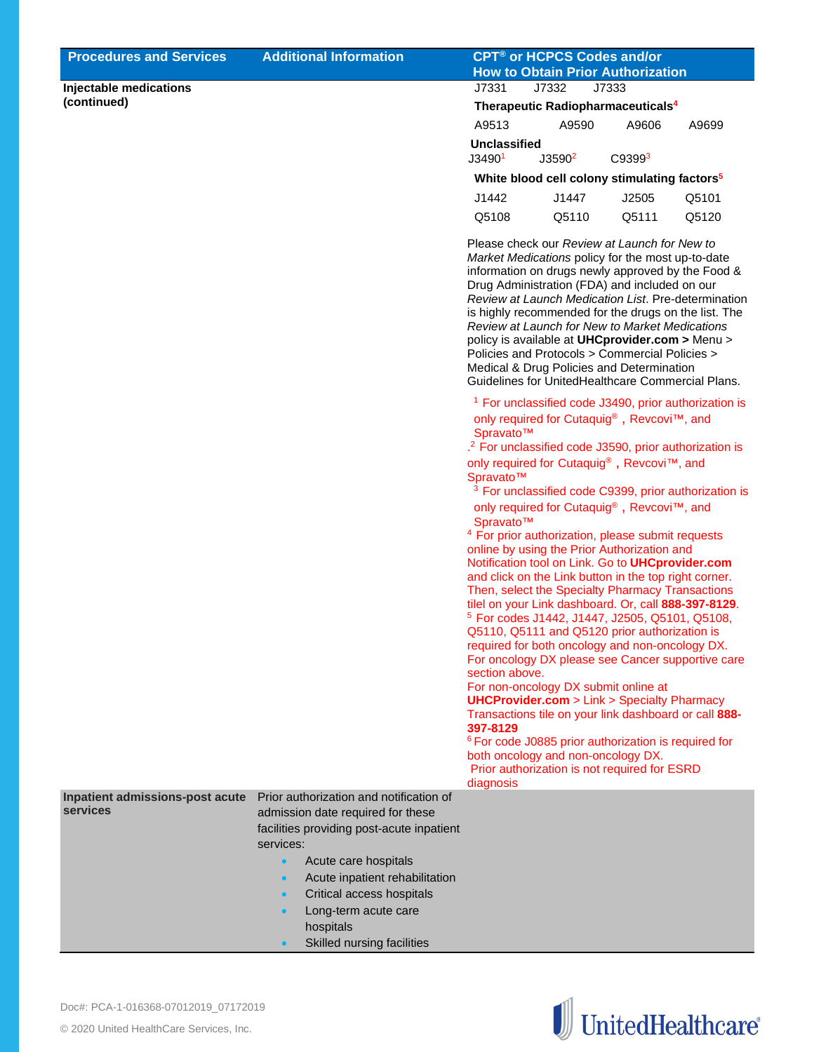| <b>Procedures and Services</b>              | <b>Additional Information</b>                                                                                                                                                                                                                                                                                                                        | <b>CPT<sup>®</sup> or HCPCS Codes and/or</b><br><b>How to Obtain Prior Authorization</b>                                                                                                                                                                                                                                                                                                                                                                                                                                                                                                                                                                                                                                                                                                                                                                                                                                                                                                                                         |
|---------------------------------------------|------------------------------------------------------------------------------------------------------------------------------------------------------------------------------------------------------------------------------------------------------------------------------------------------------------------------------------------------------|----------------------------------------------------------------------------------------------------------------------------------------------------------------------------------------------------------------------------------------------------------------------------------------------------------------------------------------------------------------------------------------------------------------------------------------------------------------------------------------------------------------------------------------------------------------------------------------------------------------------------------------------------------------------------------------------------------------------------------------------------------------------------------------------------------------------------------------------------------------------------------------------------------------------------------------------------------------------------------------------------------------------------------|
| Injectable medications                      |                                                                                                                                                                                                                                                                                                                                                      | J7331<br>J7333<br>J7332                                                                                                                                                                                                                                                                                                                                                                                                                                                                                                                                                                                                                                                                                                                                                                                                                                                                                                                                                                                                          |
| (continued)                                 |                                                                                                                                                                                                                                                                                                                                                      | Therapeutic Radiopharmaceuticals <sup>4</sup>                                                                                                                                                                                                                                                                                                                                                                                                                                                                                                                                                                                                                                                                                                                                                                                                                                                                                                                                                                                    |
|                                             |                                                                                                                                                                                                                                                                                                                                                      | A9513<br>A9590<br>A9606<br>A9699                                                                                                                                                                                                                                                                                                                                                                                                                                                                                                                                                                                                                                                                                                                                                                                                                                                                                                                                                                                                 |
|                                             |                                                                                                                                                                                                                                                                                                                                                      | <b>Unclassified</b><br>J3590 <sup>2</sup><br>C93993<br>J34901                                                                                                                                                                                                                                                                                                                                                                                                                                                                                                                                                                                                                                                                                                                                                                                                                                                                                                                                                                    |
|                                             |                                                                                                                                                                                                                                                                                                                                                      | White blood cell colony stimulating factors <sup>5</sup>                                                                                                                                                                                                                                                                                                                                                                                                                                                                                                                                                                                                                                                                                                                                                                                                                                                                                                                                                                         |
|                                             |                                                                                                                                                                                                                                                                                                                                                      | J2505<br>Q5101<br>J1442<br>J1447                                                                                                                                                                                                                                                                                                                                                                                                                                                                                                                                                                                                                                                                                                                                                                                                                                                                                                                                                                                                 |
|                                             |                                                                                                                                                                                                                                                                                                                                                      | Q5111<br>Q5120<br>Q5108<br>Q5110                                                                                                                                                                                                                                                                                                                                                                                                                                                                                                                                                                                                                                                                                                                                                                                                                                                                                                                                                                                                 |
|                                             |                                                                                                                                                                                                                                                                                                                                                      | Please check our Review at Launch for New to<br>Market Medications policy for the most up-to-date<br>information on drugs newly approved by the Food &<br>Drug Administration (FDA) and included on our<br>Review at Launch Medication List. Pre-determination<br>is highly recommended for the drugs on the list. The<br>Review at Launch for New to Market Medications<br>policy is available at UHCprovider.com > Menu ><br>Policies and Protocols > Commercial Policies ><br>Medical & Drug Policies and Determination<br>Guidelines for UnitedHealthcare Commercial Plans.                                                                                                                                                                                                                                                                                                                                                                                                                                                  |
|                                             |                                                                                                                                                                                                                                                                                                                                                      | <sup>1</sup> For unclassified code J3490, prior authorization is<br>only required for Cutaquig <sup>®</sup> , Revcovi™, and<br>Spravato™<br>. <sup>2</sup> For unclassified code J3590, prior authorization is<br>only required for Cutaquig®, Revcovi™, and<br>Spravato™<br><sup>3</sup> For unclassified code C9399, prior authorization is<br>only required for Cutaquig®, Revcovi™, and<br>Spravato™<br><sup>4</sup> For prior authorization, please submit requests<br>online by using the Prior Authorization and<br>Notification tool on Link. Go to UHCprovider.com<br>and click on the Link button in the top right corner.<br>Then, select the Specialty Pharmacy Transactions<br>tilel on your Link dashboard. Or, call 888-397-8129.<br><sup>5</sup> For codes J1442, J1447, J2505, Q5101, Q5108,<br>Q5110, Q5111 and Q5120 prior authorization is<br>required for both oncology and non-oncology DX.<br>For oncology DX please see Cancer supportive care<br>section above.<br>For non-oncology DX submit online at |
|                                             |                                                                                                                                                                                                                                                                                                                                                      | <b>UHCProvider.com</b> > Link > Specialty Pharmacy<br>Transactions tile on your link dashboard or call 888-<br>397-8129<br><sup>6</sup> For code J0885 prior authorization is required for<br>both oncology and non-oncology DX.<br>Prior authorization is not required for ESRD<br>diagnosis                                                                                                                                                                                                                                                                                                                                                                                                                                                                                                                                                                                                                                                                                                                                    |
| Inpatient admissions-post acute<br>services | Prior authorization and notification of<br>admission date required for these<br>facilities providing post-acute inpatient<br>services:<br>Acute care hospitals<br>$\bullet$<br>Acute inpatient rehabilitation<br>$\bullet$<br>Critical access hospitals<br>$\bullet$<br>Long-term acute care<br>$\bullet$<br>hospitals<br>Skilled nursing facilities |                                                                                                                                                                                                                                                                                                                                                                                                                                                                                                                                                                                                                                                                                                                                                                                                                                                                                                                                                                                                                                  |

![](_page_12_Picture_2.jpeg)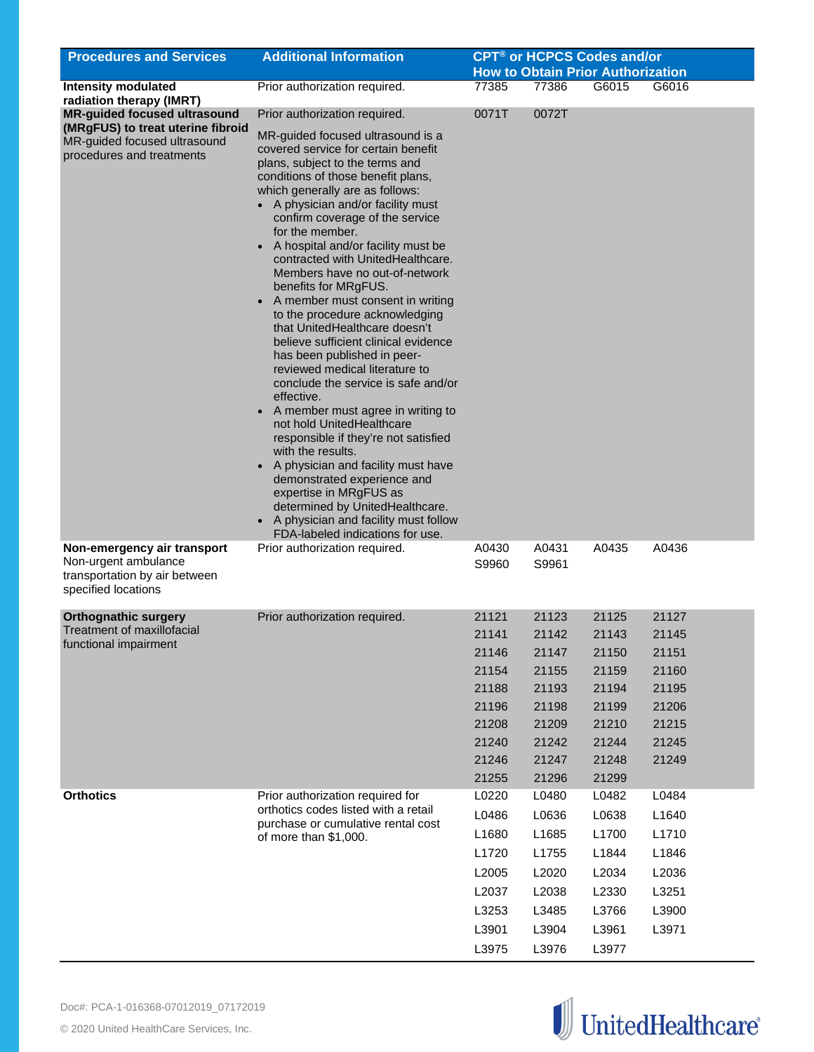| <b>Procedures and Services</b>                                                                              | <b>Additional Information</b>                                                                                                                                                                                                                                                                                                                                                                                                                                                                                                                                                                                                                                                                                                                                                                                                                                                                                                                                                                                                                                     |                |                | <b>CPT<sup>®</sup> or HCPCS Codes and/or</b>      |       |
|-------------------------------------------------------------------------------------------------------------|-------------------------------------------------------------------------------------------------------------------------------------------------------------------------------------------------------------------------------------------------------------------------------------------------------------------------------------------------------------------------------------------------------------------------------------------------------------------------------------------------------------------------------------------------------------------------------------------------------------------------------------------------------------------------------------------------------------------------------------------------------------------------------------------------------------------------------------------------------------------------------------------------------------------------------------------------------------------------------------------------------------------------------------------------------------------|----------------|----------------|---------------------------------------------------|-------|
| <b>Intensity modulated</b>                                                                                  |                                                                                                                                                                                                                                                                                                                                                                                                                                                                                                                                                                                                                                                                                                                                                                                                                                                                                                                                                                                                                                                                   | 77385          | 77386          | <b>How to Obtain Prior Authorization</b><br>G6015 | G6016 |
| radiation therapy (IMRT)                                                                                    | Prior authorization required.                                                                                                                                                                                                                                                                                                                                                                                                                                                                                                                                                                                                                                                                                                                                                                                                                                                                                                                                                                                                                                     |                |                |                                                   |       |
| <b>MR-guided focused ultrasound</b>                                                                         | Prior authorization required.                                                                                                                                                                                                                                                                                                                                                                                                                                                                                                                                                                                                                                                                                                                                                                                                                                                                                                                                                                                                                                     | 0071T          | 0072T          |                                                   |       |
| (MRgFUS) to treat uterine fibroid<br>MR-guided focused ultrasound<br>procedures and treatments              | MR-guided focused ultrasound is a<br>covered service for certain benefit<br>plans, subject to the terms and<br>conditions of those benefit plans,<br>which generally are as follows:<br>• A physician and/or facility must<br>confirm coverage of the service<br>for the member.<br>A hospital and/or facility must be<br>$\bullet$<br>contracted with UnitedHealthcare.<br>Members have no out-of-network<br>benefits for MRgFUS.<br>A member must consent in writing<br>$\bullet$<br>to the procedure acknowledging<br>that UnitedHealthcare doesn't<br>believe sufficient clinical evidence<br>has been published in peer-<br>reviewed medical literature to<br>conclude the service is safe and/or<br>effective.<br>A member must agree in writing to<br>not hold UnitedHealthcare<br>responsible if they're not satisfied<br>with the results.<br>A physician and facility must have<br>demonstrated experience and<br>expertise in MRgFUS as<br>determined by UnitedHealthcare.<br>A physician and facility must follow<br>FDA-labeled indications for use. |                |                |                                                   |       |
| Non-emergency air transport<br>Non-urgent ambulance<br>transportation by air between<br>specified locations | Prior authorization required.                                                                                                                                                                                                                                                                                                                                                                                                                                                                                                                                                                                                                                                                                                                                                                                                                                                                                                                                                                                                                                     | A0430<br>S9960 | A0431<br>S9961 | A0435                                             | A0436 |
| <b>Orthognathic surgery</b>                                                                                 | Prior authorization required.                                                                                                                                                                                                                                                                                                                                                                                                                                                                                                                                                                                                                                                                                                                                                                                                                                                                                                                                                                                                                                     | 21121          | 21123          | 21125                                             | 21127 |
| <b>Treatment of maxillofacial</b>                                                                           |                                                                                                                                                                                                                                                                                                                                                                                                                                                                                                                                                                                                                                                                                                                                                                                                                                                                                                                                                                                                                                                                   | 21141          | 21142          | 21143                                             | 21145 |
| functional impairment                                                                                       |                                                                                                                                                                                                                                                                                                                                                                                                                                                                                                                                                                                                                                                                                                                                                                                                                                                                                                                                                                                                                                                                   | 21146          | 21147          | 21150                                             | 21151 |
|                                                                                                             |                                                                                                                                                                                                                                                                                                                                                                                                                                                                                                                                                                                                                                                                                                                                                                                                                                                                                                                                                                                                                                                                   | 21154          | 21155          | 21159                                             | 21160 |
|                                                                                                             |                                                                                                                                                                                                                                                                                                                                                                                                                                                                                                                                                                                                                                                                                                                                                                                                                                                                                                                                                                                                                                                                   | 21188          | 21193          | 21194                                             | 21195 |
|                                                                                                             |                                                                                                                                                                                                                                                                                                                                                                                                                                                                                                                                                                                                                                                                                                                                                                                                                                                                                                                                                                                                                                                                   | 21196          | 21198          | 21199                                             | 21206 |
|                                                                                                             |                                                                                                                                                                                                                                                                                                                                                                                                                                                                                                                                                                                                                                                                                                                                                                                                                                                                                                                                                                                                                                                                   | 21208          | 21209          | 21210                                             | 21215 |
|                                                                                                             |                                                                                                                                                                                                                                                                                                                                                                                                                                                                                                                                                                                                                                                                                                                                                                                                                                                                                                                                                                                                                                                                   | 21240          | 21242          | 21244                                             | 21245 |
|                                                                                                             |                                                                                                                                                                                                                                                                                                                                                                                                                                                                                                                                                                                                                                                                                                                                                                                                                                                                                                                                                                                                                                                                   | 21246          | 21247          | 21248                                             | 21249 |
|                                                                                                             |                                                                                                                                                                                                                                                                                                                                                                                                                                                                                                                                                                                                                                                                                                                                                                                                                                                                                                                                                                                                                                                                   | 21255          | 21296          | 21299                                             |       |
| <b>Orthotics</b>                                                                                            | Prior authorization required for                                                                                                                                                                                                                                                                                                                                                                                                                                                                                                                                                                                                                                                                                                                                                                                                                                                                                                                                                                                                                                  | L0220          | L0480          | L0482                                             | L0484 |
|                                                                                                             | orthotics codes listed with a retail                                                                                                                                                                                                                                                                                                                                                                                                                                                                                                                                                                                                                                                                                                                                                                                                                                                                                                                                                                                                                              | L0486          | L0636          | L0638                                             | L1640 |
|                                                                                                             | purchase or cumulative rental cost<br>of more than \$1,000.                                                                                                                                                                                                                                                                                                                                                                                                                                                                                                                                                                                                                                                                                                                                                                                                                                                                                                                                                                                                       | L1680          | L1685          | L1700                                             | L1710 |
|                                                                                                             |                                                                                                                                                                                                                                                                                                                                                                                                                                                                                                                                                                                                                                                                                                                                                                                                                                                                                                                                                                                                                                                                   | L1720          | L1755          | L1844                                             | L1846 |
|                                                                                                             |                                                                                                                                                                                                                                                                                                                                                                                                                                                                                                                                                                                                                                                                                                                                                                                                                                                                                                                                                                                                                                                                   | L2005          | L2020          | L2034                                             | L2036 |
|                                                                                                             |                                                                                                                                                                                                                                                                                                                                                                                                                                                                                                                                                                                                                                                                                                                                                                                                                                                                                                                                                                                                                                                                   | L2037          | L2038          | L2330                                             | L3251 |
|                                                                                                             |                                                                                                                                                                                                                                                                                                                                                                                                                                                                                                                                                                                                                                                                                                                                                                                                                                                                                                                                                                                                                                                                   | L3253          | L3485          | L3766                                             | L3900 |
|                                                                                                             |                                                                                                                                                                                                                                                                                                                                                                                                                                                                                                                                                                                                                                                                                                                                                                                                                                                                                                                                                                                                                                                                   | L3901          | L3904          | L3961                                             | L3971 |
|                                                                                                             |                                                                                                                                                                                                                                                                                                                                                                                                                                                                                                                                                                                                                                                                                                                                                                                                                                                                                                                                                                                                                                                                   |                |                |                                                   |       |
|                                                                                                             |                                                                                                                                                                                                                                                                                                                                                                                                                                                                                                                                                                                                                                                                                                                                                                                                                                                                                                                                                                                                                                                                   | L3975          | L3976          | L3977                                             |       |

![](_page_13_Picture_2.jpeg)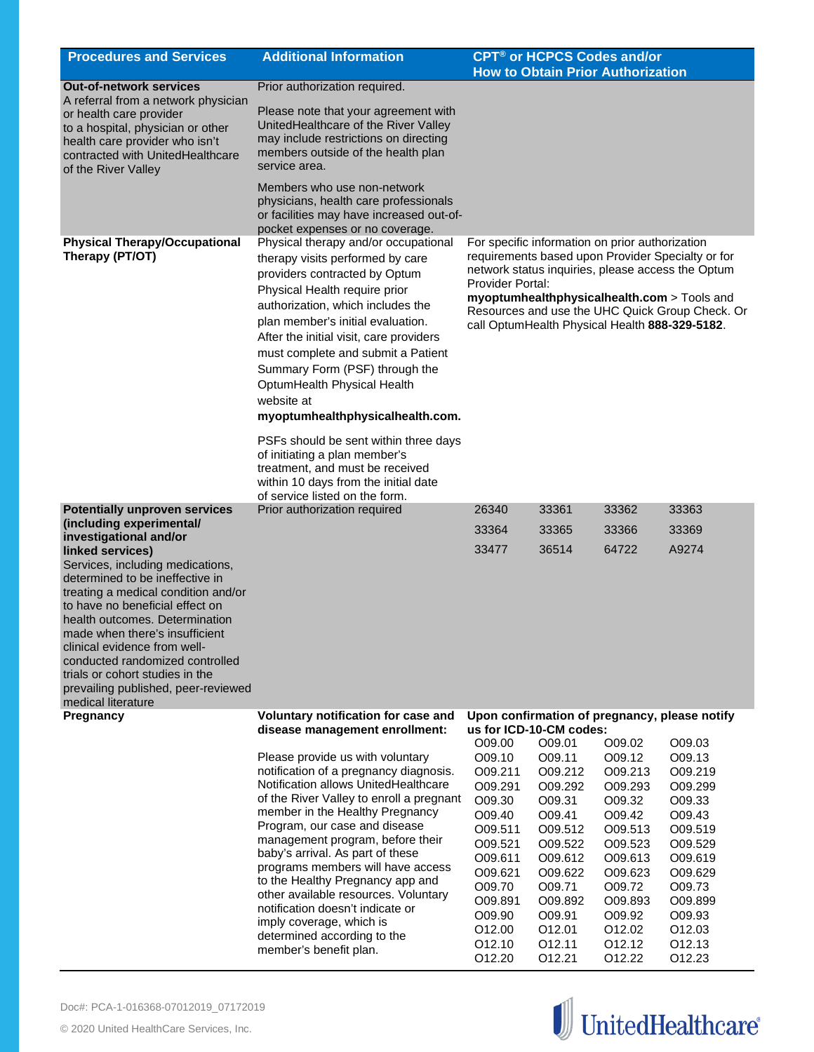| <b>Procedures and Services</b>                                                                                                                                                                                                                                                                                                                                                                                        | <b>Additional Information</b>                                                                                                                                                                                                                                                                                                                                                                                                                                                                                                                        | <b>CPT<sup>®</sup> or HCPCS Codes and/or</b><br><b>How to Obtain Prior Authorization</b>                                                                                                                                                                                                                                          |                                                                                                                                                                     |                                                                                                                                                                     |                                                                                                                                                                     |
|-----------------------------------------------------------------------------------------------------------------------------------------------------------------------------------------------------------------------------------------------------------------------------------------------------------------------------------------------------------------------------------------------------------------------|------------------------------------------------------------------------------------------------------------------------------------------------------------------------------------------------------------------------------------------------------------------------------------------------------------------------------------------------------------------------------------------------------------------------------------------------------------------------------------------------------------------------------------------------------|-----------------------------------------------------------------------------------------------------------------------------------------------------------------------------------------------------------------------------------------------------------------------------------------------------------------------------------|---------------------------------------------------------------------------------------------------------------------------------------------------------------------|---------------------------------------------------------------------------------------------------------------------------------------------------------------------|---------------------------------------------------------------------------------------------------------------------------------------------------------------------|
| <b>Out-of-network services</b>                                                                                                                                                                                                                                                                                                                                                                                        | Prior authorization required.                                                                                                                                                                                                                                                                                                                                                                                                                                                                                                                        |                                                                                                                                                                                                                                                                                                                                   |                                                                                                                                                                     |                                                                                                                                                                     |                                                                                                                                                                     |
| A referral from a network physician<br>or health care provider<br>to a hospital, physician or other<br>health care provider who isn't<br>contracted with UnitedHealthcare<br>of the River Valley                                                                                                                                                                                                                      | Please note that your agreement with<br>UnitedHealthcare of the River Valley<br>may include restrictions on directing<br>members outside of the health plan<br>service area.                                                                                                                                                                                                                                                                                                                                                                         |                                                                                                                                                                                                                                                                                                                                   |                                                                                                                                                                     |                                                                                                                                                                     |                                                                                                                                                                     |
|                                                                                                                                                                                                                                                                                                                                                                                                                       | Members who use non-network<br>physicians, health care professionals<br>or facilities may have increased out-of-<br>pocket expenses or no coverage.                                                                                                                                                                                                                                                                                                                                                                                                  |                                                                                                                                                                                                                                                                                                                                   |                                                                                                                                                                     |                                                                                                                                                                     |                                                                                                                                                                     |
| <b>Physical Therapy/Occupational</b><br>Therapy (PT/OT)                                                                                                                                                                                                                                                                                                                                                               | Physical therapy and/or occupational<br>therapy visits performed by care<br>providers contracted by Optum<br>Physical Health require prior<br>authorization, which includes the<br>plan member's initial evaluation.<br>After the initial visit, care providers<br>must complete and submit a Patient<br>Summary Form (PSF) through the<br>OptumHealth Physical Health<br>website at<br>myoptumhealthphysicalhealth.com.                                                                                                                             | For specific information on prior authorization<br>requirements based upon Provider Specialty or for<br>network status inquiries, please access the Optum<br>Provider Portal:<br>myoptumhealthphysicalhealth.com > Tools and<br>Resources and use the UHC Quick Group Check. Or<br>call OptumHealth Physical Health 888-329-5182. |                                                                                                                                                                     |                                                                                                                                                                     |                                                                                                                                                                     |
|                                                                                                                                                                                                                                                                                                                                                                                                                       | PSFs should be sent within three days<br>of initiating a plan member's<br>treatment, and must be received<br>within 10 days from the initial date<br>of service listed on the form.                                                                                                                                                                                                                                                                                                                                                                  |                                                                                                                                                                                                                                                                                                                                   |                                                                                                                                                                     |                                                                                                                                                                     |                                                                                                                                                                     |
| <b>Potentially unproven services</b>                                                                                                                                                                                                                                                                                                                                                                                  | Prior authorization required                                                                                                                                                                                                                                                                                                                                                                                                                                                                                                                         | 26340                                                                                                                                                                                                                                                                                                                             | 33361                                                                                                                                                               | 33362                                                                                                                                                               | 33363                                                                                                                                                               |
| (including experimental/<br>investigational and/or                                                                                                                                                                                                                                                                                                                                                                    |                                                                                                                                                                                                                                                                                                                                                                                                                                                                                                                                                      | 33364                                                                                                                                                                                                                                                                                                                             | 33365                                                                                                                                                               | 33366                                                                                                                                                               | 33369                                                                                                                                                               |
| linked services)<br>Services, including medications,<br>determined to be ineffective in<br>treating a medical condition and/or<br>to have no beneficial effect on<br>health outcomes. Determination<br>made when there's insufficient<br>clinical evidence from well-<br>conducted randomized controlled<br>trials or cohort studies in the<br>prevailing published, peer-reviewed<br>medical literature<br>Pregnancy | Voluntary notification for case and                                                                                                                                                                                                                                                                                                                                                                                                                                                                                                                  | 33477                                                                                                                                                                                                                                                                                                                             | 36514                                                                                                                                                               | 64722                                                                                                                                                               | A9274<br>Upon confirmation of pregnancy, please notify                                                                                                              |
|                                                                                                                                                                                                                                                                                                                                                                                                                       | disease management enrollment:                                                                                                                                                                                                                                                                                                                                                                                                                                                                                                                       | us for ICD-10-CM codes:                                                                                                                                                                                                                                                                                                           |                                                                                                                                                                     |                                                                                                                                                                     |                                                                                                                                                                     |
|                                                                                                                                                                                                                                                                                                                                                                                                                       | Please provide us with voluntary<br>notification of a pregnancy diagnosis.<br>Notification allows UnitedHealthcare<br>of the River Valley to enroll a pregnant<br>member in the Healthy Pregnancy<br>Program, our case and disease<br>management program, before their<br>baby's arrival. As part of these<br>programs members will have access<br>to the Healthy Pregnancy app and<br>other available resources. Voluntary<br>notification doesn't indicate or<br>imply coverage, which is<br>determined according to the<br>member's benefit plan. | O09.00<br>O09.10<br>O09.211<br>O09.291<br>O09.30<br>O09.40<br>O09.511<br>O09.521<br>O09.611<br>O09.621<br>O09.70<br>O09.891<br>O09.90<br>O12.00<br>O12.10<br>O12.20                                                                                                                                                               | O09.01<br>O09.11<br>O09.212<br>O09.292<br>O09.31<br>O09.41<br>O09.512<br>O09.522<br>O09.612<br>O09.622<br>O09.71<br>O09.892<br>O09.91<br>O12.01<br>012.11<br>012.21 | O09.02<br>O09.12<br>O09.213<br>O09.293<br>O09.32<br>O09.42<br>O09.513<br>O09.523<br>O09.613<br>O09.623<br>O09.72<br>O09.893<br>O09.92<br>O12.02<br>012.12<br>012.22 | O09.03<br>O09.13<br>O09.219<br>O09.299<br>O09.33<br>O09.43<br>O09.519<br>O09.529<br>O09.619<br>O09.629<br>O09.73<br>O09.899<br>O09.93<br>O12.03<br>O12.13<br>O12.23 |

![](_page_14_Picture_2.jpeg)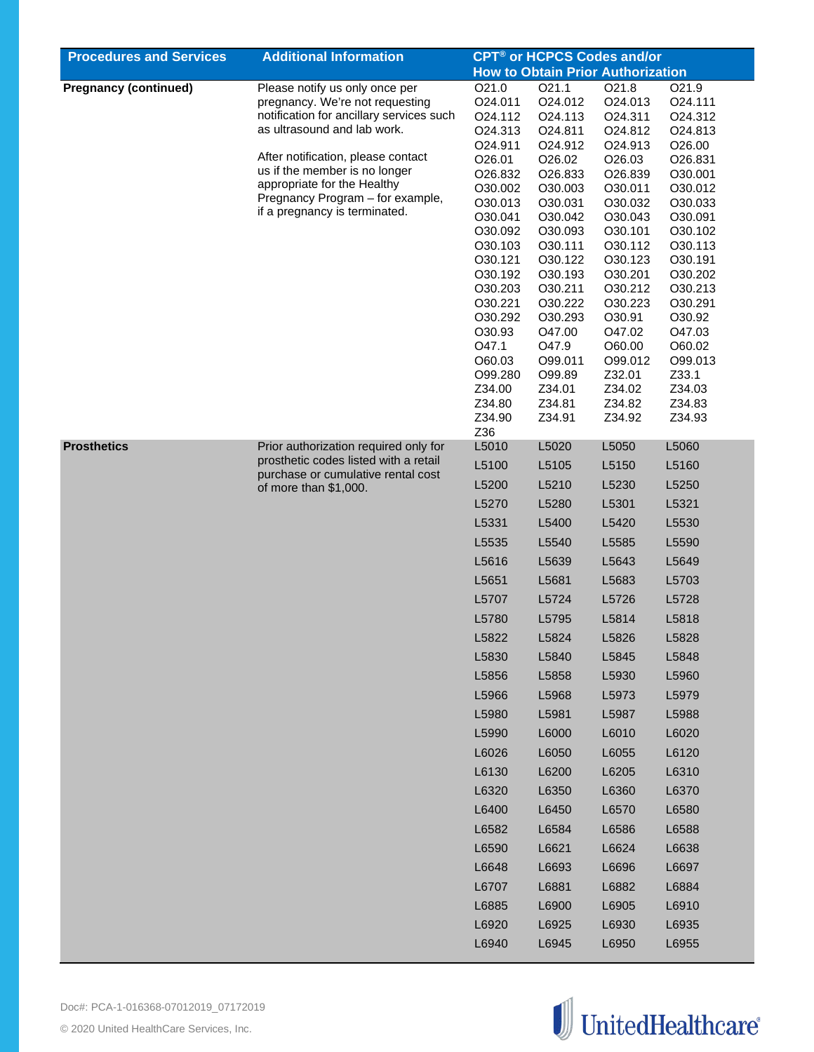| <b>Procedures and Services</b> | <b>Additional Information</b>                                                                                                                 |                     | CPT <sup>®</sup> or HCPCS Codes and/or   |                    |                    |
|--------------------------------|-----------------------------------------------------------------------------------------------------------------------------------------------|---------------------|------------------------------------------|--------------------|--------------------|
|                                |                                                                                                                                               |                     | <b>How to Obtain Prior Authorization</b> |                    |                    |
| <b>Pregnancy (continued)</b>   | Please notify us only once per                                                                                                                | O21.0               | O <sub>21.1</sub>                        | O21.8              | O21.9              |
|                                | pregnancy. We're not requesting                                                                                                               | O24.011             | O24.012                                  | O24.013            | O24.111            |
|                                | notification for ancillary services such                                                                                                      | O <sub>24.112</sub> | O24.113                                  | O24.311            | O24.312            |
|                                | as ultrasound and lab work.                                                                                                                   | O24.313             | O24.811                                  | O24.812            | O24.813            |
|                                |                                                                                                                                               | O24.911             | O24.912                                  | O24.913            | O26.00             |
|                                | After notification, please contact<br>us if the member is no longer                                                                           | O26.01              | O26.02                                   | O <sub>26.03</sub> | O26.831            |
|                                | appropriate for the Healthy                                                                                                                   | O26.832             | O26.833                                  | O26.839            | O30.001            |
|                                | Pregnancy Program - for example,                                                                                                              | O30.002<br>O30.013  | O30.003<br>O30.031                       | O30.011<br>O30.032 | O30.012<br>O30.033 |
|                                | if a pregnancy is terminated.                                                                                                                 | O30.041             | O30.042                                  | O30.043            | O30.091            |
|                                |                                                                                                                                               | O30.092             | O30.093                                  | O30.101            | O30.102            |
|                                |                                                                                                                                               | O30.103             | O30.111                                  | O30.112            | O30.113            |
|                                |                                                                                                                                               | O30.121             | O30.122                                  | O30.123            | O30.191            |
|                                |                                                                                                                                               | O30.192             | O30.193                                  | O30.201            | O30.202            |
|                                |                                                                                                                                               | O30.203             | O30.211                                  | O30.212            | O30.213            |
|                                |                                                                                                                                               | O30.221             | O30.222                                  | O30.223            | O30.291            |
|                                |                                                                                                                                               | O30.292             | O30.293                                  | O30.91             | O30.92             |
|                                |                                                                                                                                               | O30.93<br>O47.1     | O47.00<br>O47.9                          | O47.02             | O47.03<br>O60.02   |
|                                |                                                                                                                                               | O60.03              | O99.011                                  | O60.00<br>O99.012  | O99.013            |
|                                |                                                                                                                                               | O99.280             | O99.89                                   | Z32.01             | Z33.1              |
|                                |                                                                                                                                               | Z34.00              | Z34.01                                   | Z34.02             | Z34.03             |
|                                |                                                                                                                                               | Z34.80              | Z34.81                                   | Z34.82             | Z34.83             |
|                                |                                                                                                                                               | Z34.90              | Z34.91                                   | Z34.92             | Z34.93             |
|                                |                                                                                                                                               | Z36                 |                                          |                    |                    |
| <b>Prosthetics</b>             | Prior authorization required only for<br>prosthetic codes listed with a retail<br>purchase or cumulative rental cost<br>of more than \$1,000. | L5010               | L5020                                    | L5050              | L5060              |
|                                |                                                                                                                                               | L5100               | L5105                                    | L5150              | L5160              |
|                                |                                                                                                                                               | L5200               | L5210                                    | L5230              | L5250              |
|                                |                                                                                                                                               | L5270               | L5280                                    | L5301              | L5321              |
|                                |                                                                                                                                               | L5331               | L5400                                    | L5420              | L5530              |
|                                |                                                                                                                                               | L5535               | L5540                                    | L5585              | L5590              |
|                                |                                                                                                                                               | L5616               | L5639                                    | L5643              | L5649              |
|                                |                                                                                                                                               | L5651               | L5681                                    | L5683              | L5703              |
|                                |                                                                                                                                               | L5707               | L5724                                    | L5726              | L5728              |
|                                |                                                                                                                                               | L5780               | L5795                                    | L5814              | L5818              |
|                                |                                                                                                                                               | L5822               | L5824                                    | L5826              | L5828              |
|                                |                                                                                                                                               | L5830               | L5840                                    | L5845              | L5848              |
|                                |                                                                                                                                               | L5856               | L5858                                    | L5930              | L5960              |
|                                |                                                                                                                                               | L5966               | L5968                                    | L5973              | L5979              |
|                                |                                                                                                                                               | L5980               | L5981                                    | L5987              | L5988              |
|                                |                                                                                                                                               | L5990               | L6000                                    | L6010              | L6020              |
|                                |                                                                                                                                               | L6026               | L6050                                    | L6055              | L6120              |
|                                |                                                                                                                                               | L6130               | L6200                                    | L6205              | L6310              |
|                                |                                                                                                                                               | L6320               | L6350                                    | L6360              | L6370              |
|                                |                                                                                                                                               | L6400               | L6450                                    | L6570              | L6580              |
|                                |                                                                                                                                               | L6582               | L6584                                    | L6586              | L6588              |
|                                |                                                                                                                                               | L6590               | L6621                                    | L6624              | L6638              |
|                                |                                                                                                                                               | L6648               | L6693                                    | L6696              | L6697              |
|                                |                                                                                                                                               | L6707               | L6881                                    | L6882              | L6884              |
|                                |                                                                                                                                               | L6885               | L6900                                    | L6905              | L6910              |
|                                |                                                                                                                                               | L6920               | L6925                                    | L6930              | L6935              |
|                                |                                                                                                                                               | L6940               | L6945                                    | L6950              | L6955              |
|                                |                                                                                                                                               |                     |                                          |                    |                    |

![](_page_15_Picture_1.jpeg)

![](_page_15_Picture_2.jpeg)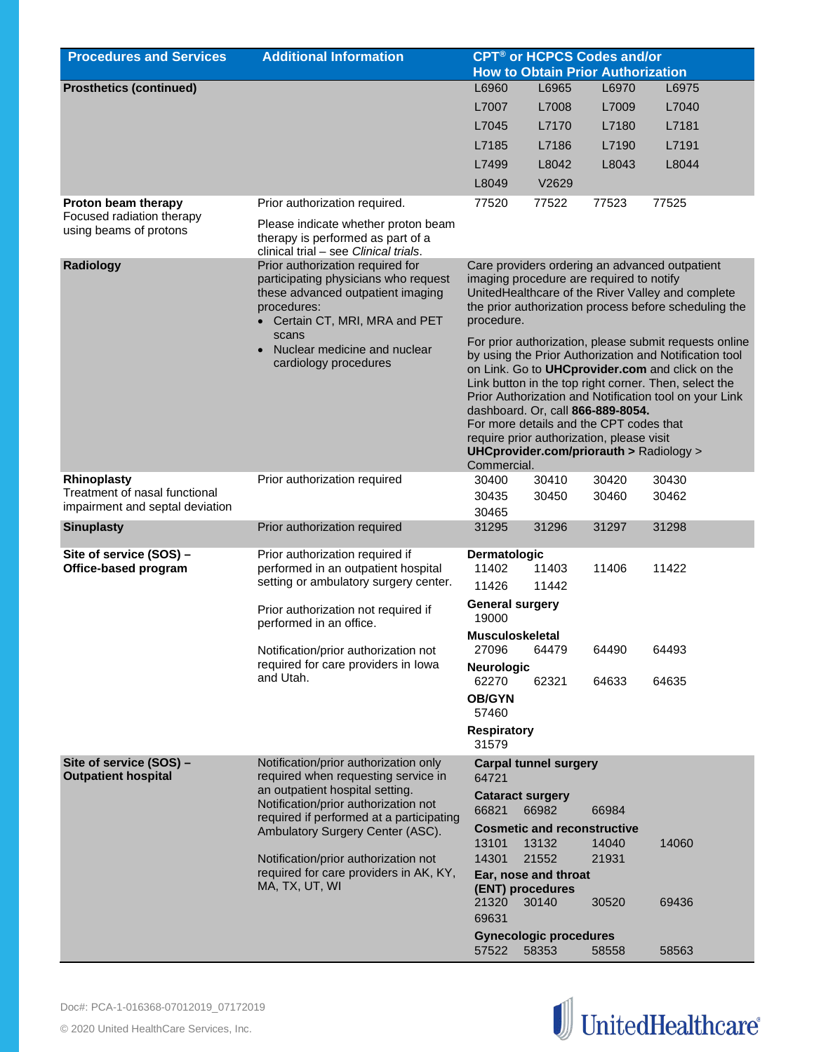| <b>Procedures and Services</b>                                             | <b>Additional Information</b>                                                                                                                                | <b>CPT<sup>®</sup> or HCPCS Codes and/or</b><br><b>How to Obtain Prior Authorization</b>                                                                                                                                                                                                                                                                                                                                                                                      |                               |                                          |                                                                                                                                                              |  |
|----------------------------------------------------------------------------|--------------------------------------------------------------------------------------------------------------------------------------------------------------|-------------------------------------------------------------------------------------------------------------------------------------------------------------------------------------------------------------------------------------------------------------------------------------------------------------------------------------------------------------------------------------------------------------------------------------------------------------------------------|-------------------------------|------------------------------------------|--------------------------------------------------------------------------------------------------------------------------------------------------------------|--|
|                                                                            |                                                                                                                                                              |                                                                                                                                                                                                                                                                                                                                                                                                                                                                               |                               |                                          |                                                                                                                                                              |  |
| <b>Prosthetics (continued)</b>                                             |                                                                                                                                                              | L6960                                                                                                                                                                                                                                                                                                                                                                                                                                                                         | L6965                         | L6970                                    | L6975                                                                                                                                                        |  |
|                                                                            |                                                                                                                                                              | L7007                                                                                                                                                                                                                                                                                                                                                                                                                                                                         | L7008                         | L7009                                    | L7040                                                                                                                                                        |  |
|                                                                            |                                                                                                                                                              | L7045                                                                                                                                                                                                                                                                                                                                                                                                                                                                         | L7170                         | L7180                                    | L7181                                                                                                                                                        |  |
|                                                                            |                                                                                                                                                              | L7185                                                                                                                                                                                                                                                                                                                                                                                                                                                                         | L7186                         | L7190                                    | L7191                                                                                                                                                        |  |
|                                                                            |                                                                                                                                                              | L7499                                                                                                                                                                                                                                                                                                                                                                                                                                                                         | L8042                         | L8043                                    | L8044                                                                                                                                                        |  |
|                                                                            |                                                                                                                                                              | L8049                                                                                                                                                                                                                                                                                                                                                                                                                                                                         | V2629                         |                                          |                                                                                                                                                              |  |
| Proton beam therapy<br>Focused radiation therapy<br>using beams of protons | Prior authorization required.<br>Please indicate whether proton beam<br>therapy is performed as part of a<br>clinical trial - see Clinical trials.           | 77520                                                                                                                                                                                                                                                                                                                                                                                                                                                                         | 77522                         | 77523                                    | 77525                                                                                                                                                        |  |
| Radiology                                                                  | Prior authorization required for<br>participating physicians who request<br>these advanced outpatient imaging<br>procedures:<br>Certain CT, MRI, MRA and PET | procedure.                                                                                                                                                                                                                                                                                                                                                                                                                                                                    |                               | imaging procedure are required to notify | Care providers ordering an advanced outpatient<br>UnitedHealthcare of the River Valley and complete<br>the prior authorization process before scheduling the |  |
|                                                                            | scans<br>Nuclear medicine and nuclear<br>cardiology procedures                                                                                               | For prior authorization, please submit requests online<br>by using the Prior Authorization and Notification tool<br>on Link. Go to UHCprovider.com and click on the<br>Link button in the top right corner. Then, select the<br>Prior Authorization and Notification tool on your Link<br>dashboard. Or, call 866-889-8054.<br>For more details and the CPT codes that<br>require prior authorization, please visit<br>UHCprovider.com/priorauth > Radiology ><br>Commercial. |                               |                                          |                                                                                                                                                              |  |
| Rhinoplasty                                                                | Prior authorization required                                                                                                                                 | 30400                                                                                                                                                                                                                                                                                                                                                                                                                                                                         | 30410                         | 30420                                    | 30430                                                                                                                                                        |  |
| Treatment of nasal functional<br>impairment and septal deviation           |                                                                                                                                                              | 30435<br>30465                                                                                                                                                                                                                                                                                                                                                                                                                                                                | 30450                         | 30460                                    | 30462                                                                                                                                                        |  |
| <b>Sinuplasty</b>                                                          | Prior authorization required                                                                                                                                 | 31295                                                                                                                                                                                                                                                                                                                                                                                                                                                                         | 31296                         | 31297                                    | 31298                                                                                                                                                        |  |
| Site of service (SOS) -<br>Office-based program                            | Prior authorization required if<br>performed in an outpatient hospital<br>setting or ambulatory surgery center.                                              | Dermatologic<br>11402<br>11426<br><b>General surgery</b>                                                                                                                                                                                                                                                                                                                                                                                                                      | 11403<br>11442                | 11406                                    | 11422                                                                                                                                                        |  |
|                                                                            | Prior authorization not required if<br>performed in an office.                                                                                               | 19000                                                                                                                                                                                                                                                                                                                                                                                                                                                                         |                               |                                          |                                                                                                                                                              |  |
|                                                                            | Notification/prior authorization not<br>required for care providers in lowa                                                                                  | <b>Musculoskeletal</b><br>27096<br><b>Neurologic</b>                                                                                                                                                                                                                                                                                                                                                                                                                          | 64479                         | 64490                                    | 64493                                                                                                                                                        |  |
|                                                                            | and Utah.                                                                                                                                                    | 62270                                                                                                                                                                                                                                                                                                                                                                                                                                                                         | 62321                         | 64633                                    | 64635                                                                                                                                                        |  |
|                                                                            |                                                                                                                                                              | <b>OB/GYN</b><br>57460                                                                                                                                                                                                                                                                                                                                                                                                                                                        |                               |                                          |                                                                                                                                                              |  |
|                                                                            |                                                                                                                                                              | <b>Respiratory</b><br>31579                                                                                                                                                                                                                                                                                                                                                                                                                                                   |                               |                                          |                                                                                                                                                              |  |
| Site of service (SOS) -                                                    | Notification/prior authorization only                                                                                                                        |                                                                                                                                                                                                                                                                                                                                                                                                                                                                               | <b>Carpal tunnel surgery</b>  |                                          |                                                                                                                                                              |  |
| <b>Outpatient hospital</b>                                                 | required when requesting service in<br>an outpatient hospital setting.                                                                                       | 64721                                                                                                                                                                                                                                                                                                                                                                                                                                                                         |                               |                                          |                                                                                                                                                              |  |
|                                                                            | Notification/prior authorization not                                                                                                                         | <b>Cataract surgery</b><br>66821                                                                                                                                                                                                                                                                                                                                                                                                                                              | 66982                         | 66984                                    |                                                                                                                                                              |  |
|                                                                            | required if performed at a participating                                                                                                                     |                                                                                                                                                                                                                                                                                                                                                                                                                                                                               |                               | <b>Cosmetic and reconstructive</b>       |                                                                                                                                                              |  |
|                                                                            | Ambulatory Surgery Center (ASC).                                                                                                                             | 13101                                                                                                                                                                                                                                                                                                                                                                                                                                                                         | 13132                         | 14040                                    | 14060                                                                                                                                                        |  |
|                                                                            | Notification/prior authorization not                                                                                                                         | 14301                                                                                                                                                                                                                                                                                                                                                                                                                                                                         | 21552                         | 21931                                    |                                                                                                                                                              |  |
|                                                                            | required for care providers in AK, KY,                                                                                                                       |                                                                                                                                                                                                                                                                                                                                                                                                                                                                               | Ear, nose and throat          |                                          |                                                                                                                                                              |  |
|                                                                            | MA, TX, UT, WI                                                                                                                                               | (ENT) procedures<br>21320<br>69631                                                                                                                                                                                                                                                                                                                                                                                                                                            | 30140                         | 30520                                    | 69436                                                                                                                                                        |  |
|                                                                            |                                                                                                                                                              |                                                                                                                                                                                                                                                                                                                                                                                                                                                                               | <b>Gynecologic procedures</b> |                                          |                                                                                                                                                              |  |
|                                                                            |                                                                                                                                                              | 57522                                                                                                                                                                                                                                                                                                                                                                                                                                                                         | 58353                         | 58558                                    | 58563                                                                                                                                                        |  |

![](_page_16_Picture_2.jpeg)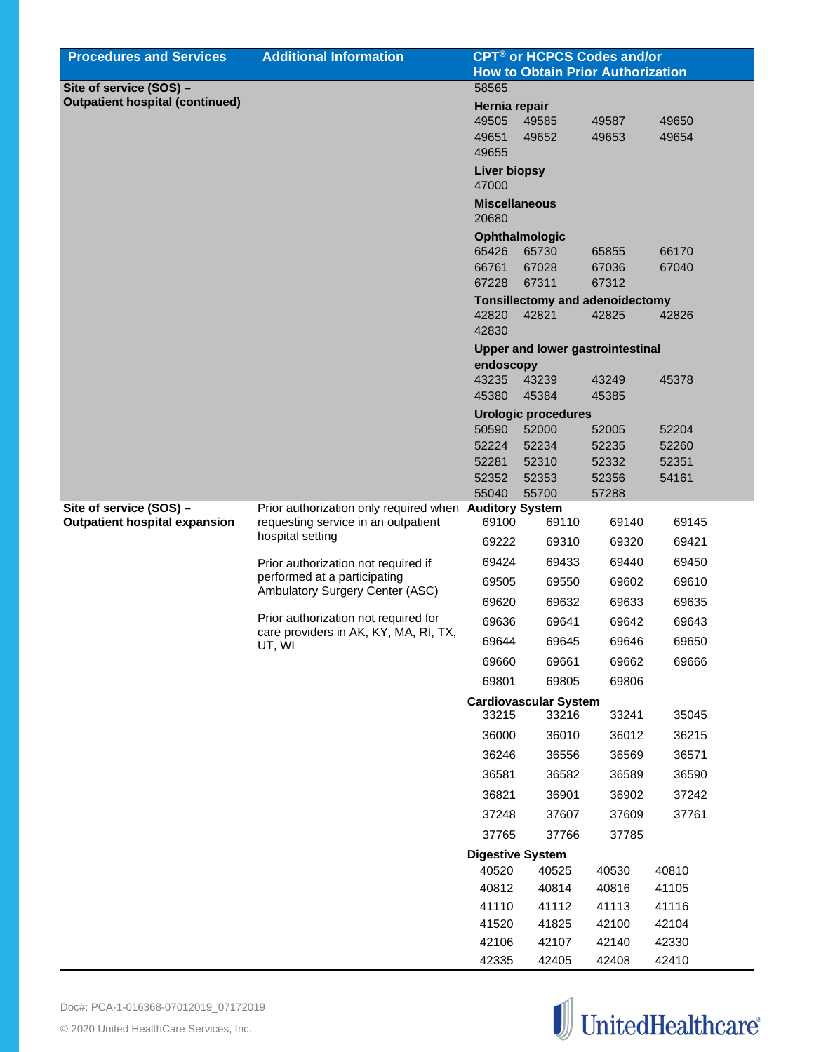| <b>Procedures and Services</b>         | <b>Additional Information</b>                                   | <b>CPT<sup>®</sup> or HCPCS Codes and/or</b> |                                         |                |                |
|----------------------------------------|-----------------------------------------------------------------|----------------------------------------------|-----------------------------------------|----------------|----------------|
|                                        |                                                                 | <b>How to Obtain Prior Authorization</b>     |                                         |                |                |
| Site of service (SOS) -                |                                                                 | 58565                                        |                                         |                |                |
| <b>Outpatient hospital (continued)</b> |                                                                 | Hernia repair                                |                                         |                |                |
|                                        |                                                                 | 49505<br>49651                               | 49585<br>49652                          | 49587<br>49653 | 49650<br>49654 |
|                                        |                                                                 | 49655                                        |                                         |                |                |
|                                        |                                                                 | <b>Liver biopsy</b><br>47000                 |                                         |                |                |
|                                        |                                                                 | <b>Miscellaneous</b>                         |                                         |                |                |
|                                        |                                                                 | 20680                                        |                                         |                |                |
|                                        |                                                                 | 65426                                        | <b>Ophthalmologic</b><br>65730          | 65855          | 66170          |
|                                        |                                                                 | 66761                                        | 67028                                   | 67036          | 67040          |
|                                        |                                                                 | 67228                                        | 67311                                   | 67312          |                |
|                                        |                                                                 |                                              | <b>Tonsillectomy and adenoidectomy</b>  |                |                |
|                                        |                                                                 | 42820<br>42830                               | 42821                                   | 42825          | 42826          |
|                                        |                                                                 |                                              | <b>Upper and lower gastrointestinal</b> |                |                |
|                                        |                                                                 | endoscopy<br>43235                           | 43239                                   | 43249          | 45378          |
|                                        |                                                                 | 45380                                        | 45384                                   | 45385          |                |
|                                        |                                                                 |                                              | <b>Urologic procedures</b>              |                |                |
|                                        |                                                                 | 50590                                        | 52000                                   | 52005          | 52204          |
|                                        |                                                                 | 52224                                        | 52234                                   | 52235          | 52260          |
|                                        |                                                                 | 52281                                        | 52310                                   | 52332          | 52351          |
|                                        |                                                                 | 52352<br>55040                               | 52353<br>55700                          | 52356<br>57288 | 54161          |
| Site of service (SOS) -                | Prior authorization only required when Auditory System          |                                              |                                         |                |                |
| <b>Outpatient hospital expansion</b>   | requesting service in an outpatient                             | 69100                                        | 69110                                   | 69140          | 69145          |
|                                        | hospital setting                                                | 69222                                        | 69310                                   | 69320          | 69421          |
|                                        | Prior authorization not required if                             | 69424                                        | 69433                                   | 69440          | 69450          |
|                                        | performed at a participating<br>Ambulatory Surgery Center (ASC) | 69505                                        | 69550                                   | 69602          | 69610          |
|                                        |                                                                 | 69620                                        | 69632                                   | 69633          | 69635          |
|                                        | Prior authorization not required for                            | 69636                                        | 69641                                   | 69642          | 69643          |
|                                        | care providers in AK, KY, MA, RI, TX,<br>UT, WI                 | 69644                                        | 69645                                   | 69646          | 69650          |
|                                        |                                                                 | 69660                                        | 69661                                   | 69662          | 69666          |
|                                        |                                                                 | 69801                                        | 69805                                   | 69806          |                |
|                                        |                                                                 | 33215                                        | <b>Cardiovascular System</b><br>33216   | 33241          | 35045          |
|                                        |                                                                 | 36000                                        | 36010                                   | 36012          | 36215          |
|                                        |                                                                 | 36246                                        | 36556                                   | 36569          | 36571          |
|                                        |                                                                 | 36581                                        | 36582                                   | 36589          | 36590          |
|                                        |                                                                 | 36821                                        | 36901                                   | 36902          | 37242          |
|                                        |                                                                 | 37248                                        | 37607                                   | 37609          | 37761          |
|                                        |                                                                 | 37765                                        | 37766                                   | 37785          |                |
|                                        |                                                                 | <b>Digestive System</b>                      |                                         |                |                |
|                                        |                                                                 | 40520                                        | 40525                                   | 40530          | 40810          |
|                                        |                                                                 | 40812                                        | 40814                                   | 40816          | 41105          |
|                                        |                                                                 | 41110                                        | 41112                                   | 41113          | 41116          |
|                                        |                                                                 | 41520                                        | 41825                                   | 42100          | 42104          |
|                                        |                                                                 | 42106                                        | 42107                                   | 42140          | 42330          |
|                                        |                                                                 | 42335                                        | 42405                                   | 42408          | 42410          |

![](_page_17_Picture_2.jpeg)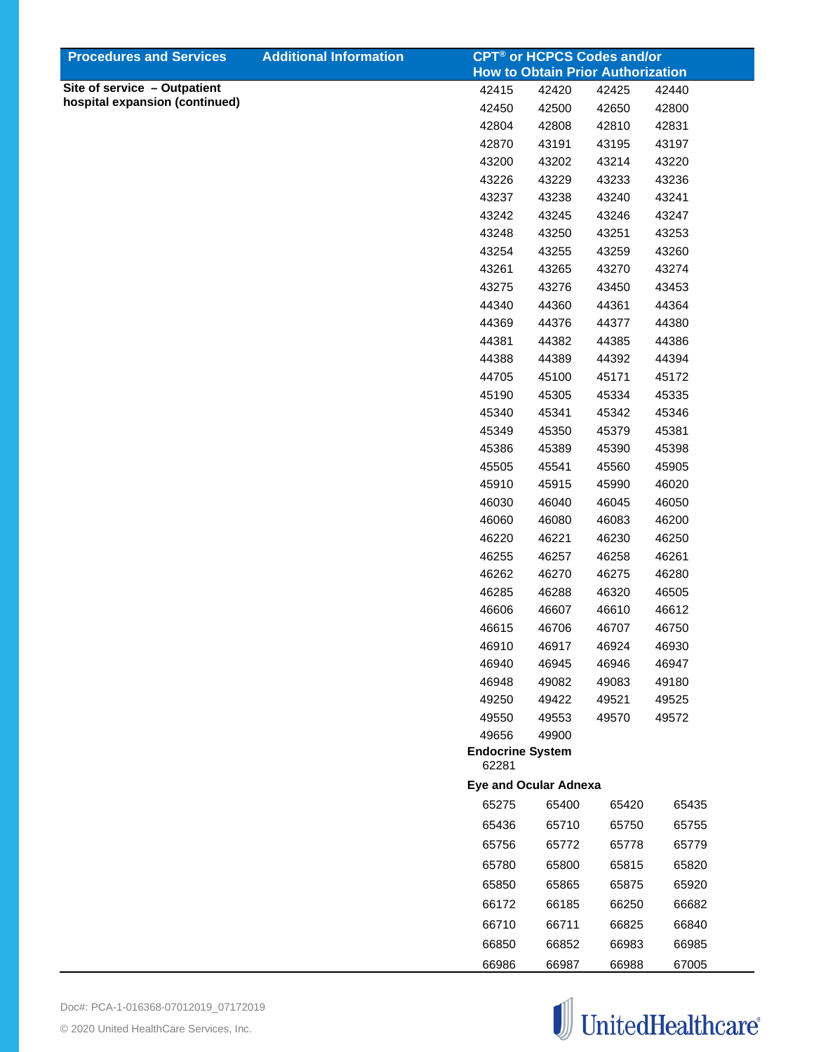| <b>Procedures and Services</b> | <b>Additional Information</b> |                                  | <b>CPT<sup>®</sup> or HCPCS Codes and/or</b> |       |       |
|--------------------------------|-------------------------------|----------------------------------|----------------------------------------------|-------|-------|
| Site of service - Outpatient   |                               |                                  | <b>How to Obtain Prior Authorization</b>     |       |       |
| hospital expansion (continued) |                               | 42415                            | 42420                                        | 42425 | 42440 |
|                                |                               | 42450                            | 42500                                        | 42650 | 42800 |
|                                |                               | 42804                            | 42808                                        | 42810 | 42831 |
|                                |                               | 42870                            | 43191                                        | 43195 | 43197 |
|                                |                               | 43200                            | 43202                                        | 43214 | 43220 |
|                                |                               | 43226                            | 43229                                        | 43233 | 43236 |
|                                |                               | 43237                            | 43238                                        | 43240 | 43241 |
|                                |                               | 43242                            | 43245                                        | 43246 | 43247 |
|                                |                               | 43248                            | 43250                                        | 43251 | 43253 |
|                                |                               | 43254                            | 43255                                        | 43259 | 43260 |
|                                |                               | 43261                            | 43265                                        | 43270 | 43274 |
|                                |                               | 43275                            | 43276                                        | 43450 | 43453 |
|                                |                               | 44340                            | 44360                                        | 44361 | 44364 |
|                                |                               | 44369                            | 44376                                        | 44377 | 44380 |
|                                |                               | 44381                            | 44382                                        | 44385 | 44386 |
|                                |                               | 44388                            | 44389                                        | 44392 | 44394 |
|                                |                               | 44705                            | 45100                                        | 45171 | 45172 |
|                                |                               | 45190                            | 45305                                        | 45334 | 45335 |
|                                |                               | 45340                            | 45341                                        | 45342 | 45346 |
|                                |                               | 45349                            | 45350                                        | 45379 | 45381 |
|                                |                               | 45386                            | 45389                                        | 45390 | 45398 |
|                                |                               | 45505                            | 45541                                        | 45560 | 45905 |
|                                |                               | 45910                            | 45915                                        | 45990 | 46020 |
|                                |                               | 46030                            | 46040                                        | 46045 | 46050 |
|                                |                               | 46060                            | 46080                                        | 46083 | 46200 |
|                                |                               | 46220                            | 46221                                        | 46230 | 46250 |
|                                |                               | 46255                            | 46257                                        | 46258 | 46261 |
|                                |                               | 46262                            | 46270                                        | 46275 | 46280 |
|                                |                               | 46285                            | 46288                                        | 46320 | 46505 |
|                                |                               | 46606                            | 46607                                        | 46610 | 46612 |
|                                |                               | 46615                            | 46706                                        | 46707 | 46750 |
|                                |                               | 46910                            | 46917                                        | 46924 | 46930 |
|                                |                               | 46940                            | 46945                                        | 46946 | 46947 |
|                                |                               | 46948                            | 49082                                        | 49083 | 49180 |
|                                |                               | 49250                            | 49422                                        | 49521 | 49525 |
|                                |                               | 49550                            | 49553                                        | 49570 | 49572 |
|                                |                               | 49656                            | 49900                                        |       |       |
|                                |                               | <b>Endocrine System</b><br>62281 |                                              |       |       |
|                                |                               |                                  | <b>Eye and Ocular Adnexa</b>                 |       |       |
|                                |                               | 65275                            | 65400                                        | 65420 | 65435 |
|                                |                               | 65436                            | 65710                                        | 65750 | 65755 |
|                                |                               | 65756                            | 65772                                        | 65778 | 65779 |
|                                |                               | 65780                            | 65800                                        | 65815 | 65820 |
|                                |                               | 65850                            | 65865                                        | 65875 | 65920 |
|                                |                               | 66172                            | 66185                                        | 66250 | 66682 |
|                                |                               | 66710                            | 66711                                        | 66825 | 66840 |
|                                |                               | 66850                            | 66852                                        | 66983 | 66985 |
|                                |                               | 66986                            | 66987                                        | 66988 | 67005 |

![](_page_18_Picture_2.jpeg)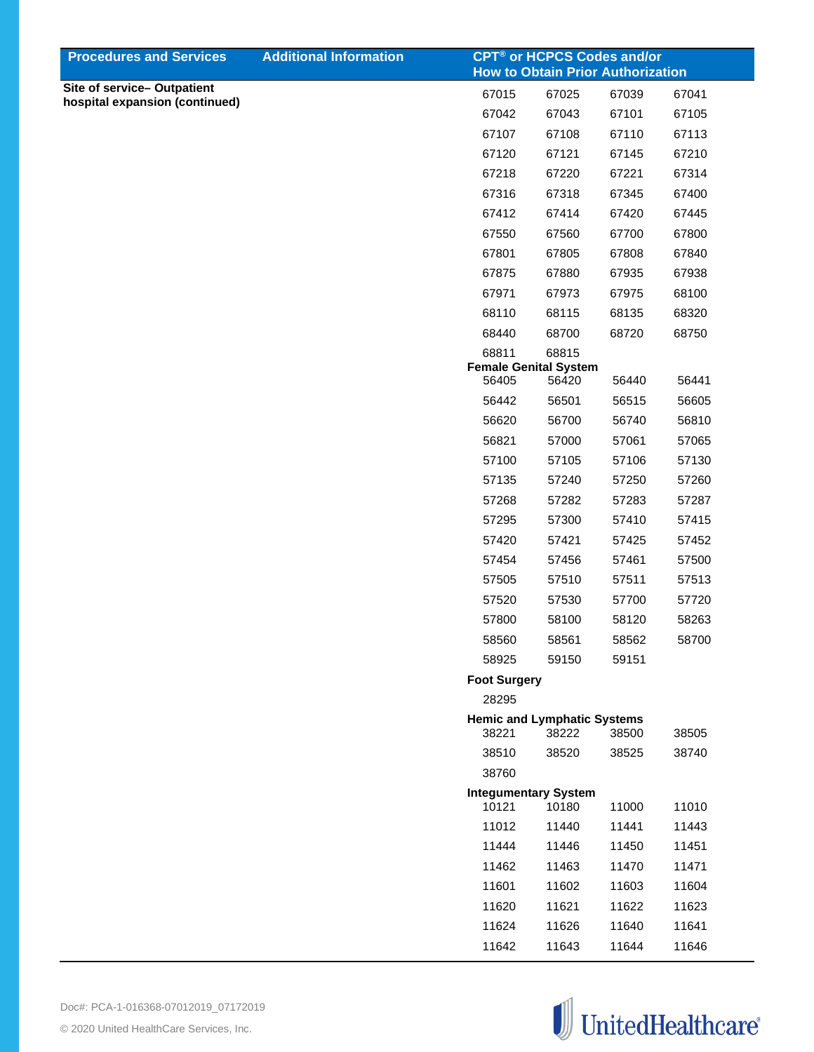| <b>Procedures and Services</b> | <b>Additional Information</b> |                                             |       | <b>CPT<sup>®</sup> or HCPCS Codes and/or</b><br><b>How to Obtain Prior Authorization</b> |       |
|--------------------------------|-------------------------------|---------------------------------------------|-------|------------------------------------------------------------------------------------------|-------|
| Site of service-Outpatient     |                               | 67015                                       | 67025 | 67039                                                                                    | 67041 |
| hospital expansion (continued) |                               | 67042                                       | 67043 | 67101                                                                                    | 67105 |
|                                |                               | 67107                                       | 67108 | 67110                                                                                    | 67113 |
|                                |                               | 67120                                       | 67121 | 67145                                                                                    | 67210 |
|                                |                               | 67218                                       | 67220 | 67221                                                                                    | 67314 |
|                                |                               | 67316                                       | 67318 | 67345                                                                                    | 67400 |
|                                |                               | 67412                                       | 67414 | 67420                                                                                    | 67445 |
|                                |                               | 67550                                       | 67560 | 67700                                                                                    | 67800 |
|                                |                               | 67801                                       | 67805 | 67808                                                                                    | 67840 |
|                                |                               | 67875                                       | 67880 | 67935                                                                                    | 67938 |
|                                |                               | 67971                                       | 67973 | 67975                                                                                    | 68100 |
|                                |                               | 68110                                       | 68115 | 68135                                                                                    | 68320 |
|                                |                               | 68440                                       | 68700 | 68720                                                                                    | 68750 |
|                                |                               | 68811                                       | 68815 |                                                                                          |       |
|                                |                               | <b>Female Genital System</b><br>56405       | 56420 | 56440                                                                                    | 56441 |
|                                |                               | 56442                                       | 56501 | 56515                                                                                    | 56605 |
|                                |                               | 56620                                       | 56700 | 56740                                                                                    | 56810 |
|                                |                               | 56821                                       | 57000 | 57061                                                                                    | 57065 |
|                                |                               | 57100                                       | 57105 | 57106                                                                                    | 57130 |
|                                |                               | 57135                                       | 57240 | 57250                                                                                    | 57260 |
|                                |                               | 57268                                       | 57282 | 57283                                                                                    | 57287 |
|                                |                               | 57295                                       | 57300 | 57410                                                                                    | 57415 |
|                                |                               | 57420                                       | 57421 | 57425                                                                                    | 57452 |
|                                |                               | 57454                                       | 57456 | 57461                                                                                    | 57500 |
|                                |                               | 57505                                       | 57510 | 57511                                                                                    | 57513 |
|                                |                               | 57520                                       | 57530 | 57700                                                                                    | 57720 |
|                                |                               | 57800                                       | 58100 | 58120                                                                                    | 58263 |
|                                |                               | 58560                                       | 58561 | 58562                                                                                    | 58700 |
|                                |                               | 58925                                       | 59150 | 59151                                                                                    |       |
|                                |                               | <b>Foot Surgery</b>                         |       |                                                                                          |       |
|                                |                               | 28295                                       |       |                                                                                          |       |
|                                |                               | <b>Hemic and Lymphatic Systems</b><br>38221 | 38222 | 38500                                                                                    | 38505 |
|                                |                               | 38510                                       | 38520 | 38525                                                                                    | 38740 |
|                                |                               | 38760                                       |       |                                                                                          |       |
|                                |                               | <b>Integumentary System</b><br>10121        | 10180 | 11000                                                                                    | 11010 |
|                                |                               | 11012                                       | 11440 | 11441                                                                                    | 11443 |
|                                |                               | 11444                                       | 11446 | 11450                                                                                    | 11451 |
|                                |                               | 11462                                       | 11463 | 11470                                                                                    | 11471 |
|                                |                               | 11601                                       | 11602 | 11603                                                                                    | 11604 |
|                                |                               | 11620                                       | 11621 | 11622                                                                                    | 11623 |
|                                |                               | 11624                                       | 11626 | 11640                                                                                    | 11641 |
|                                |                               | 11642                                       | 11643 | 11644                                                                                    | 11646 |
|                                |                               |                                             |       |                                                                                          |       |

![](_page_19_Picture_2.jpeg)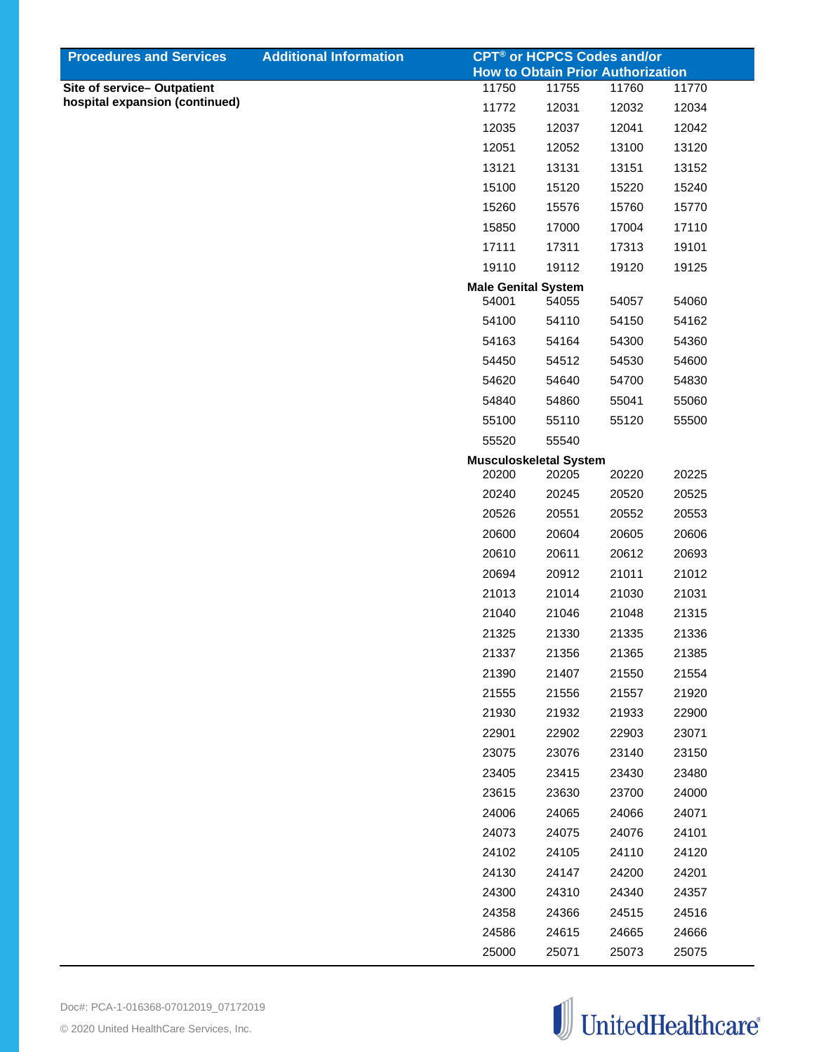| <b>Procedures and Services</b>                               | <b>Additional Information</b> | <b>CPT<sup>®</sup> or HCPCS Codes and/or</b> |       |       |       |
|--------------------------------------------------------------|-------------------------------|----------------------------------------------|-------|-------|-------|
|                                                              |                               | <b>How to Obtain Prior Authorization</b>     |       |       |       |
| Site of service-Outpatient<br>hospital expansion (continued) |                               | 11750                                        | 11755 | 11760 | 11770 |
|                                                              |                               | 11772                                        | 12031 | 12032 | 12034 |
|                                                              |                               | 12035                                        | 12037 | 12041 | 12042 |
|                                                              |                               | 12051                                        | 12052 | 13100 | 13120 |
|                                                              |                               | 13121                                        | 13131 | 13151 | 13152 |
|                                                              |                               | 15100                                        | 15120 | 15220 | 15240 |
|                                                              |                               | 15260                                        | 15576 | 15760 | 15770 |
|                                                              |                               | 15850                                        | 17000 | 17004 | 17110 |
|                                                              |                               | 17111                                        | 17311 | 17313 | 19101 |
|                                                              |                               | 19110                                        | 19112 | 19120 | 19125 |
|                                                              |                               | <b>Male Genital System</b>                   |       |       |       |
|                                                              |                               | 54001                                        | 54055 | 54057 | 54060 |
|                                                              |                               | 54100                                        | 54110 | 54150 | 54162 |
|                                                              |                               | 54163                                        | 54164 | 54300 | 54360 |
|                                                              |                               | 54450                                        | 54512 | 54530 | 54600 |
|                                                              |                               | 54620                                        | 54640 | 54700 | 54830 |
|                                                              |                               | 54840                                        | 54860 | 55041 | 55060 |
|                                                              |                               | 55100                                        | 55110 | 55120 | 55500 |
|                                                              |                               | 55520                                        | 55540 |       |       |
|                                                              |                               | <b>Musculoskeletal System</b>                |       |       |       |
|                                                              |                               | 20200                                        | 20205 | 20220 | 20225 |
|                                                              |                               | 20240                                        | 20245 | 20520 | 20525 |
|                                                              |                               | 20526                                        | 20551 | 20552 | 20553 |
|                                                              |                               | 20600                                        | 20604 | 20605 | 20606 |
|                                                              |                               | 20610                                        | 20611 | 20612 | 20693 |
|                                                              |                               | 20694                                        | 20912 | 21011 | 21012 |
|                                                              |                               | 21013                                        | 21014 | 21030 | 21031 |
|                                                              |                               | 21040                                        | 21046 | 21048 | 21315 |
|                                                              |                               | 21325                                        | 21330 | 21335 | 21336 |
|                                                              |                               | 21337                                        | 21356 | 21365 | 21385 |
|                                                              |                               | 21390                                        | 21407 | 21550 | 21554 |
|                                                              |                               |                                              |       |       |       |
|                                                              |                               | 21555                                        | 21556 | 21557 | 21920 |
|                                                              |                               | 21930                                        | 21932 | 21933 | 22900 |
|                                                              |                               | 22901                                        | 22902 | 22903 | 23071 |
|                                                              |                               | 23075                                        | 23076 | 23140 | 23150 |
|                                                              |                               | 23405                                        | 23415 | 23430 | 23480 |
|                                                              |                               | 23615                                        | 23630 | 23700 | 24000 |
|                                                              |                               | 24006                                        | 24065 | 24066 | 24071 |
|                                                              |                               | 24073                                        | 24075 | 24076 | 24101 |
|                                                              |                               | 24102                                        | 24105 | 24110 | 24120 |
|                                                              |                               | 24130                                        | 24147 | 24200 | 24201 |
|                                                              |                               | 24300                                        | 24310 | 24340 | 24357 |
|                                                              |                               | 24358                                        | 24366 | 24515 | 24516 |
|                                                              |                               | 24586                                        | 24615 | 24665 | 24666 |
|                                                              |                               | 25000                                        | 25071 | 25073 | 25075 |
|                                                              |                               |                                              |       |       |       |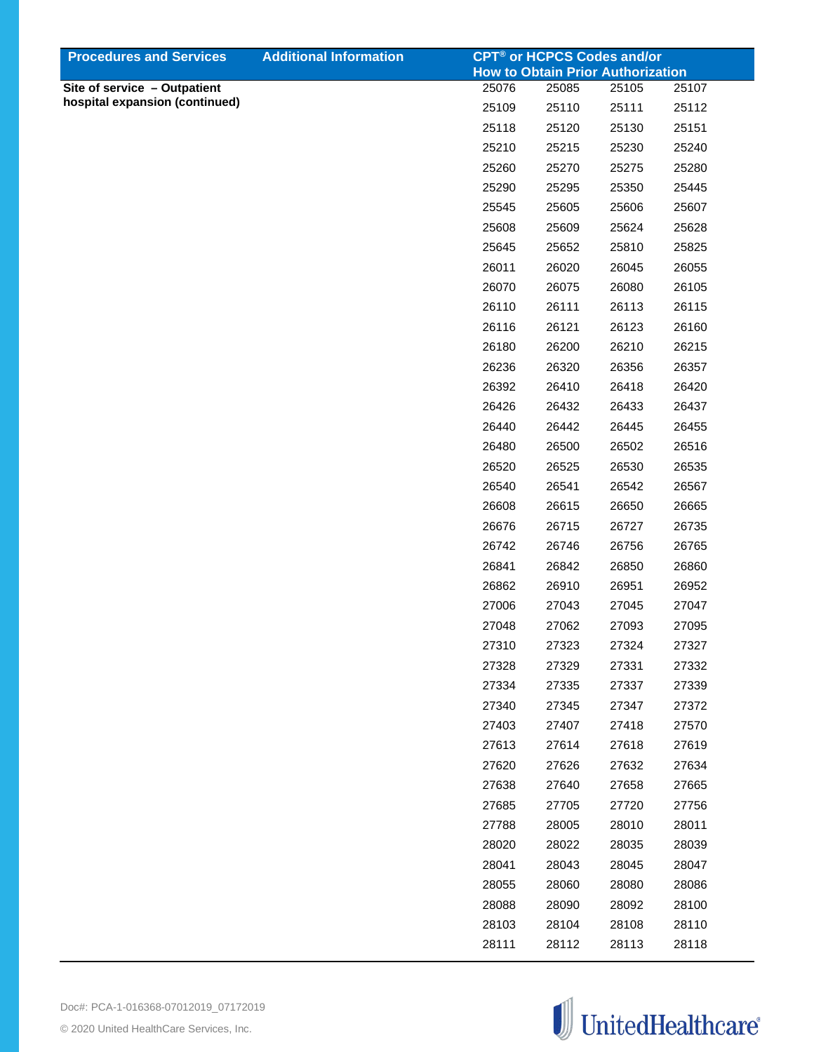| <b>Procedures and Services</b> | <b>Additional Information</b> | <b>CPT<sup>®</sup> or HCPCS Codes and/or</b>      |       |       |       |
|--------------------------------|-------------------------------|---------------------------------------------------|-------|-------|-------|
| Site of service - Outpatient   |                               | <b>How to Obtain Prior Authorization</b><br>25076 | 25085 | 25105 | 25107 |
| hospital expansion (continued) |                               | 25109                                             | 25110 | 25111 | 25112 |
|                                |                               | 25118                                             | 25120 | 25130 | 25151 |
|                                |                               | 25210                                             | 25215 | 25230 | 25240 |
|                                |                               | 25260                                             | 25270 | 25275 | 25280 |
|                                |                               | 25290                                             | 25295 | 25350 | 25445 |
|                                |                               | 25545                                             | 25605 | 25606 | 25607 |
|                                |                               | 25608                                             | 25609 | 25624 | 25628 |
|                                |                               | 25645                                             | 25652 | 25810 | 25825 |
|                                |                               | 26011                                             | 26020 | 26045 | 26055 |
|                                |                               | 26070                                             | 26075 | 26080 | 26105 |
|                                |                               | 26110                                             | 26111 | 26113 | 26115 |
|                                |                               | 26116                                             | 26121 | 26123 | 26160 |
|                                |                               | 26180                                             | 26200 | 26210 | 26215 |
|                                |                               | 26236                                             | 26320 | 26356 | 26357 |
|                                |                               | 26392                                             | 26410 | 26418 | 26420 |
|                                |                               | 26426                                             | 26432 | 26433 | 26437 |
|                                |                               | 26440                                             | 26442 | 26445 | 26455 |
|                                |                               | 26480                                             | 26500 | 26502 | 26516 |
|                                |                               | 26520                                             | 26525 | 26530 | 26535 |
|                                |                               | 26540                                             | 26541 | 26542 | 26567 |
|                                |                               | 26608                                             | 26615 | 26650 | 26665 |
|                                |                               | 26676                                             | 26715 | 26727 | 26735 |
|                                |                               | 26742                                             | 26746 | 26756 | 26765 |
|                                |                               | 26841                                             | 26842 | 26850 | 26860 |
|                                |                               | 26862                                             | 26910 | 26951 | 26952 |
|                                |                               | 27006                                             | 27043 | 27045 | 27047 |
|                                |                               | 27048                                             | 27062 | 27093 | 27095 |
|                                |                               | 27310                                             | 27323 | 27324 | 27327 |
|                                |                               | 27328                                             | 27329 | 27331 | 27332 |
|                                |                               | 27334                                             | 27335 | 27337 | 27339 |
|                                |                               | 27340                                             | 27345 | 27347 | 27372 |
|                                |                               | 27403                                             | 27407 | 27418 | 27570 |
|                                |                               | 27613                                             | 27614 | 27618 | 27619 |
|                                |                               | 27620                                             | 27626 | 27632 | 27634 |
|                                |                               | 27638                                             | 27640 | 27658 | 27665 |
|                                |                               | 27685                                             | 27705 | 27720 | 27756 |
|                                |                               | 27788                                             | 28005 | 28010 | 28011 |
|                                |                               | 28020                                             | 28022 | 28035 | 28039 |
|                                |                               | 28041                                             | 28043 | 28045 | 28047 |
|                                |                               | 28055                                             | 28060 | 28080 | 28086 |
|                                |                               | 28088                                             | 28090 | 28092 | 28100 |
|                                |                               | 28103                                             | 28104 | 28108 | 28110 |
|                                |                               | 28111                                             | 28112 | 28113 | 28118 |

![](_page_21_Picture_1.jpeg)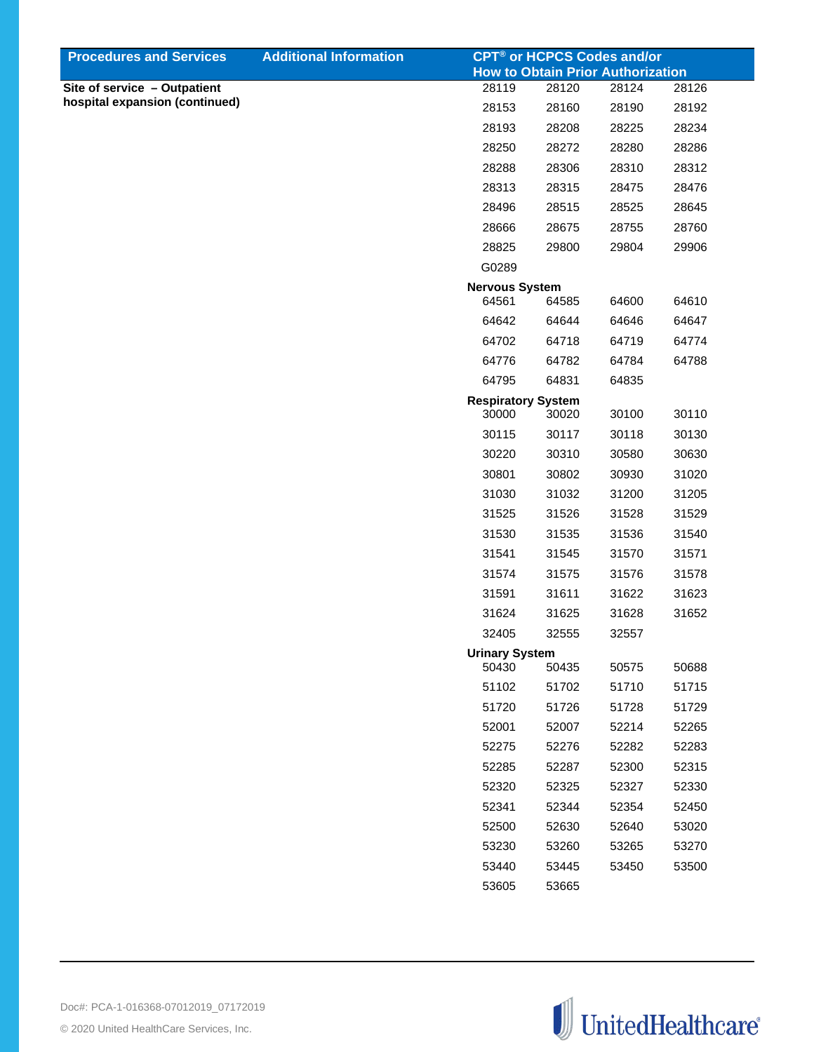| <b>Procedures and Services</b>                                 | <b>Additional Information</b> |                                |       | <b>CPT<sup>®</sup> or HCPCS Codes and/or</b> |       |
|----------------------------------------------------------------|-------------------------------|--------------------------------|-------|----------------------------------------------|-------|
|                                                                |                               |                                |       | <b>How to Obtain Prior Authorization</b>     |       |
| Site of service - Outpatient<br>hospital expansion (continued) |                               | 28119                          | 28120 | 28124                                        | 28126 |
|                                                                |                               | 28153                          | 28160 | 28190                                        | 28192 |
|                                                                |                               | 28193                          | 28208 | 28225                                        | 28234 |
|                                                                |                               | 28250                          | 28272 | 28280                                        | 28286 |
|                                                                |                               | 28288                          | 28306 | 28310                                        | 28312 |
|                                                                |                               | 28313                          | 28315 | 28475                                        | 28476 |
|                                                                |                               | 28496                          | 28515 | 28525                                        | 28645 |
|                                                                |                               | 28666                          | 28675 | 28755                                        | 28760 |
|                                                                |                               | 28825                          | 29800 | 29804                                        | 29906 |
|                                                                |                               | G0289                          |       |                                              |       |
|                                                                |                               | <b>Nervous System</b><br>64561 | 64585 | 64600                                        | 64610 |
|                                                                |                               | 64642                          | 64644 | 64646                                        | 64647 |
|                                                                |                               | 64702                          | 64718 | 64719                                        | 64774 |
|                                                                |                               | 64776                          | 64782 | 64784                                        | 64788 |
|                                                                |                               | 64795                          | 64831 | 64835                                        |       |
|                                                                |                               | <b>Respiratory System</b>      |       |                                              |       |
|                                                                |                               | 30000                          | 30020 | 30100                                        | 30110 |
|                                                                |                               | 30115                          | 30117 | 30118                                        | 30130 |
|                                                                |                               | 30220                          | 30310 | 30580                                        | 30630 |
|                                                                |                               | 30801                          | 30802 | 30930                                        | 31020 |
|                                                                |                               | 31030                          | 31032 | 31200                                        | 31205 |
|                                                                |                               | 31525                          | 31526 | 31528                                        | 31529 |
|                                                                |                               | 31530                          | 31535 | 31536                                        | 31540 |
|                                                                |                               | 31541                          | 31545 | 31570                                        | 31571 |
|                                                                |                               | 31574                          | 31575 | 31576                                        | 31578 |
|                                                                |                               | 31591                          | 31611 | 31622                                        | 31623 |
|                                                                |                               | 31624                          | 31625 | 31628                                        | 31652 |
|                                                                |                               | 32405                          | 32555 | 32557                                        |       |
|                                                                |                               | <b>Urinary System</b><br>50430 | 50435 | 50575                                        | 50688 |
|                                                                |                               | 51102                          | 51702 | 51710                                        | 51715 |
|                                                                |                               | 51720                          | 51726 | 51728                                        | 51729 |
|                                                                |                               | 52001                          | 52007 | 52214                                        | 52265 |
|                                                                |                               | 52275                          | 52276 | 52282                                        | 52283 |
|                                                                |                               | 52285                          | 52287 | 52300                                        | 52315 |
|                                                                |                               | 52320                          | 52325 | 52327                                        | 52330 |
|                                                                |                               | 52341                          | 52344 | 52354                                        | 52450 |
|                                                                |                               | 52500                          | 52630 | 52640                                        | 53020 |
|                                                                |                               | 53230                          | 53260 | 53265                                        | 53270 |
|                                                                |                               | 53440                          | 53445 | 53450                                        | 53500 |
|                                                                |                               | 53605                          | 53665 |                                              |       |
|                                                                |                               |                                |       |                                              |       |

![](_page_22_Picture_1.jpeg)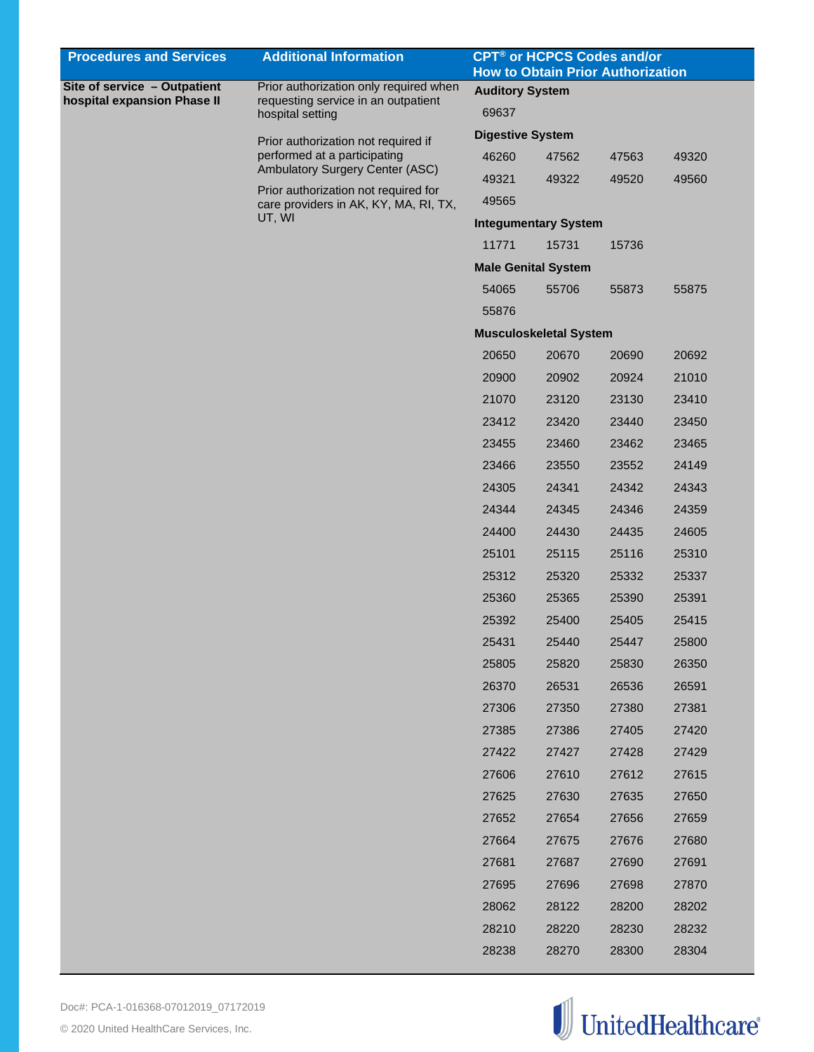| Site of service - Outpatient<br>Prior authorization only required when<br><b>Auditory System</b><br>hospital expansion Phase II<br>requesting service in an outpatient<br>69637<br>hospital setting<br><b>Digestive System</b><br>Prior authorization not required if<br>performed at a participating<br>49320<br>46260<br>47562<br>47563<br>Ambulatory Surgery Center (ASC)<br>49322<br>49560<br>49321<br>49520<br>Prior authorization not required for<br>49565<br>care providers in AK, KY, MA, RI, TX,<br>UT, WI<br><b>Integumentary System</b><br>11771<br>15731<br>15736<br><b>Male Genital System</b><br>54065<br>55875<br>55706<br>55873<br>55876<br><b>Musculoskeletal System</b><br>20670<br>20650<br>20690<br>20692<br>20900<br>20902<br>20924<br>21010<br>21070<br>23410<br>23120<br>23130<br>23412<br>23420<br>23440<br>23450<br>23455<br>23460<br>23462<br>23465<br>24149<br>23466<br>23550<br>23552<br>24305<br>24341<br>24342<br>24343<br>24344<br>24345<br>24346<br>24359<br>24400<br>24430<br>24435<br>24605<br>25101<br>25115<br>25116<br>25310<br>25320<br>25312<br>25332<br>25337<br>25360<br>25365<br>25391<br>25390<br>25392<br>25400<br>25405<br>25415<br>25800<br>25431<br>25440<br>25447<br>25805<br>25820<br>26350<br>25830<br>26370<br>26591<br>26531<br>26536<br>27306<br>27350<br>27380<br>27381<br>27420<br>27385<br>27386<br>27405<br>27422<br>27427<br>27428<br>27429<br>27615<br>27606<br>27610<br>27612<br>27630<br>27650<br>27625<br>27635<br>27652<br>27654<br>27656<br>27659<br>27680<br>27664<br>27675<br>27676<br>27687<br>27691<br>27681<br>27690<br>27695<br>27696<br>27870<br>27698<br>28202<br>28062<br>28122<br>28200<br>28232<br>28210<br>28220<br>28230<br>28270<br>28304<br>28238<br>28300 | <b>Procedures and Services</b> | <b>Additional Information</b> | <b>CPT<sup>®</sup> or HCPCS Codes and/or</b><br><b>How to Obtain Prior Authorization</b> |  |  |  |
|--------------------------------------------------------------------------------------------------------------------------------------------------------------------------------------------------------------------------------------------------------------------------------------------------------------------------------------------------------------------------------------------------------------------------------------------------------------------------------------------------------------------------------------------------------------------------------------------------------------------------------------------------------------------------------------------------------------------------------------------------------------------------------------------------------------------------------------------------------------------------------------------------------------------------------------------------------------------------------------------------------------------------------------------------------------------------------------------------------------------------------------------------------------------------------------------------------------------------------------------------------------------------------------------------------------------------------------------------------------------------------------------------------------------------------------------------------------------------------------------------------------------------------------------------------------------------------------------------------------------------------------------------------------------------------------------------------------------------------------------|--------------------------------|-------------------------------|------------------------------------------------------------------------------------------|--|--|--|
|                                                                                                                                                                                                                                                                                                                                                                                                                                                                                                                                                                                                                                                                                                                                                                                                                                                                                                                                                                                                                                                                                                                                                                                                                                                                                                                                                                                                                                                                                                                                                                                                                                                                                                                                            |                                |                               |                                                                                          |  |  |  |
|                                                                                                                                                                                                                                                                                                                                                                                                                                                                                                                                                                                                                                                                                                                                                                                                                                                                                                                                                                                                                                                                                                                                                                                                                                                                                                                                                                                                                                                                                                                                                                                                                                                                                                                                            |                                |                               |                                                                                          |  |  |  |
|                                                                                                                                                                                                                                                                                                                                                                                                                                                                                                                                                                                                                                                                                                                                                                                                                                                                                                                                                                                                                                                                                                                                                                                                                                                                                                                                                                                                                                                                                                                                                                                                                                                                                                                                            |                                |                               |                                                                                          |  |  |  |
|                                                                                                                                                                                                                                                                                                                                                                                                                                                                                                                                                                                                                                                                                                                                                                                                                                                                                                                                                                                                                                                                                                                                                                                                                                                                                                                                                                                                                                                                                                                                                                                                                                                                                                                                            |                                |                               |                                                                                          |  |  |  |
|                                                                                                                                                                                                                                                                                                                                                                                                                                                                                                                                                                                                                                                                                                                                                                                                                                                                                                                                                                                                                                                                                                                                                                                                                                                                                                                                                                                                                                                                                                                                                                                                                                                                                                                                            |                                |                               |                                                                                          |  |  |  |
|                                                                                                                                                                                                                                                                                                                                                                                                                                                                                                                                                                                                                                                                                                                                                                                                                                                                                                                                                                                                                                                                                                                                                                                                                                                                                                                                                                                                                                                                                                                                                                                                                                                                                                                                            |                                |                               |                                                                                          |  |  |  |
|                                                                                                                                                                                                                                                                                                                                                                                                                                                                                                                                                                                                                                                                                                                                                                                                                                                                                                                                                                                                                                                                                                                                                                                                                                                                                                                                                                                                                                                                                                                                                                                                                                                                                                                                            |                                |                               |                                                                                          |  |  |  |
|                                                                                                                                                                                                                                                                                                                                                                                                                                                                                                                                                                                                                                                                                                                                                                                                                                                                                                                                                                                                                                                                                                                                                                                                                                                                                                                                                                                                                                                                                                                                                                                                                                                                                                                                            |                                |                               |                                                                                          |  |  |  |
|                                                                                                                                                                                                                                                                                                                                                                                                                                                                                                                                                                                                                                                                                                                                                                                                                                                                                                                                                                                                                                                                                                                                                                                                                                                                                                                                                                                                                                                                                                                                                                                                                                                                                                                                            |                                |                               |                                                                                          |  |  |  |
|                                                                                                                                                                                                                                                                                                                                                                                                                                                                                                                                                                                                                                                                                                                                                                                                                                                                                                                                                                                                                                                                                                                                                                                                                                                                                                                                                                                                                                                                                                                                                                                                                                                                                                                                            |                                |                               |                                                                                          |  |  |  |
|                                                                                                                                                                                                                                                                                                                                                                                                                                                                                                                                                                                                                                                                                                                                                                                                                                                                                                                                                                                                                                                                                                                                                                                                                                                                                                                                                                                                                                                                                                                                                                                                                                                                                                                                            |                                |                               |                                                                                          |  |  |  |
|                                                                                                                                                                                                                                                                                                                                                                                                                                                                                                                                                                                                                                                                                                                                                                                                                                                                                                                                                                                                                                                                                                                                                                                                                                                                                                                                                                                                                                                                                                                                                                                                                                                                                                                                            |                                |                               |                                                                                          |  |  |  |
|                                                                                                                                                                                                                                                                                                                                                                                                                                                                                                                                                                                                                                                                                                                                                                                                                                                                                                                                                                                                                                                                                                                                                                                                                                                                                                                                                                                                                                                                                                                                                                                                                                                                                                                                            |                                |                               |                                                                                          |  |  |  |
|                                                                                                                                                                                                                                                                                                                                                                                                                                                                                                                                                                                                                                                                                                                                                                                                                                                                                                                                                                                                                                                                                                                                                                                                                                                                                                                                                                                                                                                                                                                                                                                                                                                                                                                                            |                                |                               |                                                                                          |  |  |  |
|                                                                                                                                                                                                                                                                                                                                                                                                                                                                                                                                                                                                                                                                                                                                                                                                                                                                                                                                                                                                                                                                                                                                                                                                                                                                                                                                                                                                                                                                                                                                                                                                                                                                                                                                            |                                |                               |                                                                                          |  |  |  |
|                                                                                                                                                                                                                                                                                                                                                                                                                                                                                                                                                                                                                                                                                                                                                                                                                                                                                                                                                                                                                                                                                                                                                                                                                                                                                                                                                                                                                                                                                                                                                                                                                                                                                                                                            |                                |                               |                                                                                          |  |  |  |
|                                                                                                                                                                                                                                                                                                                                                                                                                                                                                                                                                                                                                                                                                                                                                                                                                                                                                                                                                                                                                                                                                                                                                                                                                                                                                                                                                                                                                                                                                                                                                                                                                                                                                                                                            |                                |                               |                                                                                          |  |  |  |
|                                                                                                                                                                                                                                                                                                                                                                                                                                                                                                                                                                                                                                                                                                                                                                                                                                                                                                                                                                                                                                                                                                                                                                                                                                                                                                                                                                                                                                                                                                                                                                                                                                                                                                                                            |                                |                               |                                                                                          |  |  |  |
|                                                                                                                                                                                                                                                                                                                                                                                                                                                                                                                                                                                                                                                                                                                                                                                                                                                                                                                                                                                                                                                                                                                                                                                                                                                                                                                                                                                                                                                                                                                                                                                                                                                                                                                                            |                                |                               |                                                                                          |  |  |  |
|                                                                                                                                                                                                                                                                                                                                                                                                                                                                                                                                                                                                                                                                                                                                                                                                                                                                                                                                                                                                                                                                                                                                                                                                                                                                                                                                                                                                                                                                                                                                                                                                                                                                                                                                            |                                |                               |                                                                                          |  |  |  |
|                                                                                                                                                                                                                                                                                                                                                                                                                                                                                                                                                                                                                                                                                                                                                                                                                                                                                                                                                                                                                                                                                                                                                                                                                                                                                                                                                                                                                                                                                                                                                                                                                                                                                                                                            |                                |                               |                                                                                          |  |  |  |
|                                                                                                                                                                                                                                                                                                                                                                                                                                                                                                                                                                                                                                                                                                                                                                                                                                                                                                                                                                                                                                                                                                                                                                                                                                                                                                                                                                                                                                                                                                                                                                                                                                                                                                                                            |                                |                               |                                                                                          |  |  |  |
|                                                                                                                                                                                                                                                                                                                                                                                                                                                                                                                                                                                                                                                                                                                                                                                                                                                                                                                                                                                                                                                                                                                                                                                                                                                                                                                                                                                                                                                                                                                                                                                                                                                                                                                                            |                                |                               |                                                                                          |  |  |  |
|                                                                                                                                                                                                                                                                                                                                                                                                                                                                                                                                                                                                                                                                                                                                                                                                                                                                                                                                                                                                                                                                                                                                                                                                                                                                                                                                                                                                                                                                                                                                                                                                                                                                                                                                            |                                |                               |                                                                                          |  |  |  |
|                                                                                                                                                                                                                                                                                                                                                                                                                                                                                                                                                                                                                                                                                                                                                                                                                                                                                                                                                                                                                                                                                                                                                                                                                                                                                                                                                                                                                                                                                                                                                                                                                                                                                                                                            |                                |                               |                                                                                          |  |  |  |
|                                                                                                                                                                                                                                                                                                                                                                                                                                                                                                                                                                                                                                                                                                                                                                                                                                                                                                                                                                                                                                                                                                                                                                                                                                                                                                                                                                                                                                                                                                                                                                                                                                                                                                                                            |                                |                               |                                                                                          |  |  |  |
|                                                                                                                                                                                                                                                                                                                                                                                                                                                                                                                                                                                                                                                                                                                                                                                                                                                                                                                                                                                                                                                                                                                                                                                                                                                                                                                                                                                                                                                                                                                                                                                                                                                                                                                                            |                                |                               |                                                                                          |  |  |  |
|                                                                                                                                                                                                                                                                                                                                                                                                                                                                                                                                                                                                                                                                                                                                                                                                                                                                                                                                                                                                                                                                                                                                                                                                                                                                                                                                                                                                                                                                                                                                                                                                                                                                                                                                            |                                |                               |                                                                                          |  |  |  |
|                                                                                                                                                                                                                                                                                                                                                                                                                                                                                                                                                                                                                                                                                                                                                                                                                                                                                                                                                                                                                                                                                                                                                                                                                                                                                                                                                                                                                                                                                                                                                                                                                                                                                                                                            |                                |                               |                                                                                          |  |  |  |
|                                                                                                                                                                                                                                                                                                                                                                                                                                                                                                                                                                                                                                                                                                                                                                                                                                                                                                                                                                                                                                                                                                                                                                                                                                                                                                                                                                                                                                                                                                                                                                                                                                                                                                                                            |                                |                               |                                                                                          |  |  |  |
|                                                                                                                                                                                                                                                                                                                                                                                                                                                                                                                                                                                                                                                                                                                                                                                                                                                                                                                                                                                                                                                                                                                                                                                                                                                                                                                                                                                                                                                                                                                                                                                                                                                                                                                                            |                                |                               |                                                                                          |  |  |  |
|                                                                                                                                                                                                                                                                                                                                                                                                                                                                                                                                                                                                                                                                                                                                                                                                                                                                                                                                                                                                                                                                                                                                                                                                                                                                                                                                                                                                                                                                                                                                                                                                                                                                                                                                            |                                |                               |                                                                                          |  |  |  |
|                                                                                                                                                                                                                                                                                                                                                                                                                                                                                                                                                                                                                                                                                                                                                                                                                                                                                                                                                                                                                                                                                                                                                                                                                                                                                                                                                                                                                                                                                                                                                                                                                                                                                                                                            |                                |                               |                                                                                          |  |  |  |
|                                                                                                                                                                                                                                                                                                                                                                                                                                                                                                                                                                                                                                                                                                                                                                                                                                                                                                                                                                                                                                                                                                                                                                                                                                                                                                                                                                                                                                                                                                                                                                                                                                                                                                                                            |                                |                               |                                                                                          |  |  |  |
|                                                                                                                                                                                                                                                                                                                                                                                                                                                                                                                                                                                                                                                                                                                                                                                                                                                                                                                                                                                                                                                                                                                                                                                                                                                                                                                                                                                                                                                                                                                                                                                                                                                                                                                                            |                                |                               |                                                                                          |  |  |  |
|                                                                                                                                                                                                                                                                                                                                                                                                                                                                                                                                                                                                                                                                                                                                                                                                                                                                                                                                                                                                                                                                                                                                                                                                                                                                                                                                                                                                                                                                                                                                                                                                                                                                                                                                            |                                |                               |                                                                                          |  |  |  |
|                                                                                                                                                                                                                                                                                                                                                                                                                                                                                                                                                                                                                                                                                                                                                                                                                                                                                                                                                                                                                                                                                                                                                                                                                                                                                                                                                                                                                                                                                                                                                                                                                                                                                                                                            |                                |                               |                                                                                          |  |  |  |
|                                                                                                                                                                                                                                                                                                                                                                                                                                                                                                                                                                                                                                                                                                                                                                                                                                                                                                                                                                                                                                                                                                                                                                                                                                                                                                                                                                                                                                                                                                                                                                                                                                                                                                                                            |                                |                               |                                                                                          |  |  |  |
|                                                                                                                                                                                                                                                                                                                                                                                                                                                                                                                                                                                                                                                                                                                                                                                                                                                                                                                                                                                                                                                                                                                                                                                                                                                                                                                                                                                                                                                                                                                                                                                                                                                                                                                                            |                                |                               |                                                                                          |  |  |  |
|                                                                                                                                                                                                                                                                                                                                                                                                                                                                                                                                                                                                                                                                                                                                                                                                                                                                                                                                                                                                                                                                                                                                                                                                                                                                                                                                                                                                                                                                                                                                                                                                                                                                                                                                            |                                |                               |                                                                                          |  |  |  |

![](_page_23_Picture_1.jpeg)

![](_page_23_Picture_2.jpeg)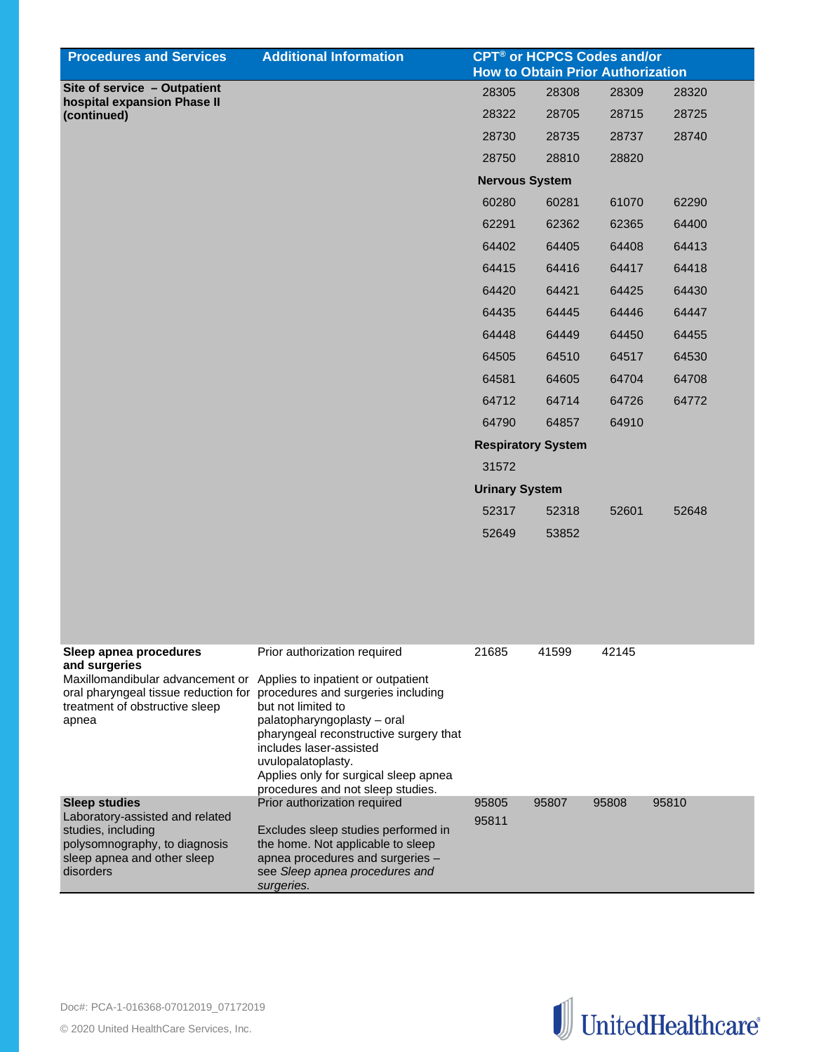| <b>Procedures and Services</b>                                         | <b>Additional Information</b>                                            | <b>CPT<sup>®</sup> or HCPCS Codes and/or</b><br><b>How to Obtain Prior Authorization</b> |       |       |       |
|------------------------------------------------------------------------|--------------------------------------------------------------------------|------------------------------------------------------------------------------------------|-------|-------|-------|
| Site of service - Outpatient                                           |                                                                          | 28305                                                                                    | 28308 | 28309 | 28320 |
| hospital expansion Phase II<br>(continued)                             |                                                                          | 28322                                                                                    | 28705 | 28715 | 28725 |
|                                                                        |                                                                          | 28730                                                                                    | 28735 | 28737 | 28740 |
|                                                                        |                                                                          | 28750                                                                                    | 28810 | 28820 |       |
|                                                                        |                                                                          | <b>Nervous System</b>                                                                    |       |       |       |
|                                                                        |                                                                          | 60280                                                                                    | 60281 | 61070 | 62290 |
|                                                                        |                                                                          | 62291                                                                                    | 62362 | 62365 | 64400 |
|                                                                        |                                                                          | 64402                                                                                    | 64405 | 64408 | 64413 |
|                                                                        |                                                                          | 64415                                                                                    | 64416 | 64417 | 64418 |
|                                                                        |                                                                          | 64420                                                                                    | 64421 | 64425 | 64430 |
|                                                                        |                                                                          | 64435                                                                                    | 64445 | 64446 | 64447 |
|                                                                        |                                                                          | 64448                                                                                    | 64449 | 64450 | 64455 |
|                                                                        |                                                                          | 64505                                                                                    | 64510 | 64517 | 64530 |
|                                                                        |                                                                          | 64581                                                                                    | 64605 | 64704 | 64708 |
|                                                                        |                                                                          | 64712                                                                                    | 64714 | 64726 | 64772 |
|                                                                        |                                                                          | 64790                                                                                    | 64857 | 64910 |       |
|                                                                        |                                                                          | <b>Respiratory System</b>                                                                |       |       |       |
|                                                                        |                                                                          | 31572                                                                                    |       |       |       |
|                                                                        |                                                                          | <b>Urinary System</b>                                                                    |       |       |       |
|                                                                        |                                                                          | 52317                                                                                    | 52318 | 52601 | 52648 |
|                                                                        |                                                                          | 52649                                                                                    | 53852 |       |       |
|                                                                        |                                                                          |                                                                                          |       |       |       |
|                                                                        |                                                                          |                                                                                          |       |       |       |
|                                                                        |                                                                          |                                                                                          |       |       |       |
|                                                                        |                                                                          |                                                                                          |       |       |       |
| Sleep apnea procedures<br>and surgeries                                | Prior authorization required                                             | 21685                                                                                    | 41599 | 42145 |       |
| Maxillomandibular advancement or Applies to inpatient or outpatient    |                                                                          |                                                                                          |       |       |       |
| oral pharyngeal tissue reduction for<br>treatment of obstructive sleep | procedures and surgeries including<br>but not limited to                 |                                                                                          |       |       |       |
| apnea                                                                  | palatopharyngoplasty - oral<br>pharyngeal reconstructive surgery that    |                                                                                          |       |       |       |
|                                                                        | includes laser-assisted                                                  |                                                                                          |       |       |       |
|                                                                        | uvulopalatoplasty.<br>Applies only for surgical sleep apnea              |                                                                                          |       |       |       |
|                                                                        | procedures and not sleep studies.                                        |                                                                                          |       |       |       |
| <b>Sleep studies</b><br>Laboratory-assisted and related                | Prior authorization required                                             | 95805<br>95811                                                                           | 95807 | 95808 | 95810 |
| studies, including<br>polysomnography, to diagnosis                    | Excludes sleep studies performed in<br>the home. Not applicable to sleep |                                                                                          |       |       |       |
| sleep apnea and other sleep                                            | apnea procedures and surgeries -                                         |                                                                                          |       |       |       |
| disorders                                                              | see Sleep apnea procedures and<br>surgeries.                             |                                                                                          |       |       |       |
|                                                                        |                                                                          |                                                                                          |       |       |       |

![](_page_24_Picture_2.jpeg)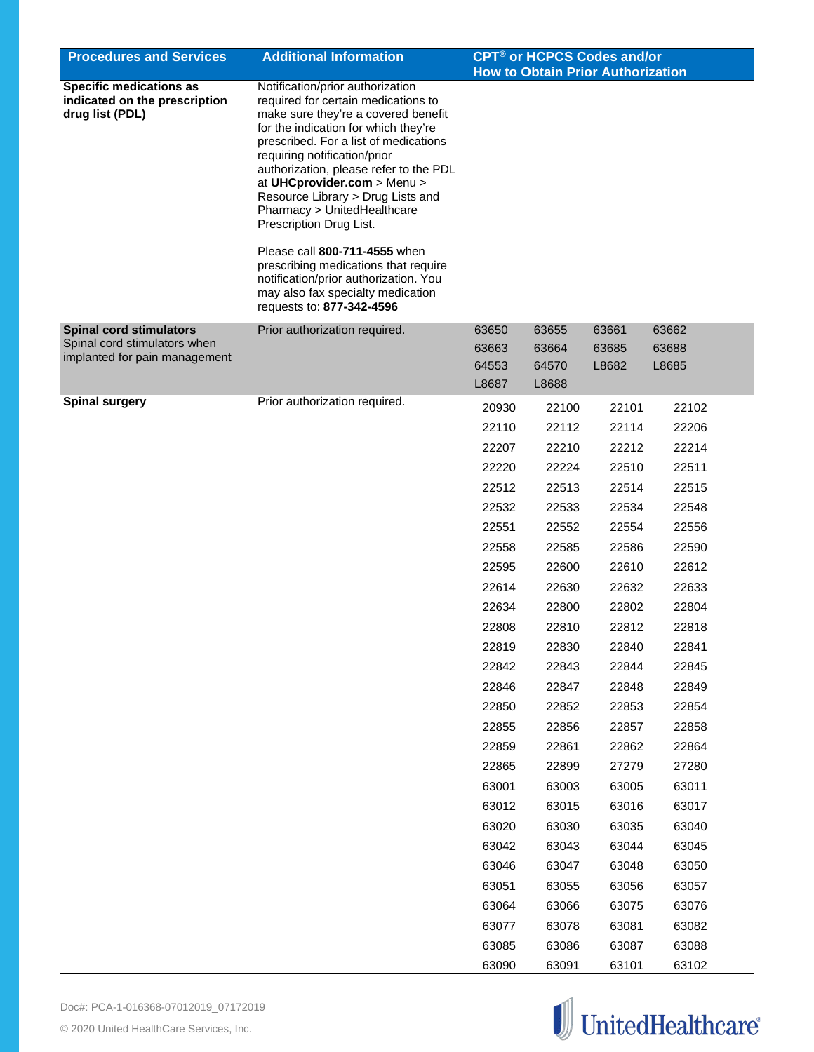| <b>Procedures and Services</b>                                                                  | <b>Additional Information</b>                                                                                                                                                                                                                                                                                                                                                                                                                                                                                                                                                               | CPT <sup>®</sup> or HCPCS Codes and/or<br><b>How to Obtain Prior Authorization</b> |                                  |                         |                         |  |
|-------------------------------------------------------------------------------------------------|---------------------------------------------------------------------------------------------------------------------------------------------------------------------------------------------------------------------------------------------------------------------------------------------------------------------------------------------------------------------------------------------------------------------------------------------------------------------------------------------------------------------------------------------------------------------------------------------|------------------------------------------------------------------------------------|----------------------------------|-------------------------|-------------------------|--|
| <b>Specific medications as</b><br>indicated on the prescription<br>drug list (PDL)              | Notification/prior authorization<br>required for certain medications to<br>make sure they're a covered benefit<br>for the indication for which they're<br>prescribed. For a list of medications<br>requiring notification/prior<br>authorization, please refer to the PDL<br>at UHCprovider.com > Menu ><br>Resource Library > Drug Lists and<br>Pharmacy > UnitedHealthcare<br>Prescription Drug List.<br>Please call 800-711-4555 when<br>prescribing medications that require<br>notification/prior authorization. You<br>may also fax specialty medication<br>requests to: 877-342-4596 |                                                                                    |                                  |                         |                         |  |
| <b>Spinal cord stimulators</b><br>Spinal cord stimulators when<br>implanted for pain management | Prior authorization required.                                                                                                                                                                                                                                                                                                                                                                                                                                                                                                                                                               | 63650<br>63663<br>64553<br>L8687                                                   | 63655<br>63664<br>64570<br>L8688 | 63661<br>63685<br>L8682 | 63662<br>63688<br>L8685 |  |
| <b>Spinal surgery</b>                                                                           | Prior authorization required.                                                                                                                                                                                                                                                                                                                                                                                                                                                                                                                                                               | 20930<br>22110                                                                     | 22100<br>22112                   | 22101<br>22114          | 22102<br>22206          |  |
|                                                                                                 |                                                                                                                                                                                                                                                                                                                                                                                                                                                                                                                                                                                             | 22207                                                                              | 22210                            | 22212                   | 22214                   |  |
|                                                                                                 |                                                                                                                                                                                                                                                                                                                                                                                                                                                                                                                                                                                             | 22220                                                                              | 22224                            | 22510                   | 22511                   |  |
|                                                                                                 |                                                                                                                                                                                                                                                                                                                                                                                                                                                                                                                                                                                             | 22512                                                                              | 22513                            | 22514                   | 22515                   |  |
|                                                                                                 |                                                                                                                                                                                                                                                                                                                                                                                                                                                                                                                                                                                             | 22532                                                                              | 22533                            | 22534                   | 22548                   |  |
|                                                                                                 |                                                                                                                                                                                                                                                                                                                                                                                                                                                                                                                                                                                             | 22551                                                                              | 22552                            | 22554                   | 22556                   |  |
|                                                                                                 |                                                                                                                                                                                                                                                                                                                                                                                                                                                                                                                                                                                             | 22558                                                                              | 22585                            | 22586                   | 22590                   |  |
|                                                                                                 |                                                                                                                                                                                                                                                                                                                                                                                                                                                                                                                                                                                             | 22595                                                                              | 22600                            | 22610                   | 22612                   |  |
|                                                                                                 |                                                                                                                                                                                                                                                                                                                                                                                                                                                                                                                                                                                             | 22614                                                                              | 22630                            | 22632                   | 22633                   |  |
|                                                                                                 |                                                                                                                                                                                                                                                                                                                                                                                                                                                                                                                                                                                             | 22634                                                                              | 22800                            | 22802                   | 22804                   |  |
|                                                                                                 |                                                                                                                                                                                                                                                                                                                                                                                                                                                                                                                                                                                             | 22808                                                                              | 22810                            | 22812                   | 22818                   |  |
|                                                                                                 |                                                                                                                                                                                                                                                                                                                                                                                                                                                                                                                                                                                             | 22819                                                                              | 22830                            | 22840                   | 22841                   |  |
|                                                                                                 |                                                                                                                                                                                                                                                                                                                                                                                                                                                                                                                                                                                             | 22842                                                                              | 22843                            | 22844                   | 22845                   |  |
|                                                                                                 |                                                                                                                                                                                                                                                                                                                                                                                                                                                                                                                                                                                             | 22846                                                                              | 22847                            | 22848                   | 22849                   |  |
|                                                                                                 |                                                                                                                                                                                                                                                                                                                                                                                                                                                                                                                                                                                             | 22850                                                                              | 22852                            | 22853                   | 22854                   |  |
|                                                                                                 |                                                                                                                                                                                                                                                                                                                                                                                                                                                                                                                                                                                             | 22855                                                                              | 22856                            | 22857                   | 22858                   |  |
|                                                                                                 |                                                                                                                                                                                                                                                                                                                                                                                                                                                                                                                                                                                             | 22859                                                                              | 22861                            | 22862                   | 22864                   |  |
|                                                                                                 |                                                                                                                                                                                                                                                                                                                                                                                                                                                                                                                                                                                             | 22865                                                                              | 22899                            | 27279                   | 27280                   |  |
|                                                                                                 |                                                                                                                                                                                                                                                                                                                                                                                                                                                                                                                                                                                             | 63001                                                                              | 63003                            | 63005                   | 63011                   |  |
|                                                                                                 |                                                                                                                                                                                                                                                                                                                                                                                                                                                                                                                                                                                             | 63012                                                                              | 63015                            | 63016                   | 63017                   |  |
|                                                                                                 |                                                                                                                                                                                                                                                                                                                                                                                                                                                                                                                                                                                             | 63020                                                                              | 63030                            | 63035                   | 63040                   |  |
|                                                                                                 |                                                                                                                                                                                                                                                                                                                                                                                                                                                                                                                                                                                             | 63042                                                                              | 63043                            | 63044                   | 63045                   |  |
|                                                                                                 |                                                                                                                                                                                                                                                                                                                                                                                                                                                                                                                                                                                             | 63046                                                                              | 63047                            | 63048                   | 63050                   |  |
|                                                                                                 |                                                                                                                                                                                                                                                                                                                                                                                                                                                                                                                                                                                             | 63051                                                                              | 63055                            | 63056                   | 63057                   |  |
|                                                                                                 |                                                                                                                                                                                                                                                                                                                                                                                                                                                                                                                                                                                             | 63064                                                                              | 63066                            | 63075                   | 63076                   |  |
|                                                                                                 |                                                                                                                                                                                                                                                                                                                                                                                                                                                                                                                                                                                             | 63077                                                                              | 63078                            | 63081                   | 63082                   |  |
|                                                                                                 |                                                                                                                                                                                                                                                                                                                                                                                                                                                                                                                                                                                             | 63085                                                                              | 63086                            | 63087                   | 63088                   |  |
|                                                                                                 |                                                                                                                                                                                                                                                                                                                                                                                                                                                                                                                                                                                             | 63090                                                                              | 63091                            | 63101                   | 63102                   |  |

![](_page_25_Picture_2.jpeg)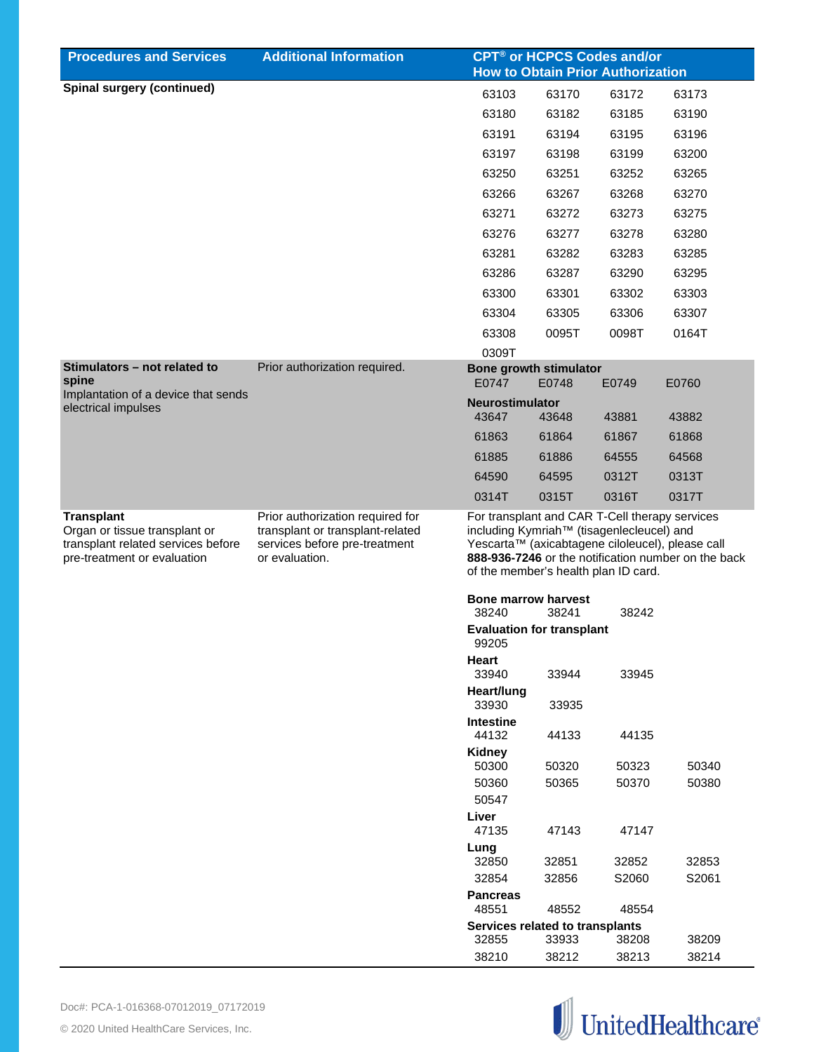| <b>Procedures and Services</b>                                                                                          | <b>Additional Information</b>                                                                                           | <b>CPT<sup>®</sup> or HCPCS Codes and/or</b>                                                                                                                                                                                                               |                            |                                          |                |
|-------------------------------------------------------------------------------------------------------------------------|-------------------------------------------------------------------------------------------------------------------------|------------------------------------------------------------------------------------------------------------------------------------------------------------------------------------------------------------------------------------------------------------|----------------------------|------------------------------------------|----------------|
|                                                                                                                         |                                                                                                                         |                                                                                                                                                                                                                                                            |                            | <b>How to Obtain Prior Authorization</b> |                |
| <b>Spinal surgery (continued)</b>                                                                                       |                                                                                                                         | 63103                                                                                                                                                                                                                                                      | 63170                      | 63172                                    | 63173          |
|                                                                                                                         |                                                                                                                         | 63180                                                                                                                                                                                                                                                      | 63182                      | 63185                                    | 63190          |
|                                                                                                                         |                                                                                                                         | 63191                                                                                                                                                                                                                                                      | 63194                      | 63195                                    | 63196          |
|                                                                                                                         |                                                                                                                         | 63197                                                                                                                                                                                                                                                      | 63198                      | 63199                                    | 63200          |
|                                                                                                                         |                                                                                                                         | 63250                                                                                                                                                                                                                                                      | 63251                      | 63252                                    | 63265          |
|                                                                                                                         |                                                                                                                         | 63266                                                                                                                                                                                                                                                      | 63267                      | 63268                                    | 63270          |
|                                                                                                                         |                                                                                                                         | 63271                                                                                                                                                                                                                                                      | 63272                      | 63273                                    | 63275          |
|                                                                                                                         |                                                                                                                         | 63276                                                                                                                                                                                                                                                      | 63277                      | 63278                                    | 63280          |
|                                                                                                                         |                                                                                                                         | 63281                                                                                                                                                                                                                                                      | 63282                      | 63283                                    | 63285          |
|                                                                                                                         |                                                                                                                         | 63286                                                                                                                                                                                                                                                      | 63287                      | 63290                                    | 63295          |
|                                                                                                                         |                                                                                                                         | 63300                                                                                                                                                                                                                                                      | 63301                      | 63302                                    | 63303          |
|                                                                                                                         |                                                                                                                         | 63304                                                                                                                                                                                                                                                      | 63305                      | 63306                                    | 63307          |
|                                                                                                                         |                                                                                                                         | 63308                                                                                                                                                                                                                                                      | 0095T                      | 0098T                                    | 0164T          |
|                                                                                                                         |                                                                                                                         | 0309T                                                                                                                                                                                                                                                      |                            |                                          |                |
| Stimulators - not related to<br>spine                                                                                   | Prior authorization required.                                                                                           | <b>Bone growth stimulator</b><br>E0747                                                                                                                                                                                                                     | E0748                      | E0749                                    | E0760          |
| Implantation of a device that sends                                                                                     |                                                                                                                         | <b>Neurostimulator</b>                                                                                                                                                                                                                                     |                            |                                          |                |
| electrical impulses                                                                                                     |                                                                                                                         | 43647                                                                                                                                                                                                                                                      | 43648                      | 43881                                    | 43882          |
|                                                                                                                         |                                                                                                                         | 61863                                                                                                                                                                                                                                                      | 61864                      | 61867                                    | 61868          |
|                                                                                                                         |                                                                                                                         | 61885                                                                                                                                                                                                                                                      | 61886                      | 64555                                    | 64568          |
|                                                                                                                         |                                                                                                                         | 64590                                                                                                                                                                                                                                                      | 64595                      | 0312T                                    | 0313T          |
|                                                                                                                         |                                                                                                                         | 0314T                                                                                                                                                                                                                                                      | 0315T                      | 0316T                                    | 0317T          |
| <b>Transplant</b><br>Organ or tissue transplant or<br>transplant related services before<br>pre-treatment or evaluation | Prior authorization required for<br>transplant or transplant-related<br>services before pre-treatment<br>or evaluation. | For transplant and CAR T-Cell therapy services<br>including Kymriah <sup>™</sup> (tisagenlecleucel) and<br>Yescarta™ (axicabtagene ciloleucel), please call<br>888-936-7246 or the notification number on the back<br>of the member's health plan ID card. |                            |                                          |                |
|                                                                                                                         |                                                                                                                         |                                                                                                                                                                                                                                                            | <b>Bone marrow harvest</b> |                                          |                |
|                                                                                                                         |                                                                                                                         | 38240<br>38241<br>38242<br><b>Evaluation for transplant</b><br>99205                                                                                                                                                                                       |                            |                                          |                |
|                                                                                                                         |                                                                                                                         | Heart<br>33940                                                                                                                                                                                                                                             | 33944                      | 33945                                    |                |
|                                                                                                                         |                                                                                                                         | Heart/lung                                                                                                                                                                                                                                                 |                            |                                          |                |
|                                                                                                                         |                                                                                                                         | 33930<br><b>Intestine</b>                                                                                                                                                                                                                                  | 33935                      |                                          |                |
|                                                                                                                         |                                                                                                                         | 44132                                                                                                                                                                                                                                                      | 44133                      | 44135                                    |                |
|                                                                                                                         |                                                                                                                         | <b>Kidney</b>                                                                                                                                                                                                                                              |                            |                                          |                |
|                                                                                                                         |                                                                                                                         | 50300<br>50360                                                                                                                                                                                                                                             | 50320<br>50365             | 50323<br>50370                           | 50340<br>50380 |
|                                                                                                                         |                                                                                                                         | 50547                                                                                                                                                                                                                                                      |                            |                                          |                |
|                                                                                                                         |                                                                                                                         | Liver<br>47135                                                                                                                                                                                                                                             | 47143                      | 47147                                    |                |
|                                                                                                                         |                                                                                                                         | Lung                                                                                                                                                                                                                                                       |                            |                                          |                |
|                                                                                                                         |                                                                                                                         | 32850                                                                                                                                                                                                                                                      | 32851                      | 32852                                    | 32853          |
|                                                                                                                         |                                                                                                                         | 32854                                                                                                                                                                                                                                                      | 32856                      | S2060                                    | S2061          |
|                                                                                                                         |                                                                                                                         | <b>Pancreas</b><br>48551                                                                                                                                                                                                                                   | 48552                      | 48554                                    |                |
|                                                                                                                         |                                                                                                                         | Services related to transplants                                                                                                                                                                                                                            |                            |                                          |                |
|                                                                                                                         |                                                                                                                         | 32855<br>38210                                                                                                                                                                                                                                             | 33933<br>38212             | 38208<br>38213                           | 38209<br>38214 |
|                                                                                                                         |                                                                                                                         |                                                                                                                                                                                                                                                            |                            |                                          |                |

![](_page_26_Picture_2.jpeg)